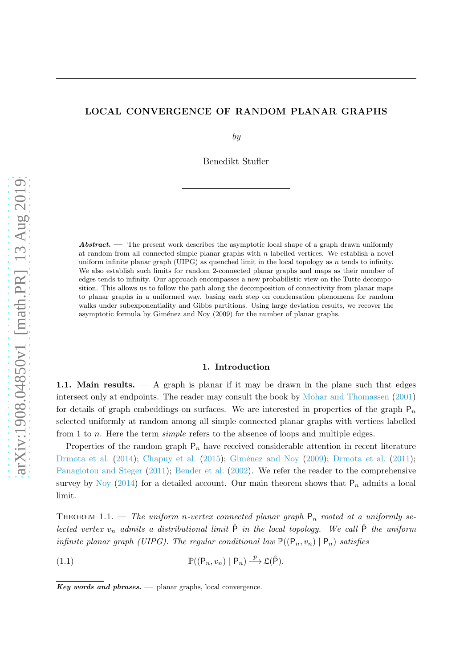# LOCAL CONVERGENCE OF RANDOM PLANAR GRAPHS

by

Benedikt Stufler

Abstract. — The present work describes the asymptotic local shape of a graph drawn uniformly at random from all connected simple planar graphs with  $n$  labelled vertices. We establish a novel uniform infinite planar graph (UIPG) as quenched limit in the local topology as  $n$  tends to infinity. We also establish such limits for random 2-connected planar graphs and maps as their number of edges tends to infinity. Our approach encompasses a new probabilistic view on the Tutte decomposition. This allows us to follow the path along the decomposition of connectivity from planar maps to planar graphs in a uniformed way, basing each step on condensation phenomena for random walks under subexponentiality and Gibbs partitions. Using large deviation results, we recover the asymptotic formula by Giménez and Noy (2009) for the number of planar graphs.

### 1. Introduction

1.1. Main results. — A graph is planar if it may be drawn in the plane such that edges intersect only at endpoints. The reader may consult the book by [Mohar and Thomassen](#page-60-0) [\(2001\)](#page-60-0) for details of graph embeddings on surfaces. We are interested in properties of the graph  $P_n$ selected uniformly at random among all simple connected planar graphs with vertices labelled from 1 to *n*. Here the term *simple* refers to the absence of loops and multiple edges.

Properties of the random graph  $P_n$  have received considerable attention in recent literature [Drmota et al.](#page-58-1)  $(2014)$  $(2014)$ ; [Chapuy et al.](#page-57-0)  $(2015)$ ; Giménez and Noy  $(2009)$ ; Drmota et al.  $(2011)$ ; [Panagiotou and Steger](#page-60-1) [\(2011](#page-60-1)); [Bender et al.](#page-57-1) [\(2002](#page-57-1)). We refer the reader to the comprehensive survey by [Noy](#page-60-2) [\(2014\)](#page-60-2) for a detailed account. Our main theorem shows that  $P_n$  admits a local limit.

<span id="page-0-1"></span>THEOREM 1.1. — The uniform n-vertex connected planar graph  $P_n$  rooted at a uniformly selected vertex  $v_n$  admits a distributional limit  $\hat{P}$  in the local topology. We call  $\hat{P}$  the uniform infinite planar graph (UIPG). The regular conditional law  $\mathbb{P}((P_n, v_n) | P_n)$  satisfies

<span id="page-0-0"></span>(1.1)  $\mathbb{P}((P_n, v_n) | P_n) \longrightarrow \mathfrak{L}(\hat{P}).$ 

 $Key words and phrases.$   $\longrightarrow$  planar graphs, local convergence.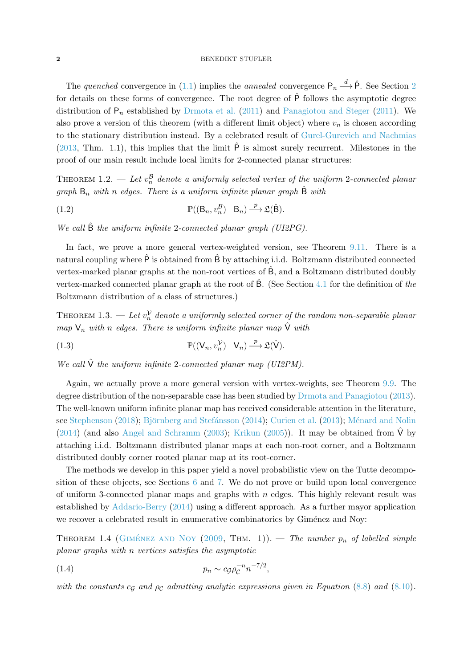### 2 BENEDIKT STUFLER

The quenched convergence in [\(1.1\)](#page-0-0) implies the annealed convergence  $P_n \stackrel{d}{\longrightarrow} \hat{P}$ . See Section [2](#page-4-0) for details on these forms of convergence. The root degree of  $\hat{P}$  follows the asymptotic degree distribution of  $P_n$  established by [Drmota et al.](#page-58-1) [\(2011\)](#page-60-1) and [Panagiotou and Steger](#page-60-1) (2011). We also prove a version of this theorem (with a different limit object) where  $v_n$  is chosen according to the stationary distribution instead. By a celebrated result of [Gurel-Gurevich and Nachmias](#page-59-1) [\(2013,](#page-59-1) Thm. 1.1), this implies that the limit  $\hat{P}$  is almost surely recurrent. Milestones in the proof of our main result include local limits for 2-connected planar structures:

THEOREM 1.2. — Let  $v_n^{\mathcal{B}}$  denote a uniformly selected vertex of the uniform 2-connected planar graph  $B_n$  with n edges. There is a uniform infinite planar graph  $\hat{B}$  with

(1.2) 
$$
\mathbb{P}((B_n, v_n^{\mathcal{B}}) | B_n) \xrightarrow{p} \mathfrak{L}(\hat{B}).
$$

We call  $\hat{B}$  the uniform infinite 2-connected planar graph (UI2PG).

In fact, we prove a more general vertex-weighted version, see Theorem [9.11.](#page-52-0) There is a natural coupling where  $\hat{P}$  is obtained from  $\hat{B}$  by attaching i.i.d. Boltzmann distributed connected vertex-marked planar graphs at the non-root vertices of Bˆ, and a Boltzmann distributed doubly vertex-marked connected planar graph at the root of  $\hat{B}$ . (See Section [4.1](#page-10-0) for the definition of the Boltzmann distribution of a class of structures.)

THEOREM 1.3. — Let  $v_n^{\mathcal{V}}$  denote a uniformly selected corner of the random non-separable planar map  $V_n$  with n edges. There is uniform infinite planar map  $\hat{V}$  with

(1.3) 
$$
\mathbb{P}((V_n, v_n^{\mathcal{V}}) | V_n) \xrightarrow{p} \mathfrak{L}(\hat{V}).
$$

We call  $\hat{V}$  the uniform infinite 2-connected planar map (UI2PM).

Again, we actually prove a more general version with vertex-weights, see Theorem [9.9.](#page-45-0) The degree distribution of the non-separable case has been studied by [Drmota and Panagiotou](#page-58-2) [\(2013\)](#page-58-2). The well-known uniform infinite planar map has received considerable attention in the literature, see [Stephenson](#page-61-0) [\(2018](#page-61-0)); Björnberg and Stefánsson [\(2014](#page-57-2)); [Curien et al.](#page-58-3) [\(2013](#page-58-3)); Ménard and Nolin [\(2014\)](#page-60-3) (and also [Angel and Schramm](#page-57-3) [\(2003\)](#page-57-3); [Krikun](#page-59-2) [\(2005](#page-59-2))). It may be obtained from  $\hat{V}$  by attaching i.i.d. Boltzmann distributed planar maps at each non-root corner, and a Boltzmann distributed doubly corner rooted planar map at its root-corner.

The methods we develop in this paper yield a novel probabilistic view on the Tutte decomposition of these objects, see Sections [6](#page-15-0) and [7.](#page-18-0) We do not prove or build upon local convergence of uniform 3-connected planar maps and graphs with  $n$  edges. This highly relevant result was established by [Addario-Berry](#page-57-4) [\(2014](#page-57-4)) using a different approach. As a further mayor application we recover a celebrated result in enumerative combinatorics by Giménez and Noy:

THEOREM 1.4 (GIMÉNEZ AND NOY [\(2009](#page-59-0), THM. 1)). — The number  $p_n$  of labelled simple planar graphs with n vertices satisfies the asymptotic

<span id="page-1-0"></span>
$$
(1.4) \t\t\t p_n \sim c_{\mathcal{G}} \rho_{\mathcal{C}}^{-n} n^{-7/2},
$$

with the constants  $c_G$  and  $\rho_C$  admitting analytic expressions given in Equation [\(8.8\)](#page-22-0) and [\(8.10\)](#page-22-1).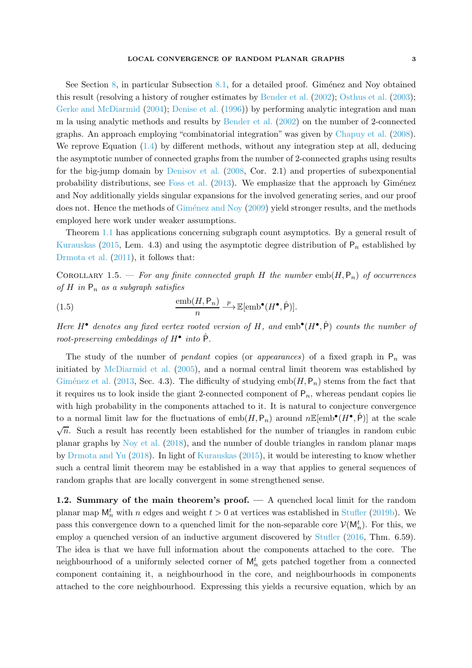See Section [8,](#page-20-0) in particular Subsection [8.1,](#page-21-0) for a detailed proof. Giménez and Noy obtained this result (resolving a history of rougher estimates by [Bender et al.](#page-57-1) [\(2002\)](#page-57-1); [Osthus et al.](#page-60-4) [\(2003\)](#page-60-4); [Gerke and McDiarmid](#page-59-3) [\(2004](#page-59-3)); [Denise et al.](#page-58-4) [\(1996\)](#page-58-4)) by performing analytic integration and man

m la using analytic methods and results by [Bender et al.](#page-57-1) [\(2002](#page-57-1)) on the number of 2-connected graphs. An approach employing "combinatorial integration" was given by [Chapuy et al.](#page-57-5) [\(2008\)](#page-57-5). We reprove Equation  $(1.4)$  by different methods, without any integration step at all, deducing the asymptotic number of connected graphs from the number of 2-connected graphs using results for the big-jump domain by [Denisov et al.](#page-58-5) [\(2008](#page-58-5), Cor. 2.1) and properties of subexponential probability distributions, see [Foss et al.](#page-58-6)  $(2013)$  $(2013)$ . We emphasize that the approach by Giménez and Noy additionally yields singular expansions for the involved generating series, and our proof does not. Hence the methods of Giménez and Noy [\(2009](#page-59-0)) yield stronger results, and the methods employed here work under weaker assumptions.

Theorem [1.1](#page-0-1) has applications concerning subgraph count asymptotics. By a general result of [Kurauskas](#page-59-4) [\(2015](#page-59-4), Lem. 4.3) and using the asymptotic degree distribution of  $P_n$  established by [Drmota et al.](#page-58-1) [\(2011](#page-58-1)), it follows that:

COROLLARY 1.5. — For any finite connected graph H the number  $emb(H, P_n)$  of occurrences of H in  $P_n$  as a subgraph satisfies

(1.5) 
$$
\frac{\text{emb}(H, \mathsf{P}_n)}{n} \stackrel{p}{\longrightarrow} \mathbb{E}[\text{emb}^{\bullet}(H^{\bullet}, \hat{\mathsf{P}})].
$$

Here H<sup>•</sup> denotes any fixed vertex rooted version of H, and  $emb^{\bullet}(H^{\bullet}, \hat{P})$  counts the number of root-preserving embeddings of  $H^{\bullet}$  into  $\hat{P}$ .

The study of the number of *pendant* copies (or *appearances*) of a fixed graph in  $P_n$  was initiated by [McDiarmid et al.](#page-60-5) [\(2005](#page-60-5)), and a normal central limit theorem was established by Giménez et al. [\(2013](#page-59-5), Sec. 4.3). The difficulty of studying  $emb(H, P_n)$  stems from the fact that it requires us to look inside the giant 2-connected component of  $P_n$ , whereas pendant copies lie with high probability in the components attached to it. It is natural to conjecture convergence to a normal limit law for the fluctuations of  $emb(H, \mathsf{P}_n)$  around  $n \mathbb{E}[\text{emb}^{\bullet}(H^{\bullet}, \hat{\mathsf{P}})]$  at the scale  $\sqrt{n}$ . Such a result has recently been established for the number of triangles in random cubic planar graphs by [Noy et al.](#page-60-6) [\(2018](#page-60-6)), and the number of double triangles in random planar maps by [Drmota and Yu](#page-58-7) [\(2018\)](#page-58-7). In light of [Kurauskas](#page-59-4) [\(2015](#page-59-4)), it would be interesting to know whether such a central limit theorem may be established in a way that applies to general sequences of random graphs that are locally convergent in some strengthened sense.

1.2. Summary of the main theorem's proof. — A quenched local limit for the random planar map  $M_n^t$  with n edges and weight  $t > 0$  at vertices was established in Stuffer [\(2019b](#page-61-1)). We pass this convergence down to a quenched limit for the non-separable core  $\mathcal{V}(\mathsf{M}_{n}^{t})$ . For this, we employ a quenched version of an inductive argument discovered by [Stufler](#page-61-2) [\(2016](#page-61-2), Thm. 6.59). The idea is that we have full information about the components attached to the core. The neighbourhood of a uniformly selected corner of  $M_n^t$  gets patched together from a connected component containing it, a neighbourhood in the core, and neighbourhoods in components attached to the core neighbourhood. Expressing this yields a recursive equation, which by an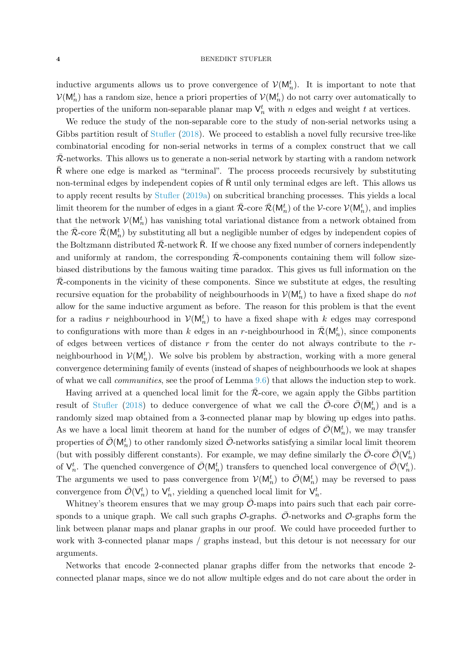inductive arguments allows us to prove convergence of  $\mathcal{V}(\mathsf{M}_n^t)$ . It is important to note that  $\mathcal{V}(\mathsf{M}_n^t)$  has a random size, hence a priori properties of  $\mathcal{V}(\mathsf{M}_n^t)$  do not carry over automatically to properties of the uniform non-separable planar map  $\mathsf{V}_n^t$  with n edges and weight t at vertices.

We reduce the study of the non-separable core to the study of non-serial networks using a Gibbs partition result of Stufler (2018). We proceed to establish a novel fully recursive tree-like combinatorial encoding for non-serial networks in terms of a complex construct that we call  $\mathcal{R}$ -networks. This allows us to generate a non-serial network by starting with a random network  $\bar{R}$  where one edge is marked as "terminal". The process proceeds recursively by substituting non-terminal edges by independent copies of  $\overline{R}$  until only terminal edges are left. This allows us to apply recent results by [Stufler](#page-61-3) [\(2019a](#page-61-3)) on subcritical branching processes. This yields a local limit theorem for the number of edges in a giant  $\bar{\mathcal{R}}$ -core  $\bar{\mathcal{R}}(\mathsf{M}_n^t)$  of the V-core  $\mathcal{V}(\mathsf{M}_n^t)$ , and implies that the network  $\mathcal{V}(\mathsf{M}_n^t)$  has vanishing total variational distance from a network obtained from the  $\bar{\mathcal{R}}$ -core  $\bar{\mathcal{R}}(\mathsf{M}_n^t)$  by substituting all but a negligible number of edges by independent copies of the Boltzmann distributed  $\bar{\mathcal{R}}$ -network R. If we choose any fixed number of corners independently and uniformly at random, the corresponding  $R$ -components containing them will follow sizebiased distributions by the famous waiting time paradox. This gives us full information on the  $\overline{\mathcal{R}}$ -components in the vicinity of these components. Since we substitute at edges, the resulting recursive equation for the probability of neighbourhoods in  $\mathcal{V}(\mathsf{M}_n^t)$  to have a fixed shape do *not* allow for the same inductive argument as before. The reason for this problem is that the event for a radius r neighbourhood in  $\mathcal{V}(\mathsf{M}_n^t)$  to have a fixed shape with k edges may correspond to configurations with more than k edges in an r-neighbourhood in  $\bar{\mathcal{R}}(\mathsf{M}_n^t)$ , since components of edges between vertices of distance  $r$  from the center do not always contribute to the  $r$ neighbourhood in  $V(\mathsf{M}_n^t)$ . We solve bis problem by abstraction, working with a more general convergence determining family of events (instead of shapes of neighbourhoods we look at shapes of what we call communities, see the proof of Lemma [9.6\)](#page-33-0) that allows the induction step to work.

Having arrived at a quenched local limit for the  $R$ -core, we again apply the Gibbs partition result of Stufler (2018) to deduce convergence of what we call the  $\bar{\mathcal{O}}$ -core  $\bar{\mathcal{O}}(\mathsf{M}_n^t)$  and is a randomly sized map obtained from a 3-connected planar map by blowing up edges into paths. As we have a local limit theorem at hand for the number of edges of  $\bar{\mathcal{O}}(\mathsf{M}_n^t)$ , we may transfer properties of  $\bar{\mathcal{O}}(\mathsf{M}_n^t)$  to other randomly sized  $\bar{\mathcal{O}}$ -networks satisfying a similar local limit theorem (but with possibly different constants). For example, we may define similarly the  $\bar{\mathcal{O}}$ -core  $\bar{\mathcal{O}}(\mathsf{V}_n^t)$ of  $\mathsf{V}_n^t$ . The quenched convergence of  $\bar{\mathcal{O}}(\mathsf{M}_n^t)$  transfers to quenched local convergence of  $\bar{\mathcal{O}}(\mathsf{V}_n^t)$ . The arguments we used to pass convergence from  $\mathcal{V}(\mathsf{M}_n^t)$  to  $\overline{\mathcal{O}}(\mathsf{M}_n^t)$  may be reversed to pass convergence from  $\bar{\mathcal{O}}(\mathsf{V}_n^t)$  to  $\mathsf{V}_n^t$ , yielding a quenched local limit for  $\mathsf{V}_n^t$ .

Whitney's theorem ensures that we may group  $\overline{\mathcal{O}}$ -maps into pairs such that each pair corresponds to a unique graph. We call such graphs  $\mathcal{O}$ -graphs.  $\bar{\mathcal{O}}$ -networks and  $\mathcal{O}$ -graphs form the link between planar maps and planar graphs in our proof. We could have proceeded further to work with 3-connected planar maps / graphs instead, but this detour is not necessary for our arguments.

Networks that encode 2-connected planar graphs differ from the networks that encode 2 connected planar maps, since we do not allow multiple edges and do not care about the order in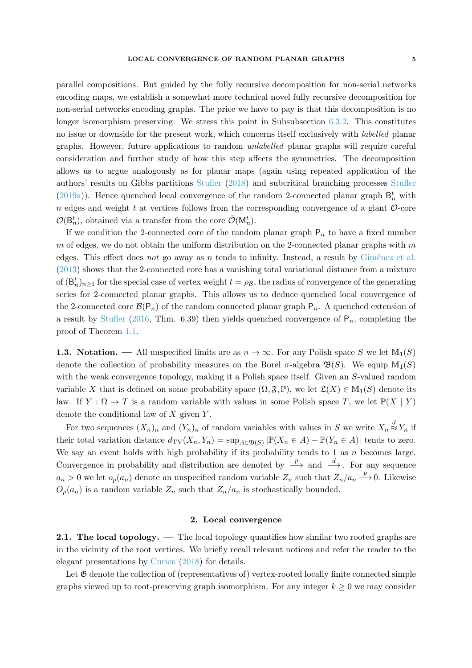parallel compositions. But guided by the fully recursive decomposition for non-serial networks encoding maps, we establish a somewhat more technical novel fully recursive decomposition for non-serial networks encoding graphs. The price we have to pay is that this decomposition is no longer isomorphism preserving. We stress this point in Subsubsection [6.3.2.](#page-17-0) This constitutes no issue or downside for the present work, which concerns itself exclusively with labelled planar graphs. However, future applications to random unlabelled planar graphs will require careful consideration and further study of how this step affects the symmetries. The decomposition allows us to argue analogously as for planar maps (again using repeated application of the authors' results on Gibbs partitions Stufler (2018) and subcritical branching processes [Stufler](#page-61-3) [\(2019a](#page-61-3))). Hence quenched local convergence of the random 2-connected planar graph  $\mathsf{B}_n^t$  with n edges and weight t at vertices follows from the corresponding convergence of a giant  $\mathcal{O}$ -core  $\mathcal{O}(\mathsf{B}_n^t)$ , obtained via a transfer from the core  $\bar{\mathcal{O}}(\mathsf{M}_n^t)$ .

If we condition the 2-connected core of the random planar graph  $P_n$  to have a fixed number  $m$  of edges, we do not obtain the uniform distribution on the 2-connected planar graphs with  $m$ edges. This effect does not go away as n tends to infinity. Instead, a result by Giménez et al. [\(2013\)](#page-59-5) shows that the 2-connected core has a vanishing total variational distance from a mixture of  $(\mathsf{B}_n^t)_{n\geq 1}$  for the special case of vertex weight  $t = \rho_{\mathcal{B}}$ , the radius of convergence of the generating series for 2-connected planar graphs. This allows us to deduce quenched local convergence of the 2-connected core  $\mathcal{B}(\mathsf{P}_n)$  of the random connected planar graph  $\mathsf{P}_n$ . A quenched extension of a result by [Stufler](#page-61-2) [\(2016](#page-61-2), Thm. 6.39) then yields quenched convergence of  $P_n$ , completing the proof of Theorem [1.1.](#page-0-1)

1.3. Notation. — All unspecified limits are as  $n \to \infty$ . For any Polish space S we let  $\mathbb{M}_1(S)$ denote the collection of probability measures on the Borel  $\sigma$ -algebra  $\mathfrak{B}(S)$ . We equip  $\mathbb{M}_1(S)$ with the weak convergence topology, making it a Polish space itself. Given an S-valued random variable X that is defined on some probability space  $(\Omega, \mathfrak{F}, \mathbb{P})$ , we let  $\mathfrak{L}(X) \in \mathbb{M}_1(S)$  denote its law. If  $Y : \Omega \to T$  is a random variable with values in some Polish space T, we let  $\mathbb{P}(X | Y)$ denote the conditional law of  $X$  given  $Y$ .

For two sequences  $(X_n)_n$  and  $(Y_n)_n$  of random variables with values in S we write  $X_n \stackrel{d}{\approx} Y_n$  if their total variation distance  $d_{\text{TV}}(X_n, Y_n) = \sup_{A \in \mathfrak{B}(S)} |\mathbb{P}(X_n \in A) - \mathbb{P}(Y_n \in A)|$  tends to zero. We say an event holds with high probability if its probability tends to 1 as  $n$  becomes large. Convergence in probability and distribution are denoted by  $\stackrel{p}{\longrightarrow}$  and  $\stackrel{d}{\longrightarrow}$ . For any sequence  $a_n > 0$  we let  $o_p(a_n)$  denote an unspecified random variable  $Z_n$  such that  $Z_n/a_n \stackrel{p}{\longrightarrow} 0$ . Likewise  $O_p(a_n)$  is a random variable  $Z_n$  such that  $Z_n/a_n$  is stochastically bounded.

# 2. Local convergence

<span id="page-4-0"></span>2.1. The local topology. — The local topology quantifies how similar two rooted graphs are in the vicinity of the root vertices. We briefly recall relevant notions and refer the reader to the elegant presentations by [Curien](#page-58-8) [\(2018](#page-58-8)) for details.

Let  $\mathfrak G$  denote the collection of (representatives of) vertex-rooted locally finite connected simple graphs viewed up to root-preserving graph isomorphism. For any integer  $k \geq 0$  we may consider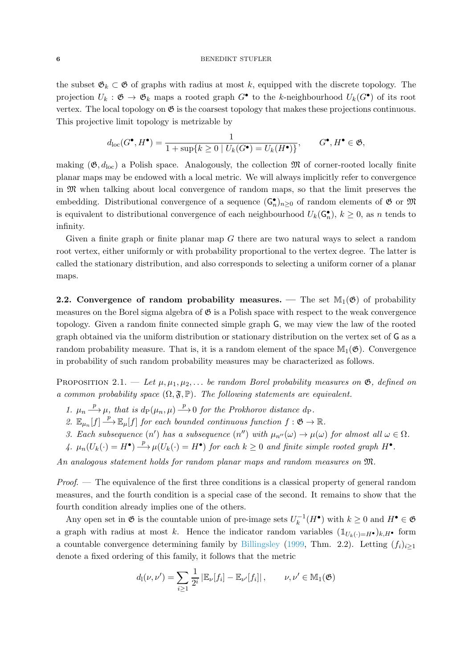### 6 BENEDIKT STUFLER

the subset  $\mathfrak{G}_k \subset \mathfrak{G}$  of graphs with radius at most k, equipped with the discrete topology. The projection  $U_k$ :  $\mathfrak{G} \to \mathfrak{G}_k$  maps a rooted graph  $G^{\bullet}$  to the k-neighbourhood  $U_k(G^{\bullet})$  of its root vertex. The local topology on  $\mathfrak G$  is the coarsest topology that makes these projections continuous. This projective limit topology is metrizable by

$$
d_{\rm loc}(G^{\bullet}, H^{\bullet}) = \frac{1}{1 + \sup\{k \ge 0 \mid U_k(G^{\bullet}) = U_k(H^{\bullet})\}}, \qquad G^{\bullet}, H^{\bullet} \in \mathfrak{G},
$$

making  $(\mathfrak{G}, d_{\text{loc}})$  a Polish space. Analogously, the collection  $\mathfrak{M}$  of corner-rooted locally finite planar maps may be endowed with a local metric. We will always implicitly refer to convergence in M when talking about local convergence of random maps, so that the limit preserves the embedding. Distributional convergence of a sequence  $(\mathsf{G}_n^{\bullet})_{n\geq 0}$  of random elements of  $\mathfrak G$  or  $\mathfrak M$ is equivalent to distributional convergence of each neighbourhood  $U_k(\mathsf{G}_n^{\bullet}), k \geq 0$ , as n tends to infinity.

Given a finite graph or finite planar map  $G$  there are two natural ways to select a random root vertex, either uniformly or with probability proportional to the vertex degree. The latter is called the stationary distribution, and also corresponds to selecting a uniform corner of a planar maps.

**2.2.** Convergence of random probability measures. — The set  $\mathbb{M}_1(\mathfrak{G})$  of probability measures on the Borel sigma algebra of  $\mathfrak{G}$  is a Polish space with respect to the weak convergence topology. Given a random finite connected simple graph G, we may view the law of the rooted graph obtained via the uniform distribution or stationary distribution on the vertex set of G as a random probability measure. That is, it is a random element of the space  $\mathbb{M}_1(\mathfrak{G})$ . Convergence in probability of such random probability measures may be characterized as follows.

<span id="page-5-0"></span>PROPOSITION 2.1. — Let  $\mu, \mu_1, \mu_2, \ldots$  be random Borel probability measures on  $\mathfrak{G}$ , defined on a common probability space  $(\Omega, \mathfrak{F}, \mathbb{P})$ . The following statements are equivalent.

- 1.  $\mu_n \stackrel{p}{\longrightarrow} \mu$ , that is  $d_P(\mu_n, \mu) \stackrel{p}{\longrightarrow} 0$  for the Prokhorov distance  $d_P$ .
- 2.  $\mathbb{E}_{\mu_n}[f] \stackrel{p}{\longrightarrow} \mathbb{E}_{\mu}[f]$  for each bounded continuous function  $f : \mathfrak{G} \to \mathbb{R}$ .
- 3. Each subsequence  $(n')$  has a subsequence  $(n'')$  with  $\mu_{n''}(\omega) \to \mu(\omega)$  for almost all  $\omega \in \Omega$ .
- 4.  $\mu_n(U_k(\cdot) = H^{\bullet}) \xrightarrow{p} \mu(U_k(\cdot) = H^{\bullet})$  for each  $k \geq 0$  and finite simple rooted graph  $H^{\bullet}$ .

An analogous statement holds for random planar maps and random measures on M.

*Proof.* — The equivalence of the first three conditions is a classical property of general random measures, and the fourth condition is a special case of the second. It remains to show that the fourth condition already implies one of the others.

Any open set in  $\mathfrak G$  is the countable union of pre-image sets  $U_k^{-1}(H^{\bullet})$  with  $k \geq 0$  and  $H^{\bullet} \in \mathfrak G$ a graph with radius at most k. Hence the indicator random variables  $(1_{U_k(\cdot)=H^{\bullet}})_{k,H^{\bullet}}$  form a countable convergence determining family by [Billingsley](#page-57-6) [\(1999,](#page-57-6) Thm. 2.2). Letting  $(f_i)_{i\geq 1}$ denote a fixed ordering of this family, it follows that the metric

$$
d_1(\nu,\nu')=\sum_{i\geq 1}\frac{1}{2^i}\left|\mathbb{E}_{\nu}[f_i]-\mathbb{E}_{\nu'}[f_i]\right|,\qquad \nu,\nu'\in\mathbb{M}_1(\mathfrak{G})
$$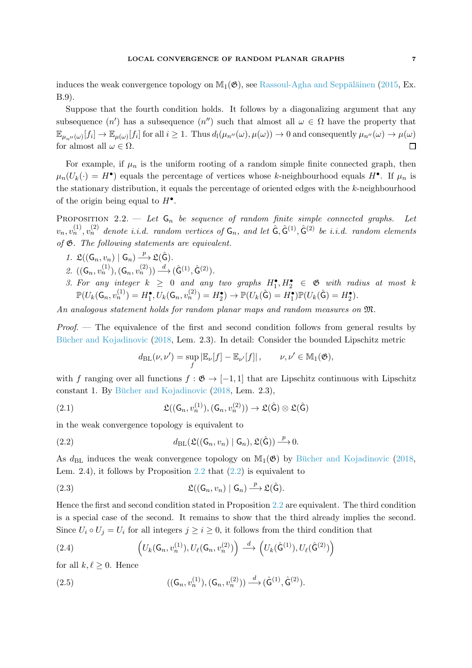induces the weak convergence topology on  $\mathbb{M}_{1}(\mathfrak{G})$ , see Rassoul-Agha and Seppäläinen [\(2015,](#page-61-4) Ex. B.9).

Suppose that the fourth condition holds. It follows by a diagonalizing argument that any subsequence  $(n')$  has a subsequence  $(n'')$  such that almost all  $\omega \in \Omega$  have the property that  $\mathbb{E}_{\mu_{n''}(\omega)}[f_i] \to \mathbb{E}_{\mu(\omega)}[f_i]$  for all  $i \geq 1$ . Thus  $d_1(\mu_{n''}(\omega), \mu(\omega)) \to 0$  and consequently  $\mu_{n''}(\omega) \to \mu(\omega)$  $\Box$ for almost all  $\omega \in \Omega$ .

For example, if  $\mu_n$  is the uniform rooting of a random simple finite connected graph, then  $\mu_n(U_k(\cdot) = H^{\bullet})$  equals the percentage of vertices whose k-neighbourhood equals  $H^{\bullet}$ . If  $\mu_n$  is the stationary distribution, it equals the percentage of oriented edges with the  $k$ -neighbourhood of the origin being equal to  $H^{\bullet}$ .

<span id="page-6-0"></span>PROPOSITION 2.2. — Let  $G_n$  be sequence of random finite simple connected graphs. Let  $v_n, v_n^{(1)}, v_n^{(2)}$  denote i.i.d. random vertices of  $\mathsf{G}_n$ , and let  $\hat{\mathsf{G}}, \hat{\mathsf{G}}^{(1)}, \hat{\mathsf{G}}^{(2)}$  be i.i.d. random elements of G. The following statements are equivalent.

- 1.  $\mathfrak{L}((\mathsf{G}_n, v_n) | \mathsf{G}_n) \xrightarrow{p} \mathfrak{L}(\hat{\mathsf{G}}).$
- 2.  $((G_n, v_n^{(1)}), (G_n, v_n^{(2)})) \stackrel{d}{\longrightarrow} (\hat{G}^{(1)}, \hat{G}^{(2)}).$
- 3. For any integer  $k \geq 0$  and any two graphs  $H_1^{\bullet}, H_2^{\bullet} \in \mathfrak{G}$  with radius at most k  $\mathbb{P}(U_k(\mathsf{G}_n, v_n^{(1)}) = H_1^{\bullet}, U_k(\mathsf{G}_n, v_n^{(2)}) = H_2^{\bullet}) \to \mathbb{P}(U_k(\hat{\mathsf{G}}) = H_1^{\bullet}) \mathbb{P}(U_k(\hat{\mathsf{G}}) = H_2^{\bullet}).$

An analogous statement holds for random planar maps and random measures on M.

 $Proof.$  — The equivalence of the first and second condition follows from general results by Bücher and Kojadinovic [\(2018,](#page-57-7) Lem. 2.3). In detail: Consider the bounded Lipschitz metric

$$
d_{\text{BL}}(\nu, \nu') = \sup_f |\mathbb{E}_{\nu}[f] - \mathbb{E}_{\nu'}[f]|, \qquad \nu, \nu' \in \mathbb{M}_1(\mathfrak{G}),
$$

with f ranging over all functions  $f : \mathfrak{G} \to [-1,1]$  that are Lipschitz continuous with Lipschitz constant 1. By Bücher and Kojadinovic  $(2018, \text{ Lem. } 2.3),$  $(2018, \text{ Lem. } 2.3),$ 

(2.1) 
$$
\mathfrak{L}((\mathsf{G}_n,v_n^{(1)}),(\mathsf{G}_n,v_n^{(2)})) \to \mathfrak{L}(\hat{\mathsf{G}}) \otimes \mathfrak{L}(\hat{\mathsf{G}})
$$

in the weak convergence topology is equivalent to

<span id="page-6-1"></span>(2.2) 
$$
d_{\text{BL}}(\mathfrak{L}((\mathsf{G}_n,v_n)\mid \mathsf{G}_n),\mathfrak{L}(\hat{\mathsf{G}}))\stackrel{p}{\longrightarrow}0.
$$

As  $d_{BL}$  induces the weak convergence topology on  $\mathbb{M}_1(\mathfrak{G})$  by Bücher and Kojadinovic [\(2018](#page-57-7), Lem. 2.4), it follows by Proposition [2.2](#page-6-0) that [\(2.2\)](#page-6-1) is equivalent to

(2.3) 
$$
\mathfrak{L}((\mathsf{G}_n,v_n)\mid \mathsf{G}_n) \xrightarrow{p} \mathfrak{L}(\hat{\mathsf{G}}).
$$

Hence the first and second condition stated in Proposition [2.2](#page-6-0) are equivalent. The third condition is a special case of the second. It remains to show that the third already implies the second. Since  $U_i \circ U_j = U_i$  for all integers  $j \geq i \geq 0$ , it follows from the third condition that

(2.4) 
$$
\left(U_k(\mathsf{G}_n,v_n^{(1)}),U_\ell(\mathsf{G}_n,v_n^{(2)})\right) \stackrel{d}{\longrightarrow} \left(U_k(\hat{\mathsf{G}}^{(1)}),U_\ell(\hat{\mathsf{G}}^{(2)})\right)
$$

for all  $k, \ell \geq 0$ . Hence

(2.5) 
$$
((G_n, v_n^{(1)}), (G_n, v_n^{(2)})) \xrightarrow{d} (\hat{G}^{(1)}, \hat{G}^{(2)}).
$$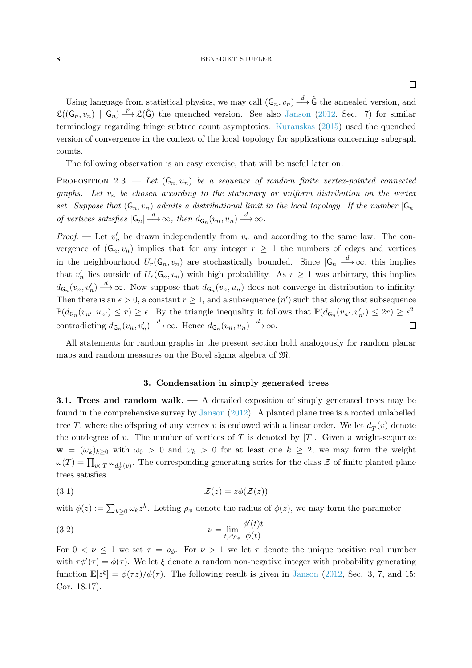### 8 BENEDIKT STUFLER

Using language from statistical physics, we may call  $(G_n, v_n) \stackrel{d}{\longrightarrow} \hat{G}$  the annealed version, and  $\mathfrak{L}((\mathsf{G}_n, v_n) \mid \mathsf{G}_n) \longrightarrow \mathfrak{L}(\hat{\mathsf{G}})$  the quenched version. See also [Janson](#page-59-6) [\(2012,](#page-59-6) Sec. 7) for similar terminology regarding fringe subtree count asymptotics. [Kurauskas](#page-59-4) [\(2015\)](#page-59-4) used the quenched version of convergence in the context of the local topology for applications concerning subgraph counts.

<span id="page-7-2"></span>The following observation is an easy exercise, that will be useful later on.

PROPOSITION 2.3. — Let  $(G_n, u_n)$  be a sequence of random finite vertex-pointed connected graphs. Let  $v_n$  be chosen according to the stationary or uniform distribution on the vertex set. Suppose that  $(G_n, v_n)$  admits a distributional limit in the local topology. If the number  $|G_n|$ of vertices satisfies  $|\mathsf{G}_n| \stackrel{d}{\longrightarrow} \infty$ , then  $d_{\mathsf{G}_n}(v_n, u_n) \stackrel{d}{\longrightarrow} \infty$ .

*Proof.* — Let  $v'_n$  be drawn independently from  $v_n$  and according to the same law. The convergence of  $(G_n, v_n)$  implies that for any integer  $r \geq 1$  the numbers of edges and vertices in the neighbourhood  $U_r(\mathsf{G}_n, v_n)$  are stochastically bounded. Since  $|\mathsf{G}_n| \stackrel{d}{\longrightarrow} \infty$ , this implies that  $v'_n$  lies outside of  $U_r(\mathsf{G}_n, v_n)$  with high probability. As  $r \geq 1$  was arbitrary, this implies  $d\mathbf{G}_n(v_n, v'_n) \stackrel{d}{\longrightarrow} \infty$ . Now suppose that  $d\mathbf{G}_n(v_n, u_n)$  does not converge in distribution to infinity. Then there is an  $\epsilon > 0$ , a constant  $r \geq 1$ , and a subsequence  $(n')$  such that along that subsequence  $\mathbb{P}(d_{\mathsf{G}_n}(v_{n'}, u_{n'}) \leq r) \geq \epsilon$ . By the triangle inequality it follows that  $\mathbb{P}(d_{\mathsf{G}_n}(v_{n'}, v'_{n'}) \leq 2r) \geq \epsilon^2$ , contradicting  $d_{\mathsf{G}_n}(v_n, v'_n) \stackrel{d}{\longrightarrow} \infty$ . Hence  $d_{\mathsf{G}_n}(v_n, u_n) \stackrel{d}{\longrightarrow} \infty$ .  $\Box$ 

All statements for random graphs in the present section hold analogously for random planar maps and random measures on the Borel sigma algebra of M.

# 3. Condensation in simply generated trees

**3.1. Trees and random walk.**  $\longrightarrow$  A detailed exposition of simply generated trees may be found in the comprehensive survey by [Janson](#page-59-6) [\(2012](#page-59-6)). A planted plane tree is a rooted unlabelled tree T, where the offspring of any vertex v is endowed with a linear order. We let  $d^+_{T}(v)$  denote the outdegree of v. The number of vertices of T is denoted by  $|T|$ . Given a weight-sequence  $\mathbf{w} = (\omega_k)_{k>0}$  with  $\omega_0 > 0$  and  $\omega_k > 0$  for at least one  $k \geq 2$ , we may form the weight  $\omega(T) = \prod_{v \in T} \omega_{d_T^+(v)}$ . The corresponding generating series for the class  $\mathcal Z$  of finite planted plane trees satisfies

$$
(3.1) \t\t\t\t\t\mathcal{Z}(z) = z\phi(\mathcal{Z}(z))
$$

with  $\phi(z) := \sum_{k \geq 0} \omega_k z^k$ . Letting  $\rho_{\phi}$  denote the radius of  $\phi(z)$ , we may form the parameter

<span id="page-7-0"></span>(3.2) 
$$
\nu = \lim_{t \nearrow \rho_{\phi}} \frac{\phi'(t)t}{\phi(t)}
$$

<span id="page-7-1"></span>For  $0 < \nu \leq 1$  we set  $\tau = \rho_{\phi}$ . For  $\nu > 1$  we let  $\tau$  denote the unique positive real number with  $\tau \phi'(\tau) = \phi(\tau)$ . We let  $\xi$  denote a random non-negative integer with probability generating function  $\mathbb{E}[z^{\xi}] = \phi(\tau z)/\phi(\tau)$ . The following result is given in [Janson](#page-59-6) [\(2012](#page-59-6), Sec. 3, 7, and 15; Cor. 18.17).

 $\Box$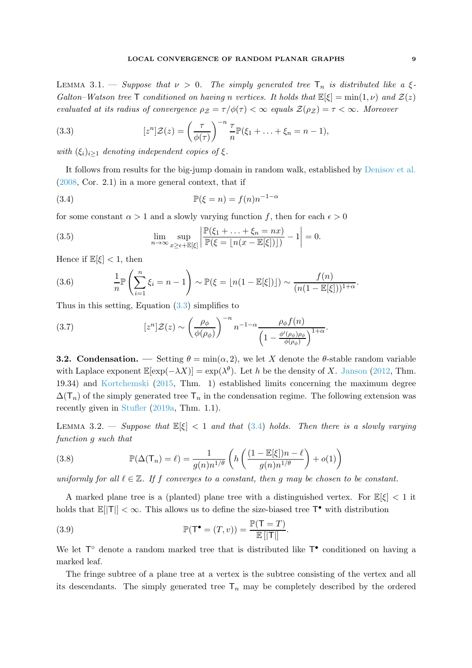LEMMA 3.1. — Suppose that  $\nu > 0$ . The simply generated tree  $T_n$  is distributed like a  $\xi$ -Galton–Watson tree T conditioned on having n vertices. It holds that  $\mathbb{E}[\xi] = \min(1, \nu)$  and  $\mathcal{Z}(z)$ evaluated at its radius of convergence  $\rho_z = \tau / \phi(\tau) < \infty$  equals  $\mathcal{Z}(\rho_z) = \tau < \infty$ . Moreover

<span id="page-8-0"></span>(3.3) 
$$
[z^n]\mathcal{Z}(z) = \left(\frac{\tau}{\phi(\tau)}\right)^{-n} \frac{\tau}{n} \mathbb{P}(\xi_1 + \ldots + \xi_n = n-1),
$$

with  $(\xi_i)_{i\geq 1}$  denoting independent copies of  $\xi$ .

It follows from results for the big-jump domain in random walk, established by [Denisov et al.](#page-58-5) [\(2008,](#page-58-5) Cor. 2.1) in a more general context, that if

<span id="page-8-1"></span>(3.4) 
$$
\mathbb{P}(\xi = n) = f(n)n^{-1-\alpha}
$$

for some constant  $\alpha > 1$  and a slowly varying function f, then for each  $\epsilon > 0$ 

<span id="page-8-4"></span>(3.5) 
$$
\lim_{n \to \infty} \sup_{x \ge \epsilon + \mathbb{E}[\xi]} \left| \frac{\mathbb{P}(\xi_1 + \dots + \xi_n = nx)}{\mathbb{P}(\xi = \lfloor n(x - \mathbb{E}[\xi]) \rfloor)} - 1 \right| = 0.
$$

Hence if  $\mathbb{E}[\xi] < 1$ , then

(3.6) 
$$
\frac{1}{n}\mathbb{P}\left(\sum_{i=1}^n \xi_i = n-1\right) \sim \mathbb{P}(\xi = \lfloor n(1-\mathbb{E}[\xi]) \rfloor) \sim \frac{f(n)}{(n(1-\mathbb{E}[\xi]))^{1+\alpha}}.
$$

Thus in this setting, Equation  $(3.3)$  simplifies to

<span id="page-8-3"></span>(3.7) 
$$
[z^n]\mathcal{Z}(z) \sim \left(\frac{\rho_{\phi}}{\phi(\rho_{\phi})}\right)^{-n} n^{-1-\alpha} \frac{\rho_{\phi}f(n)}{\left(1 - \frac{\phi'(\rho_{\phi})\rho_{\phi}}{\phi(\rho_{\phi})}\right)^{1+\alpha}}.
$$

<span id="page-8-5"></span>**3.2.** Condensation. — Setting  $\theta = \min(\alpha, 2)$ , we let X denote the  $\theta$ -stable random variable with Laplace exponent  $\mathbb{E}[\exp(-\lambda X)] = \exp(\lambda^{\theta})$ . Let h be the density of X. [Janson](#page-59-6) [\(2012,](#page-59-6) Thm. 19.34) and [Kortchemski](#page-59-7) [\(2015](#page-59-7), Thm. 1) established limits concerning the maximum degree  $\Delta(T_n)$  of the simply generated tree  $T_n$  in the condensation regime. The following extension was recently given in [Stufler](#page-61-3) [\(2019a,](#page-61-3) Thm. 1.1).

<span id="page-8-2"></span>LEMMA 3.2. — Suppose that  $\mathbb{E}[\xi] < 1$  and that [\(3.4\)](#page-8-1) holds. Then there is a slowly varying function g such that

(3.8) 
$$
\mathbb{P}(\Delta(\mathsf{T}_n) = \ell) = \frac{1}{g(n)n^{1/\theta}} \left( h\left( \frac{(1 - \mathbb{E}[\xi])n - \ell}{g(n)n^{1/\theta}} \right) + o(1) \right)
$$

uniformly for all  $\ell \in \mathbb{Z}$ . If f converges to a constant, then g may be chosen to be constant.

A marked plane tree is a (planted) plane tree with a distinguished vertex. For  $\mathbb{E}[\xi] < 1$  it holds that  $\mathbb{E}[|T|] < \infty$ . This allows us to define the size-biased tree  $T^{\bullet}$  with distribution

(3.9) 
$$
\mathbb{P}(\mathsf{T}^{\bullet}=(T,v))=\frac{\mathbb{P}(\mathsf{T}=T)}{\mathbb{E}[\|\mathsf{T}|\]}.
$$

We let  $T^{\circ}$  denote a random marked tree that is distributed like  $T^{\bullet}$  conditioned on having a marked leaf.

The fringe subtree of a plane tree at a vertex is the subtree consisting of the vertex and all its descendants. The simply generated tree  $T_n$  may be completely described by the ordered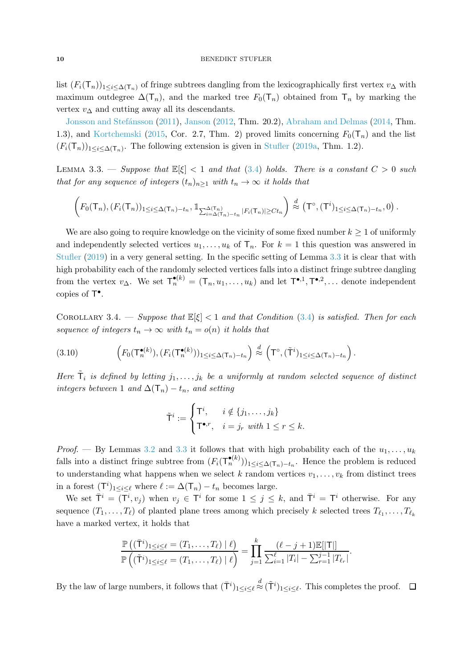list  $(F_i(\mathsf{T}_n))_{1\leq i\leq \Delta(\mathsf{T}_n)}$  of fringe subtrees dangling from the lexicographically first vertex  $v_{\Delta}$  with maximum outdegree  $\Delta(T_n)$ , and the marked tree  $F_0(T_n)$  obtained from  $T_n$  by marking the vertex  $v_{\Delta}$  [and cutting awa](#page-59-8)y all its descendants.

<span id="page-9-0"></span>Jonsson and Stefánsson [\(2011](#page-59-8)), [Janson](#page-59-6) [\(2012](#page-59-6), Thm. 20.2), [Abraham and Delmas](#page-56-0) [\(2014](#page-56-0), Thm. 1.3), and [Kortchemski](#page-59-7) [\(2015,](#page-59-7) Cor. 2.7, Thm. 2) proved limits concerning  $F_0(T_n)$  and the list  $(F_i(\mathsf{T}_n))_{1 \leq i \leq \Delta(\mathsf{T}_n)}$ . The following extension is given in [Stufler](#page-61-3) [\(2019a,](#page-61-3) Thm. 1.2).

LEMMA 3.3. — Suppose that  $\mathbb{E}[\xi] < 1$  and that [\(3.4\)](#page-8-1) holds. There is a constant  $C > 0$  such that for any sequence of integers  $(t_n)_{n\geq 1}$  with  $t_n \to \infty$  it holds that

$$
\left(F_0(\mathsf{T}_n), (F_i(\mathsf{T}_n))_{1\leq i\leq \Delta(\mathsf{T}_n)-t_n}, \mathbb{1}_{\sum_{i=\Delta(\mathsf{T}_n)-t_n}^{\Delta(\mathsf{T}_n)} |F_i(\mathsf{T}_n)| \geq Ct_n}\right) \stackrel{d}{\approx} \left(\mathsf{T}^\circ, (\mathsf{T}^i)_{1\leq i\leq \Delta(\mathsf{T}_n)-t_n}, 0\right).
$$

We are also going to require knowledge on the vicinity of some fixed number  $k \geq 1$  of uniformly and independently selected vertices  $u_1, \ldots, u_k$  of  $\mathsf{T}_n$ . For  $k = 1$  this question was answered in [Stufler](#page-61-5) [\(2019](#page-61-5)) in a very general setting. In the specific setting of Lemma [3.3](#page-9-0) it is clear that with high probability each of the randomly selected vertices falls into a distinct fringe subtree dangling from the vertex  $v_{\Delta}$ . We set  $\mathsf{T}_{n}^{\bullet(k)} = (\mathsf{T}_{n}, u_{1}, \ldots, u_{k})$  and let  $\mathsf{T}^{\bullet,1}, \mathsf{T}^{\bullet,2}, \ldots$  denote independent copies of  $\mathsf{T}^\bullet$ .

<span id="page-9-1"></span>COROLLARY 3.4. — Suppose that  $\mathbb{E}[\xi] < 1$  and that Condition [\(3.4\)](#page-8-1) is satisfied. Then for each sequence of integers  $t_n \to \infty$  with  $t_n = o(n)$  it holds that

(3.10) 
$$
\left(F_0(\mathsf{T}_n^{\bullet(k)}), (F_i(\mathsf{T}_n^{\bullet(k)}))_{1\leq i\leq \Delta(\mathsf{T}_n)-t_n}\right) \stackrel{d}{\approx} \left(\mathsf{T}^{\circ}, (\tilde{\mathsf{T}}^i)_{1\leq i\leq \Delta(\mathsf{T}_n)-t_n}\right).
$$

Here  $\tilde{\mathsf{T}}_i$  is defined by letting  $j_1,\ldots,j_k$  be a uniformly at random selected sequence of distinct integers between 1 and  $\Delta(\mathsf{T}_n) - t_n$ , and setting

$$
\tilde{\mathsf{T}}^i := \begin{cases} \mathsf{T}^i, & i \notin \{j_1, \dots, j_k\} \\ \mathsf{T}^{\bullet, r}, & i = j_r \text{ with } 1 \le r \le k. \end{cases}
$$

*Proof.* — By Lemmas [3.2](#page-8-2) and [3.3](#page-9-0) it follows that with high probability each of the  $u_1, \ldots, u_k$ falls into a distinct fringe subtree from  $(F_i(\mathsf{T}_n^{\bullet(k)}))_{1 \leq i \leq \Delta(\mathsf{T}_n)-t_n}$ . Hence the problem is reduced to understanding what happens when we select k random vertices  $v_1, \ldots, v_k$  from distinct trees in a forest  $(T<sup>i</sup>)_{1 \le i \le \ell}$  where  $\ell := \Delta(T_n) - t_n$  becomes large.

We set  $\bar{\mathsf{T}}^i = (\mathsf{T}^i, v_j)$  when  $v_j \in \mathsf{T}^i$  for some  $1 \leq j \leq k$ , and  $\bar{\mathsf{T}}^i = \mathsf{T}^i$  otherwise. For any sequence  $(T_1, \ldots, T_\ell)$  of planted plane trees among which precisely k selected trees  $T_{\ell_1}, \ldots, T_{\ell_k}$ have a marked vertex, it holds that

$$
\frac{\mathbb{P}\left((\bar{T}^i)_{1\leq i\leq \ell}=(T_1,\ldots,T_{\ell})\mid \ell\right)}{\mathbb{P}\left((\tilde{T}^i)_{1\leq i\leq \ell}=(T_1,\ldots,T_{\ell})\mid \ell\right)}=\prod_{j=1}^k\frac{(\ell-j+1)\mathbb{E}[|T|]}{\sum_{i=1}^{\ell}|T_i|-\sum_{r=1}^{j-1}|T_{\ell_r}|}.
$$

By the law of large numbers, it follows that  $(\bar{\mathsf{T}}^i)_{1 \leq i \leq \ell} \stackrel{d}{\approx} (\tilde{\mathsf{T}}^i)_{1 \leq i \leq \ell}$ . This completes the proof.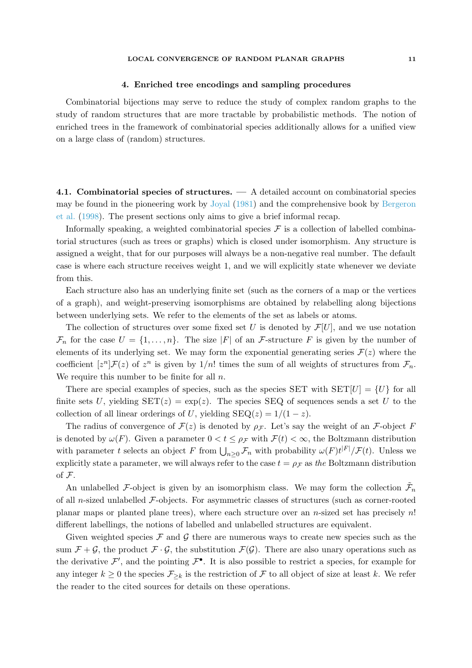### LOCAL CONVERGENCE OF RANDOM PLANAR GRAPHS 11

### 4. Enriched tree encodings and sampling procedures

Combinatorial bijections may serve to reduce the study of complex random graphs to the study of random structures that are more tractable by probabilistic methods. The notion of enriched trees in the framework of combinatorial species additionally allows for a unified view on a large class of (random) structures.

<span id="page-10-0"></span>4.1. Combinatorial species of structures. — A detailed account on combinatorial species may be found in the pioneering work by [Joyal](#page-59-9) [\(1981](#page-59-9)[\) and the comprehensive book by](#page-57-8) Bergeron et al. [\(1998\)](#page-57-8). The present sections only aims to give a brief informal recap.

Informally speaking, a weighted combinatorial species  $\mathcal F$  is a collection of labelled combinatorial structures (such as trees or graphs) which is closed under isomorphism. Any structure is assigned a weight, that for our purposes will always be a non-negative real number. The default case is where each structure receives weight 1, and we will explicitly state whenever we deviate from this.

Each structure also has an underlying finite set (such as the corners of a map or the vertices of a graph), and weight-preserving isomorphisms are obtained by relabelling along bijections between underlying sets. We refer to the elements of the set as labels or atoms.

The collection of structures over some fixed set U is denoted by  $\mathcal{F}[U]$ , and we use notation  $\mathcal{F}_n$  for the case  $U = \{1, \ldots, n\}$ . The size |F| of an F-structure F is given by the number of elements of its underlying set. We may form the exponential generating series  $\mathcal{F}(z)$  where the coefficient  $[z^n]\mathcal{F}(z)$  of  $z^n$  is given by  $1/n!$  times the sum of all weights of structures from  $\mathcal{F}_n$ . We require this number to be finite for all  $n$ .

There are special examples of species, such as the species SET with  $SET[U] = \{U\}$  for all finite sets U, yielding  $SET(z) = \exp(z)$ . The species SEQ of sequences sends a set U to the collection of all linear orderings of U, yielding  $SEQ(z) = 1/(1-z)$ .

The radius of convergence of  $\mathcal{F}(z)$  is denoted by  $\rho_{\mathcal{F}}$ . Let's say the weight of an  $\mathcal{F}\text{-object } F$ is denoted by  $\omega(F)$ . Given a parameter  $0 < t \leq \rho_F$  with  $\mathcal{F}(t) < \infty$ , the Boltzmann distribution with parameter t selects an object F from  $\bigcup_{n\geq 0} \mathcal{F}_n$  with probability  $\omega(F) t^{|F|} / \mathcal{F}(t)$ . Unless we explicitly state a parameter, we will always refer to the case  $t = \rho_{\mathcal{F}}$  as the Boltzmann distribution of F.

An unlabelled F-object is given by an isomorphism class. We may form the collection  $\tilde{\mathcal{F}}_n$ of all n-sized unlabelled  $\mathcal{F}\text{-objects}$ . For asymmetric classes of structures (such as corner-rooted planar maps or planted plane trees), where each structure over an *n*-sized set has precisely  $n!$ different labellings, the notions of labelled and unlabelled structures are equivalent.

Given weighted species  $\mathcal F$  and  $\mathcal G$  there are numerous ways to create new species such as the sum  $\mathcal{F} + \mathcal{G}$ , the product  $\mathcal{F} \cdot \mathcal{G}$ , the substitution  $\mathcal{F}(\mathcal{G})$ . There are also unary operations such as the derivative  $\mathcal{F}'$ , and the pointing  $\mathcal{F}^{\bullet}$ . It is also possible to restrict a species, for example for any integer  $k \geq 0$  the species  $\mathcal{F}_{\geq k}$  is the restriction of  $\mathcal F$  to all object of size at least k. We refer the reader to the cited sources for details on these operations.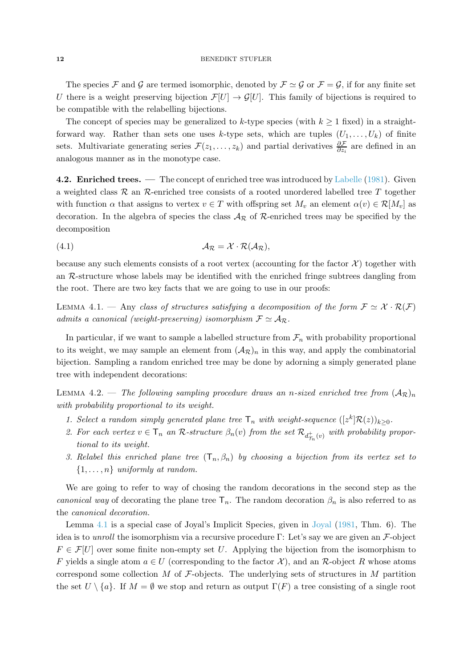The species F and G are termed isomorphic, denoted by  $\mathcal{F} \simeq \mathcal{G}$  or  $\mathcal{F} = \mathcal{G}$ , if for any finite set U there is a weight preserving bijection  $\mathcal{F}[U] \to \mathcal{G}[U]$ . This family of bijections is required to be compatible with the relabelling bijections.

The concept of species may be generalized to k-type species (with  $k \geq 1$  fixed) in a straightforward way. Rather than sets one uses k-type sets, which are tuples  $(U_1, \ldots, U_k)$  of finite sets. Multivariate generating series  $\mathcal{F}(z_1,\ldots,z_k)$  and partial derivatives  $\frac{\partial \mathcal{F}}{\partial z_i}$  are defined in an analogous manner as in the monotype case.

<span id="page-11-2"></span>4.2. Enriched trees. — The concept of enriched tree was introduced by [Labelle](#page-59-10) [\(1981\)](#page-59-10). Given a weighted class  $\mathcal R$  an  $\mathcal R$ -enriched tree consists of a rooted unordered labelled tree T together with function  $\alpha$  that assigns to vertex  $v \in T$  with offspring set  $M_v$  an element  $\alpha(v) \in \mathcal{R}[M_v]$  as decoration. In the algebra of species the class  $A_{\mathcal{R}}$  of  $\mathcal{R}$ -enriched trees may be specified by the decomposition

$$
A_{\mathcal{R}} = \mathcal{X} \cdot \mathcal{R}(A_{\mathcal{R}}),
$$

because any such elements consists of a root vertex (accounting for the factor  $\mathcal{X}$ ) together with an R-structure whose labels may be identified with the enriched fringe subtrees dangling from the root. There are two key facts that we are going to use in our proofs:

<span id="page-11-0"></span>LEMMA 4.1. — Any class of structures satisfying a decomposition of the form  $\mathcal{F} \simeq \mathcal{X} \cdot \mathcal{R}(\mathcal{F})$ admits a canonical (weight-preserving) isomorphism  $\mathcal{F} \simeq \mathcal{A}_{\mathcal{R}}$ .

In particular, if we want to sample a labelled structure from  $\mathcal{F}_n$  with probability proportional to its weight, we may sample an element from  $(\mathcal{A}_{\mathcal{R}})_n$  in this way, and apply the combinatorial bijection. Sampling a random enriched tree may be done by adorning a simply generated plane tree with independent decorations:

<span id="page-11-1"></span>LEMMA 4.2. — The following sampling procedure draws an n-sized enriched tree from  $(A_{\mathcal{R}})_{n}$ with probability proportional to its weight.

- 1. Select a random simply generated plane tree  $\mathsf{T}_n$  with weight-sequence  $([z^k]\mathcal{R}(z))_{k\geq 0}$ .
- 2. For each vertex  $v \in \mathsf{T}_n$  an R-structure  $\beta_n(v)$  from the set  $\mathcal{R}_{d_{\mathcal{T}_n}^+(v)}$  with probability proportional to its weight.
- 3. Relabel this enriched plane tree  $(T_n, \beta_n)$  by choosing a bijection from its vertex set to  $\{1, \ldots, n\}$  uniformly at random.

We are going to refer to way of chosing the random decorations in the second step as the canonical way of decorating the plane tree  $\mathsf{T}_n$ . The random decoration  $\beta_n$  is also referred to as the canonical decoration.

Lemma [4.1](#page-11-0) is a special case of Joyal's Implicit Species, given in [Joyal](#page-59-9) [\(1981,](#page-59-9) Thm. 6). The idea is to unroll the isomorphism via a recursive procedure Γ: Let's say we are given an  $\mathcal{F}\text{-object}$  $F \in \mathcal{F}[U]$  over some finite non-empty set U. Applying the bijection from the isomorphism to F yields a single atom  $a \in U$  (corresponding to the factor X), and an R-object R whose atoms correspond some collection  $M$  of  $\mathcal F$ -objects. The underlying sets of structures in  $M$  partition the set  $U \setminus \{a\}$ . If  $M = \emptyset$  we stop and return as output  $\Gamma(F)$  a tree consisting of a single root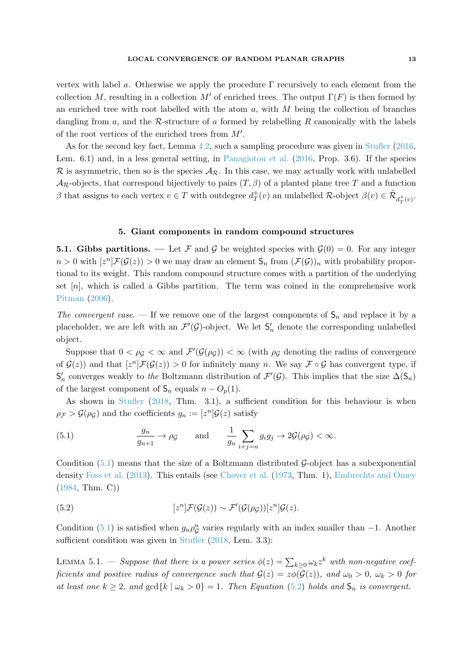vertex with label a. Otherwise we apply the procedure  $\Gamma$  recursively to each element from the collection M, resulting in a collection M' of enriched trees. The output  $\Gamma(F)$  is then formed by an enriched tree with root labelled with the atom  $a$ , with  $M$  being the collection of branches dangling from a, and the R-structure of a formed by relabelling R canonically with the labels

As for the second key fact, Lemma [4.2,](#page-11-1) such a sampling procedure was given in [Stufler](#page-61-2) [\(2016](#page-61-2), Lem. 6.1) and, in a less general setting, in [Panagiotou et al.](#page-60-7) [\(2016](#page-60-7), Prop. 3.6). If the species R is asymmetric, then so is the species  $A_{\mathcal{R}}$ . In this case, we may actually work with unlabelled  $A_{\mathcal{R}}$ -objects, that correspond bijectively to pairs  $(T, \beta)$  of a planted plane tree T and a function  $\beta$  that assigns to each vertex  $v \in T$  with outdegree  $d_T^+$  $T^+(v)$  an unlabelled  $\mathcal{R}$ -object  $\beta(v) \in \tilde{\mathcal{R}}_{d_T^+(v)}$ .

of the root vertices of the enriched trees from  $M'$ .

# 5. Giant components in random compound structures

5.1. Gibbs partitions. — Let F and G be weighted species with  $\mathcal{G}(0) = 0$ . For any integer  $n > 0$  with  $[z^n] \mathcal{F}(\mathcal{G}(z)) > 0$  we may draw an element  $\mathsf{S}_n$  from  $(\mathcal{F}(\mathcal{G}))_n$  with probability proportional to its weight. This random compound structure comes with a partition of the underlying set  $[n]$ , which is called a Gibbs partition. The term was coined in the comprehensive work [Pitman](#page-60-8) [\(2006\)](#page-60-8).

The convergent case. — If we remove one of the largest components of  $S_n$  and replace it by a placeholder, we are left with an  $\mathcal{F}'(\mathcal{G})$ -object. We let  $S'_n$  denote the corresponding unlabelled object.

Suppose that  $0 < \rho_g < \infty$  and  $\mathcal{F}'(\mathcal{G}(\rho_g)) < \infty$  (with  $\rho_g$  denoting the radius of convergence of  $\mathcal{G}(z)$  and that  $[z^n]\mathcal{F}(\mathcal{G}(z)) > 0$  for infinitely many n. We say  $\mathcal{F} \circ \mathcal{G}$  has convergent type, if  $\mathsf{S}'_n$  converges weakly to the Boltzmann distribution of  $\mathcal{F}'(\mathcal{G})$ . This implies that the size  $\Delta(\mathsf{S}_n)$ of the largest component of  $S_n$  equals  $n - O_p(1)$ .

As shown in Stufler (2018, Thm. 3.1), a sufficient condition for this behaviour is when  $\rho_{\mathcal{F}} > \mathcal{G}(\rho_{\mathcal{G}})$  and the coefficients  $g_n := [z^n] \mathcal{G}(z)$  satisfy

<span id="page-12-0"></span>(5.1) 
$$
\frac{g_n}{g_{n+1}} \to \rho g \quad \text{and} \quad \frac{1}{g_n} \sum_{i+j=n} g_i g_j \to 2\mathcal{G}(\rho g) < \infty.
$$

Condition  $(5.1)$  means that the size of a Boltzmann distributed G-object has a subexponential density [Foss et al.](#page-58-6) [\(2013](#page-58-6)). This entails (see [Chover et al.](#page-58-9) [\(1973,](#page-58-9) Thm. 1), [Embrechts and Omey](#page-58-10) [\(1984,](#page-58-10) Thm. C))

<span id="page-12-1"></span>(5.2) 
$$
[z^{n}]\mathcal{F}(\mathcal{G}(z)) \sim \mathcal{F}'(\mathcal{G}(\rho_{\mathcal{G}}))[z^{n}]\mathcal{G}(z).
$$

<span id="page-12-2"></span>Condition [\(5.1\)](#page-12-0) is satisfied when  $g_n \rho_G^n$  $\mathcal{G}$  varies regularly with an index smaller than  $-1$ . Another sufficient condition was given in Stufler (2018, Lem. 3.3):

LEMMA 5.1. — Suppose that there is a power series  $\phi(z) = \sum_{k\geq 0} \omega_k z^k$  with non-negative coefficients and positive radius of convergence such that  $G(z) = z\phi(G(z))$ , and  $\omega_0 > 0$ ,  $\omega_k > 0$  for at least one  $k \geq 2$ , and  $gcd\{k \mid \omega_k > 0\} = 1$ . Then Equation [\(5.2\)](#page-12-1) holds and  $S_n$  is convergent.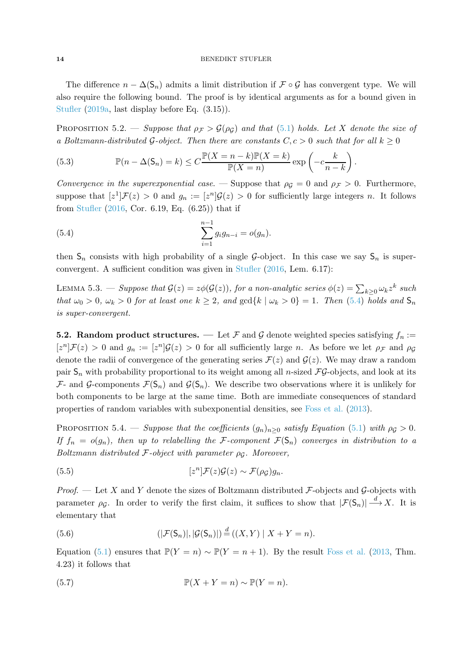### 14 BENEDIKT STUFLER

The difference  $n - \Delta(S_n)$  admits a limit distribution if  $\mathcal{F} \circ \mathcal{G}$  has convergent type. We will also require the following bound. The proof is by identical arguments as for a bound given in [Stufler](#page-61-3) [\(2019a](#page-61-3), last display before Eq. (3.15)).

<span id="page-13-5"></span>PROPOSITION 5.2. — Suppose that  $\rho_{\mathcal{F}} > \mathcal{G}(\rho_G)$  and that [\(5.1\)](#page-12-0) holds. Let X denote the size of a Boltzmann-distributed G-object. Then there are constants  $C, c > 0$  such that for all  $k \geq 0$ 

(5.3) 
$$
\mathbb{P}(n - \Delta(S_n) = k) \le C \frac{\mathbb{P}(X = n - k)\mathbb{P}(X = k)}{\mathbb{P}(X = n)} \exp\left(-c \frac{k}{n - k}\right).
$$

Convergence in the superexponential case. — Suppose that  $\rho_g = 0$  and  $\rho_f > 0$ . Furthermore, suppose that  $[z^1]\mathcal{F}(z) > 0$  and  $g_n := [z^n]\mathcal{G}(z) > 0$  for sufficiently large integers n. It follows from [Stufler](#page-61-2) [\(2016,](#page-61-2) Cor. 6.19, Eq. (6.25)) that if

<span id="page-13-0"></span>(5.4) 
$$
\sum_{i=1}^{n-1} g_i g_{n-i} = o(g_n).
$$

<span id="page-13-4"></span>then  $S_n$  consists with high probability of a single G-object. In this case we say  $S_n$  is superconvergent. A sufficient condition was given in [Stufler](#page-61-2) [\(2016](#page-61-2), Lem. 6.17):

LEMMA 5.3. – Suppose that  $\mathcal{G}(z) = z\phi(\mathcal{G}(z))$ , for a non-analytic series  $\phi(z) = \sum_{k\geq 0} \omega_k z^k$  such that  $\omega_0 > 0$ ,  $\omega_k > 0$  for at least one  $k \geq 2$ , and  $\gcd\{k \mid \omega_k > 0\} = 1$ . Then [\(5.4\)](#page-13-0) holds and  $\mathsf{S}_n$ is super-convergent.

**5.2. Random product structures.** — Let F and G denote weighted species satisfying  $f_n$ :  $[z^n]\mathcal{F}(z) > 0$  and  $g_n := [z^n]\mathcal{G}(z) > 0$  for all sufficiently large n. As before we let  $\rho_{\mathcal{F}}$  and  $\rho_{\mathcal{G}}$ denote the radii of convergence of the generating series  $\mathcal{F}(z)$  and  $\mathcal{G}(z)$ . We may draw a random pair  $S_n$  with probability proportional to its weight among all *n*-sized  $\mathcal{FG}$ -objects, and look at its  $\mathcal{F}_-$  and  $\mathcal{G}_-$  components  $\mathcal{F}(\mathsf{S}_n)$  and  $\mathcal{G}(\mathsf{S}_n)$ . We describe two observations where it is unlikely for both components to be large at the same time. Both are immediate consequences of standard properties of random variables with subexponential densities, see [Foss et al.](#page-58-6) [\(2013](#page-58-6)).

<span id="page-13-6"></span>PROPOSITION 5.4. — Suppose that the coefficients  $(g_n)_{n>0}$  satisfy Equation [\(5.1\)](#page-12-0) with  $\rho_g > 0$ . If  $f_n = o(g_n)$ , then up to relabelling the F-component  $\mathcal{F}(S_n)$  converges in distribution to a Boltzmann distributed F-object with parameter  $\rho_G$ . Moreover,

<span id="page-13-1"></span>(5.5) 
$$
[z^{n}]\mathcal{F}(z)\mathcal{G}(z) \sim \mathcal{F}(\rho_{\mathcal{G}})g_{n}.
$$

*Proof.* — Let X and Y denote the sizes of Boltzmann distributed  $\mathcal{F}$ -objects and  $\mathcal{G}$ -objects with parameter  $\rho_{\mathcal{G}}$ . In order to verify the first claim, it suffices to show that  $|\mathcal{F}(\mathsf{S}_n)| \stackrel{d}{\longrightarrow} X$ . It is elementary that

<span id="page-13-3"></span>(5.6) 
$$
(|\mathcal{F}(\mathsf{S}_n)|, |\mathcal{G}(\mathsf{S}_n)|) \stackrel{d}{=} ((X, Y) | X + Y = n).
$$

Equation [\(5.1\)](#page-12-0) ensures that  $\mathbb{P}(Y = n) \sim \mathbb{P}(Y = n + 1)$ . By the result [Foss et al.](#page-58-6) [\(2013,](#page-58-6) Thm. 4.23) it follows that

<span id="page-13-2"></span>(5.7) 
$$
\mathbb{P}(X+Y=n) \sim \mathbb{P}(Y=n).
$$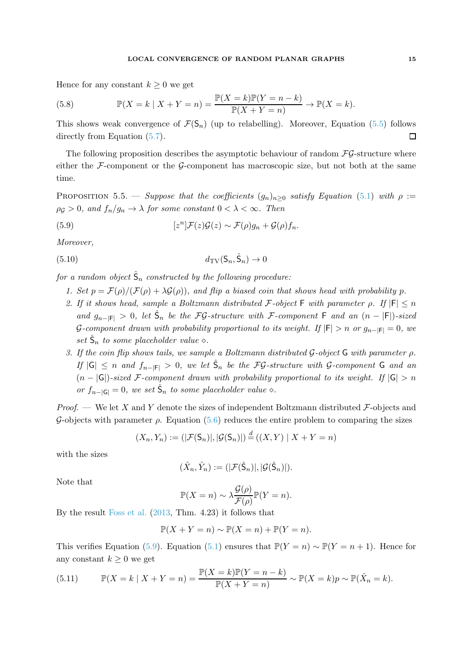### LOCAL CONVERGENCE OF RANDOM PLANAR GRAPHS 15

Hence for any constant  $k \geq 0$  we get

<span id="page-14-2"></span>(5.8) 
$$
\mathbb{P}(X = k \mid X + Y = n) = \frac{\mathbb{P}(X = k)\mathbb{P}(Y = n - k)}{\mathbb{P}(X + Y = n)} \to \mathbb{P}(X = k).
$$

This shows weak convergence of  $\mathcal{F}(\mathsf{S}_n)$  (up to relabelling). Moreover, Equation [\(5.5\)](#page-13-1) follows directly from Equation [\(5.7\)](#page-13-2).  $\Box$ 

<span id="page-14-3"></span>The following proposition describes the asymptotic behaviour of random  $\mathcal{FG}\text{-structure}$  where either the  $\mathcal{F}$ -component or the  $\mathcal{G}$ -component has macroscopic size, but not both at the same time.

PROPOSITION 5.5. — Suppose that the coefficients  $(g_n)_{n>0}$  satisfy Equation [\(5.1\)](#page-12-0) with  $\rho :=$  $\rho$ <sub>G</sub> > 0, and  $f_n/g_n \to \lambda$  for some constant  $0 < \lambda < \infty$ . Then

<span id="page-14-0"></span>(5.9) 
$$
[z^{n}]\mathcal{F}(z)\mathcal{G}(z) \sim \mathcal{F}(\rho)g_{n} + \mathcal{G}(\rho)f_{n}.
$$

Moreover,

<span id="page-14-1"></span>
$$
(5.10) \t d_{\mathrm{TV}}(\mathsf{S}_n, \hat{\mathsf{S}}_n) \to 0
$$

for a random object  $\hat{\mathsf{S}}_n$  constructed by the following procedure:

- 1. Set  $p = \mathcal{F}(\rho)/(\mathcal{F}(\rho) + \lambda \mathcal{G}(\rho))$ , and flip a biased coin that shows head with probability p.
- 2. If it shows head, sample a Boltzmann distributed F-object F with parameter  $\rho$ . If  $|F| \leq n$ and  $g_{n-|F|} > 0$ , let  $\hat{\mathsf{S}}_n$  be the FG-structure with F-component F and an  $(n-|F|)$ -sized G-component drawn with probability proportional to its weight. If  $|F| > n$  or  $g_{n-|F|} = 0$ , we set  $\hat{S}_n$  to some placeholder value  $\diamond$ .
- 3. If the coin flip shows tails, we sample a Boltzmann distributed  $\mathcal G$ -object  $\mathsf G$  with parameter  $\rho$ . If  $|G| \leq n$  and  $f_{n-|F|} > 0$ , we let  $\hat{S}_n$  be the FG-structure with G-component G and an  $(n - |G|)$ -sized F-component drawn with probability proportional to its weight. If  $|G| > n$ or  $f_{n-|\mathsf{G}|} = 0$ , we set  $\hat{\mathsf{S}}_n$  to some placeholder value  $\diamond$ .

*Proof.* — We let X and Y denote the sizes of independent Boltzmann distributed  $\mathcal{F}$ -objects and G-objects with parameter  $\rho$ . Equation [\(5.6\)](#page-13-3) reduces the entire problem to comparing the sizes

$$
(X_n, Y_n) := (|\mathcal{F}(\mathsf{S}_n)|, |\mathcal{G}(\mathsf{S}_n)|) \stackrel{d}{=} ((X, Y) | X + Y = n)
$$

with the sizes

$$
(\hat{X}_n, \hat{Y}_n) := (|\mathcal{F}(\hat{\mathsf{S}}_n)|, |\mathcal{G}(\hat{\mathsf{S}}_n)|).
$$

Note that

$$
\mathbb{P}(X=n) \sim \lambda \frac{\mathcal{G}(\rho)}{\mathcal{F}(\rho)} \mathbb{P}(Y=n).
$$

By the result [Foss et al.](#page-58-6) [\(2013,](#page-58-6) Thm. 4.23) it follows that

$$
\mathbb{P}(X+Y=n) \sim \mathbb{P}(X=n) + \mathbb{P}(Y=n).
$$

This verifies Equation [\(5.9\)](#page-14-0). Equation [\(5.1\)](#page-12-0) ensures that  $\mathbb{P}(Y = n) \sim \mathbb{P}(Y = n + 1)$ . Hence for any constant  $k \geq 0$  we get

(5.11) 
$$
\mathbb{P}(X = k \mid X + Y = n) = \frac{\mathbb{P}(X = k)\mathbb{P}(Y = n - k)}{\mathbb{P}(X + Y = n)} \sim \mathbb{P}(X = k)p \sim \mathbb{P}(\hat{X}_n = k).
$$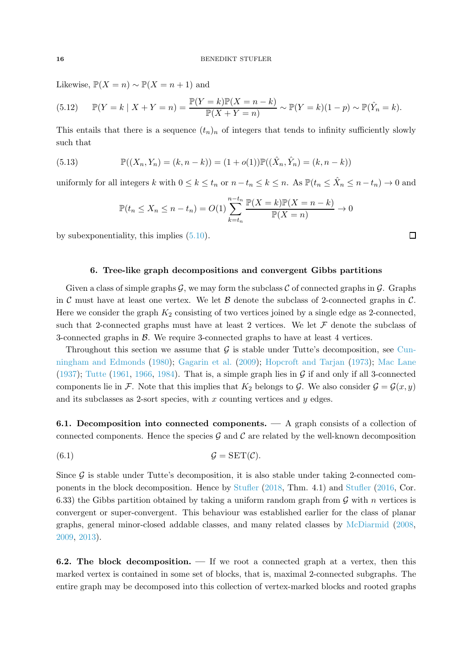Likewise,  $\mathbb{P}(X = n) \sim \mathbb{P}(X = n + 1)$  and

(5.12) 
$$
\mathbb{P}(Y = k | X + Y = n) = \frac{\mathbb{P}(Y = k)\mathbb{P}(X = n - k)}{\mathbb{P}(X + Y = n)} \sim \mathbb{P}(Y = k)(1 - p) \sim \mathbb{P}(\hat{Y}_n = k).
$$

This entails that there is a sequence  $(t_n)_n$  of integers that tends to infinity sufficiently slowly such that

(5.13) 
$$
\mathbb{P}((X_n, Y_n) = (k, n-k)) = (1+o(1))\mathbb{P}((\hat{X}_n, \hat{Y}_n) = (k, n-k))
$$

uniformly for all integers k with  $0 \le k \le t_n$  or  $n - t_n \le k \le n$ . As  $\mathbb{P}(t_n \le \hat{X}_n \le n - t_n) \to 0$  and

$$
\mathbb{P}(t_n \le X_n \le n - t_n) = O(1) \sum_{k=t_n}^{n-t_n} \frac{\mathbb{P}(X = k) \mathbb{P}(X = n - k)}{\mathbb{P}(X = n)} \to 0
$$

<span id="page-15-0"></span>by subexponentiality, this implies [\(5.10\)](#page-14-1).

#### 6. Tree-like graph decompositions and convergent Gibbs partitions

Given a class of simple graphs  $\mathcal G$ , we may form the subclass C of connected graphs in  $\mathcal G$ . Graphs in C must have at least one vertex. We let  $\beta$  denote the subclass of 2-connected graphs in C. Here we consider the graph  $K_2$  consisting of two vertices joined by a single edge as 2-connected, such that 2-connected graphs must have at least 2 vertices. We let  $\mathcal F$  denote the subclass of 3-connected graphs in B. We require 3-connected graphs to have at least 4 vertices.

Throughout this section we assume that  $\mathcal G$  [is stable under Tutte's decomposition, see](#page-58-11) Cunningham and Edmonds [\(1980](#page-58-11)); [Gagarin et al.](#page-59-11) [\(2009\)](#page-59-11); [Hopcroft and Tarjan](#page-59-12) [\(1973\)](#page-59-12); [Mac Lane](#page-60-9) [\(1937\)](#page-60-9); [Tutte](#page-61-6) [\(1961](#page-61-6), [1966,](#page-61-7) [1984\)](#page-61-8). That is, a simple graph lies in  $\mathcal G$  if and only if all 3-connected components lie in F. Note that this implies that  $K_2$  belongs to G. We also consider  $\mathcal{G} = \mathcal{G}(x, y)$ and its subclasses as 2-sort species, with  $x$  counting vertices and  $y$  edges.

6.1. Decomposition into connected components. — A graph consists of a collection of connected components. Hence the species  $\mathcal G$  and  $\mathcal C$  are related by the well-known decomposition

(6.1) G = SET(C).

Since  $\mathcal G$  is stable under Tutte's decomposition, it is also stable under taking 2-connected components in the block decomposition. Hence by Stufler (2018, Thm. 4.1) and [Stufler](#page-61-2) [\(2016,](#page-61-2) Cor. 6.33) the Gibbs partition obtained by taking a uniform random graph from  $\mathcal G$  with n vertices is convergent or super-convergent. This behaviour was established earlier for the class of planar graphs, general minor-closed addable classes, and many related classes by [McDiarmid](#page-60-10) [\(2008](#page-60-10), [2009,](#page-60-11) [2013\)](#page-60-12).

6.2. The block decomposition.  $\overline{a}$  if we root a connected graph at a vertex, then this marked vertex is contained in some set of blocks, that is, maximal 2-connected subgraphs. The entire graph may be decomposed into this collection of vertex-marked blocks and rooted graphs

 $\Box$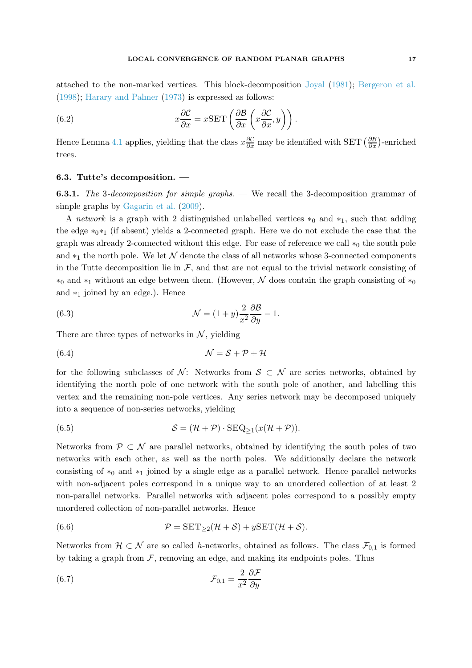attached to the non-marked vertices. This block-decomposition [Joyal](#page-59-9) [\(1981\)](#page-59-9); [Bergeron et al.](#page-57-8) [\(1998\)](#page-57-8); [Harary and Palmer](#page-59-13) [\(1973](#page-59-13)) is expressed as follows:

<span id="page-16-4"></span>(6.2) 
$$
x\frac{\partial \mathcal{C}}{\partial x} = x\text{SET}\left(\frac{\partial \mathcal{B}}{\partial x}\left(x\frac{\partial \mathcal{C}}{\partial x}, y\right)\right).
$$

Hence Lemma [4.1](#page-11-0) applies, yielding that the class  $x\frac{\partial \mathcal{C}}{\partial x}$  may be identified with SET  $(\frac{\partial \mathcal{B}}{\partial x})$ -enriched trees.

# 6.3. Tutte's decomposition. —

6.3.1. The 3-decomposition for simple graphs. — We recall the 3-decomposition grammar of simple graphs by [Gagarin et al.](#page-59-11) [\(2009\)](#page-59-11).

A network is a graph with 2 distinguished unlabelled vertices  $*_0$  and  $*_1$ , such that adding the edge  $*_{0}*_{1}$  (if absent) yields a 2-connected graph. Here we do not exclude the case that the graph was already 2-connected without this edge. For ease of reference we call  $*_0$  the south pole and  $*_1$  the north pole. We let N denote the class of all networks whose 3-connected components in the Tutte decomposition lie in  $\mathcal{F}$ , and that are not equal to the trivial network consisting of  $*_0$  and  $*_1$  without an edge between them. (However, N does contain the graph consisting of  $*_0$ and  $*_1$  joined by an edge.). Hence

<span id="page-16-3"></span>(6.3) 
$$
\mathcal{N} = (1+y)\frac{2}{x^2}\frac{\partial \mathcal{B}}{\partial y} - 1.
$$

There are three types of networks in  $N$ , yielding

<span id="page-16-0"></span>(6.4) N = S + P + H

for the following subclasses of N: Networks from  $S \subset \mathcal{N}$  are series networks, obtained by identifying the north pole of one network with the south pole of another, and labelling this vertex and the remaining non-pole vertices. Any series network may be decomposed uniquely into a sequence of non-series networks, yielding

<span id="page-16-1"></span>(6.5) 
$$
S = (\mathcal{H} + \mathcal{P}) \cdot \text{SEQ}_{\geq 1}(x(\mathcal{H} + \mathcal{P})).
$$

Networks from  $P \subset \mathcal{N}$  are parallel networks, obtained by identifying the south poles of two networks with each other, as well as the north poles. We additionally declare the network consisting of  $*_0$  and  $*_1$  joined by a single edge as a parallel network. Hence parallel networks with non-adjacent poles correspond in a unique way to an unordered collection of at least 2 non-parallel networks. Parallel networks with adjacent poles correspond to a possibly empty unordered collection of non-parallel networks. Hence

<span id="page-16-2"></span>(6.6) 
$$
\mathcal{P} = \text{SET}_{\geq 2}(\mathcal{H} + \mathcal{S}) + y\text{SET}(\mathcal{H} + \mathcal{S}).
$$

Networks from  $\mathcal{H} \subset \mathcal{N}$  are so called h-networks, obtained as follows. The class  $\mathcal{F}_{0,1}$  is formed by taking a graph from  $F$ , removing an edge, and making its endpoints poles. Thus

(6.7) 
$$
\mathcal{F}_{0,1} = \frac{2}{x^2} \frac{\partial \mathcal{F}}{\partial y}
$$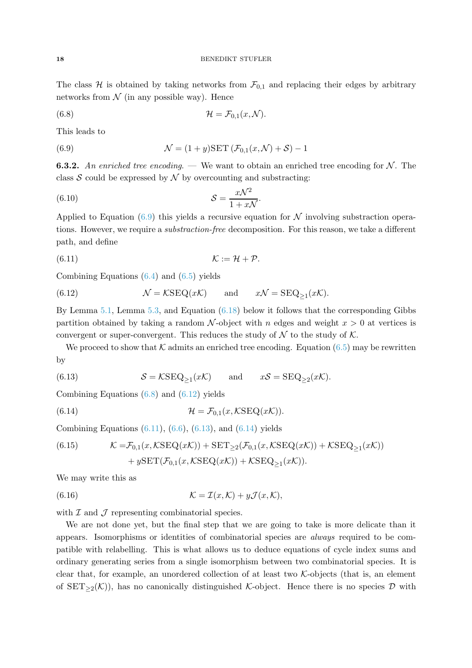The class H is obtained by taking networks from  $\mathcal{F}_{0,1}$  and replacing their edges by arbitrary networks from  $\mathcal N$  (in any possible way). Hence

<span id="page-17-2"></span>(6.8) 
$$
\mathcal{H} = \mathcal{F}_{0,1}(x,\mathcal{N}).
$$

This leads to

<span id="page-17-1"></span><span id="page-17-0"></span>(6.9) 
$$
\mathcal{N} = (1+y)\text{SET}(\mathcal{F}_{0,1}(x,\mathcal{N})+\mathcal{S})-1
$$

**6.3.2.** An enriched tree encoding. — We want to obtain an enriched tree encoding for N. The class  $S$  could be expressed by  $N$  by overcounting and substracting:

$$
(6.10)\t\t\t S = \frac{x\mathcal{N}^2}{1+x\mathcal{N}}.
$$

Applied to Equation [\(6.9\)](#page-17-1) this yields a recursive equation for  $\mathcal N$  involving substraction operations. However, we require a substraction-free decomposition. For this reason, we take a different path, and define

<span id="page-17-4"></span>
$$
K := \mathcal{H} + \mathcal{P}.
$$

Combining Equations  $(6.4)$  and  $(6.5)$  yields

<span id="page-17-3"></span>(6.12) 
$$
\mathcal{N} = \mathcal{K}\text{SEQ}(x\mathcal{K}) \quad \text{and} \quad x\mathcal{N} = \text{SEQ}_{\geq 1}(x\mathcal{K}).
$$

By Lemma [5.1,](#page-12-2) Lemma [5.3,](#page-13-4) and Equation [\(6.18\)](#page-18-1) below it follows that the corresponding Gibbs partition obtained by taking a random  $\mathcal N$ -object with n edges and weight  $x > 0$  at vertices is convergent or super-convergent. This reduces the study of  $\mathcal N$  to the study of  $\mathcal K$ .

We proceed to show that  $\mathcal K$  admits an enriched tree encoding. Equation [\(6.5\)](#page-16-1) may be rewritten by

<span id="page-17-5"></span>(6.13) 
$$
S = \mathcal{K} \text{SEQ}_{\geq 1}(x\mathcal{K}) \quad \text{and} \quad x\mathcal{S} = \text{SEQ}_{\geq 2}(x\mathcal{K}).
$$

Combining Equations  $(6.8)$  and  $(6.12)$  yields

<span id="page-17-6"></span>(6.14) 
$$
\mathcal{H} = \mathcal{F}_{0,1}(x, \mathcal{K} \text{SEQ}(x\mathcal{K})).
$$

Combining Equations  $(6.11)$ ,  $(6.6)$ ,  $(6.13)$ , and  $(6.14)$  yields

(6.15) 
$$
\mathcal{K} = \mathcal{F}_{0,1}(x, \mathcal{K}\text{SEQ}(x\mathcal{K})) + \text{SET}_{\geq 2}(\mathcal{F}_{0,1}(x, \mathcal{K}\text{SEQ}(x\mathcal{K})) + \mathcal{K}\text{SEQ}_{\geq 1}(x\mathcal{K})) + y\text{SET}(\mathcal{F}_{0,1}(x, \mathcal{K}\text{SEQ}(x\mathcal{K})) + \mathcal{K}\text{SEQ}_{\geq 1}(x\mathcal{K})).
$$

We may write this as

<span id="page-17-7"></span>(6.16) 
$$
\mathcal{K} = \mathcal{I}(x,\mathcal{K}) + y\mathcal{J}(x,\mathcal{K}),
$$

with  $\mathcal I$  and  $\mathcal J$  representing combinatorial species.

We are not done yet, but the final step that we are going to take is more delicate than it appears. Isomorphisms or identities of combinatorial species are always required to be compatible with relabelling. This is what allows us to deduce equations of cycle index sums and ordinary generating series from a single isomorphism between two combinatorial species. It is clear that, for example, an unordered collection of at least two  $K$ -objects (that is, an element of  $SET_{>2}(\mathcal{K})$ , has no canonically distinguished K-object. Hence there is no species D with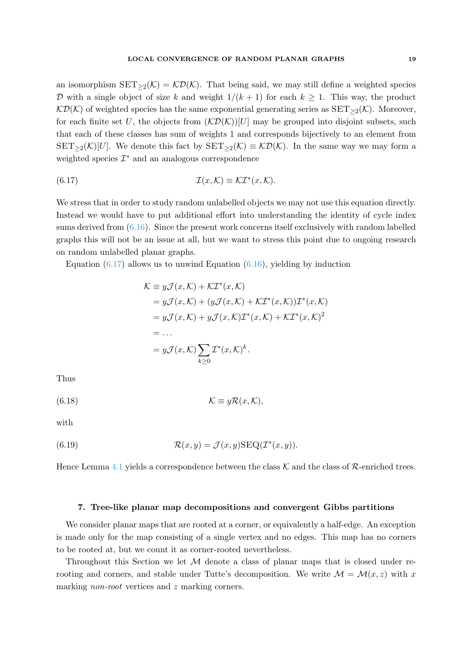an isomorphism  $SET_{\geq 2}(\mathcal{K}) = \mathcal{K}\mathcal{D}(\mathcal{K})$ . That being said, we may still define a weighted species D with a single object of size k and weight  $1/(k+1)$  for each  $k \geq 1$ . This way, the product  $\mathcal{KD}(\mathcal{K})$  of weighted species has the same exponential generating series as  $SET_{\geq 2}(\mathcal{K})$ . Moreover, for each finite set U, the objects from  $(\mathcal{KD}(\mathcal{K}))[U]$  may be grouped into disjoint subsets, such that each of these classes has sum of weights 1 and corresponds bijectively to an element from  $SET_{\geq 2}(\mathcal{K})[U]$ . We denote this fact by  $SET_{\geq 2}(\mathcal{K}) \equiv \mathcal{K}\mathcal{D}(\mathcal{K})$ . In the same way we may form a weighted species  $\mathcal{I}^*$  and an analogous correspondence

<span id="page-18-2"></span>(6.17) 
$$
\mathcal{I}(x,\mathcal{K}) \equiv \mathcal{K}\mathcal{I}^*(x,\mathcal{K}).
$$

We stress that in order to study random unlabelled objects we may not use this equation directly. Instead we would have to put additional effort into understanding the identity of cycle index sums derived from  $(6.16)$ . Since the present work concerns itself exclusively with random labelled graphs this will not be an issue at all, but we want to stress this point due to ongoing research on random unlabelled planar graphs.

Equation  $(6.17)$  allows us to unwind Equation  $(6.16)$ , yielding by induction

$$
\mathcal{K} \equiv y\mathcal{J}(x,\mathcal{K}) + \mathcal{K}\mathcal{I}^*(x,\mathcal{K})
$$
  
\n
$$
= y\mathcal{J}(x,\mathcal{K}) + (y\mathcal{J}(x,\mathcal{K}) + \mathcal{K}\mathcal{I}^*(x,\mathcal{K}))\mathcal{I}^*(x,\mathcal{K})
$$
  
\n
$$
= y\mathcal{J}(x,\mathcal{K}) + y\mathcal{J}(x,\mathcal{K})\mathcal{I}^*(x,\mathcal{K}) + \mathcal{K}\mathcal{I}^*(x,\mathcal{K})^2
$$
  
\n
$$
= \dots
$$
  
\n
$$
= y\mathcal{J}(x,\mathcal{K}) \sum_{k \ge 0} \mathcal{I}^*(x,\mathcal{K})^k.
$$

Thus

<span id="page-18-1"></span>
$$
(\text{6.18})\qquad \qquad \mathcal{K} \equiv y\mathcal{R}(x,\mathcal{K}),
$$

with

<span id="page-18-3"></span>(6.19) 
$$
\mathcal{R}(x,y) = \mathcal{J}(x,y) \text{SEQ}(\mathcal{I}^*(x,y)).
$$

Hence Lemma [4.1](#page-11-0) yields a correspondence between the class  $\mathcal K$  and the class of  $\mathcal R$ -enriched trees.

# <span id="page-18-0"></span>7. Tree-like planar map decompositions and convergent Gibbs partitions

We consider planar maps that are rooted at a corner, or equivalently a half-edge. An exception is made only for the map consisting of a single vertex and no edges. This map has no corners to be rooted at, but we count it as corner-rooted nevertheless.

Throughout this Section we let  $M$  denote a class of planar maps that is closed under rerooting and corners, and stable under Tutte's decomposition. We write  $\mathcal{M} = \mathcal{M}(x, z)$  with x marking *non-root* vertices and z marking corners.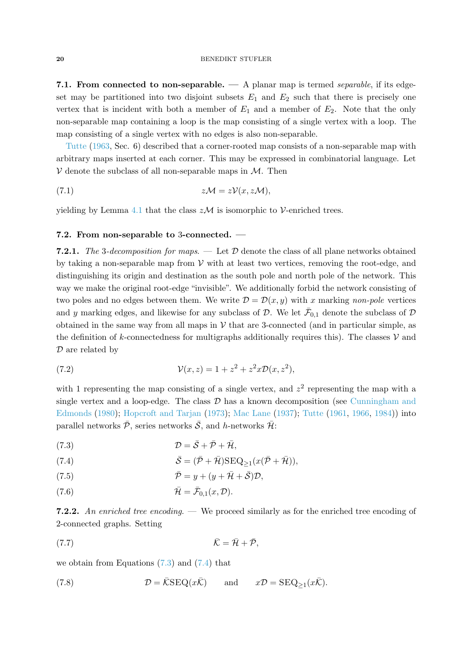7.1. From connected to non-separable. — A planar map is termed separable, if its edgeset may be partitioned into two disjoint subsets  $E_1$  and  $E_2$  such that there is precisely one vertex that is incident with both a member of  $E_1$  and a member of  $E_2$ . Note that the only non-separable map containing a loop is the map consisting of a single vertex with a loop. The [map con](#page-61-9)sisting of a single vertex with no edges is also non-separable.

Tutte [\(1963](#page-61-9), Sec. 6) described that a corner-rooted map consists of a non-separable map with arbitrary maps inserted at each corner. This may be expressed in combinatorial language. Let  $V$  denote the subclass of all non-separable maps in  $M$ . Then

<span id="page-19-6"></span>(7.1) 
$$
z\mathcal{M} = z\mathcal{V}(x, z\mathcal{M}),
$$

yielding by Lemma [4.1](#page-11-0) that the class  $z\mathcal{M}$  is isomorphic to V-enriched trees.

### 7.2. From non-separable to 3-connected. —

**7.2.1.** The 3-decomposition for maps. — Let  $\mathcal{D}$  denote the class of all plane networks obtained by taking a non-separable map from  $V$  with at least two vertices, removing the root-edge, and distinguishing its origin and destination as the south pole and north pole of the network. This way we make the original root-edge "invisible". We additionally forbid the network consisting of two poles and no edges between them. We write  $\mathcal{D} = \mathcal{D}(x, y)$  with x marking non-pole vertices and y marking edges, and likewise for any subclass of  $D$ . We let  $\bar{\mathcal{F}}_{0,1}$  denote the subclass of  $D$ obtained in the same way from all maps in  $V$  that are 3-connected (and in particular simple, as the definition of k-connectedness for multigraphs additionally requires this). The classes  $\mathcal V$  and  $\mathcal D$  are related by

<span id="page-19-7"></span>(7.2) 
$$
\mathcal{V}(x, z) = 1 + z^2 + z^2 x \mathcal{D}(x, z^2),
$$

with 1 representing the map consisting of a single vertex, and  $z^2$  representing the map with a single vertex and a loop-edge. The class  $D$  [has a known decomposition \(see](#page-58-11) Cunningham and Edmonds [\(1980\)](#page-58-11); [Hopcroft and Tarjan](#page-59-12) [\(1973](#page-59-12)); [Mac Lane](#page-60-9) [\(1937](#page-60-9)); [Tutte](#page-61-6) [\(1961](#page-61-6), [1966](#page-61-7), [1984\)](#page-61-8)) into parallel networks  $\bar{\mathcal{P}}$ , series networks  $\bar{\mathcal{S}}$ , and h-networks  $\bar{\mathcal{H}}$ :

<span id="page-19-0"></span>(7.3) 
$$
\mathcal{D} = \bar{\mathcal{S}} + \bar{\mathcal{P}} + \bar{\mathcal{H}},
$$

<span id="page-19-1"></span>(7.4) 
$$
\bar{\mathcal{S}} = (\bar{\mathcal{P}} + \bar{\mathcal{H}}) \text{SEQ}_{\geq 1}(x(\bar{\mathcal{P}} + \bar{\mathcal{H}})),
$$

<span id="page-19-5"></span>(7.5) 
$$
\overline{\mathcal{P}} = y + (y + \overline{\mathcal{H}} + \overline{\mathcal{S}})\mathcal{D},
$$

<span id="page-19-2"></span>
$$
\bar{\mathcal{H}} = \bar{\mathcal{F}}_{0,1}(x,\mathcal{D}).
$$

**7.2.2.** An enriched tree encoding. — We proceed similarly as for the enriched tree encoding of 2-connected graphs. Setting

<span id="page-19-4"></span>
$$
(\mathbf{7.7})\qquad \qquad \bar{\mathcal{K}} = \bar{\mathcal{H}} + \bar{\mathcal{P}},
$$

we obtain from Equations [\(7.3\)](#page-19-0) and [\(7.4\)](#page-19-1) that

<span id="page-19-3"></span>(7.8) 
$$
\mathcal{D} = \overline{\mathcal{K}} \text{SEQ}(x\overline{\mathcal{K}}) \quad \text{and} \quad x\mathcal{D} = \text{SEQ}_{\geq 1}(x\overline{\mathcal{K}}).
$$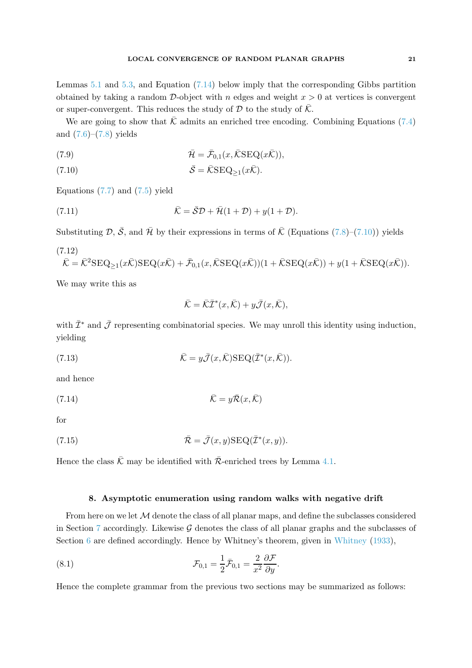Lemmas [5.1](#page-12-2) and [5.3,](#page-13-4) and Equation [\(7.14\)](#page-20-1) below imply that the corresponding Gibbs partition obtained by taking a random D-object with n edges and weight  $x > 0$  at vertices is convergent or super-convergent. This reduces the study of  $\mathcal D$  to the study of  $\overline{\mathcal K}$ .

We are going to show that  $\overline{\mathcal{K}}$  admits an enriched tree encoding. Combining Equations [\(7.4\)](#page-19-1) and [\(7.6\)](#page-19-2)–[\(7.8\)](#page-19-3) yields

(7.9) 
$$
\bar{\mathcal{H}} = \bar{\mathcal{F}}_{0,1}(x,\bar{\mathcal{K}}\text{SEQ}(x\bar{\mathcal{K}})),
$$

<span id="page-20-2"></span>(7.10) 
$$
\bar{\mathcal{S}} = \bar{\mathcal{K}} \text{SEQ}_{\geq 1}(x\bar{\mathcal{K}}).
$$

Equations  $(7.7)$  and  $(7.5)$  yield

(7.11) 
$$
\overline{\mathcal{K}} = \overline{\mathcal{S}} \mathcal{D} + \overline{\mathcal{H}} (1 + \mathcal{D}) + y(1 + \mathcal{D}).
$$

Substituting  $\mathcal{D}, \bar{\mathcal{S}},$  and  $\bar{\mathcal{H}}$  by their expressions in terms of  $\bar{\mathcal{K}}$  (Equations [\(7.8\)](#page-19-3)–[\(7.10\)](#page-20-2)) yields

(7.12)  
\n
$$
\bar{\mathcal{K}} = \bar{\mathcal{K}}^2 \text{SEQ}_{\geq 1}(x\bar{\mathcal{K}})\text{SEQ}(x\bar{\mathcal{K}}) + \bar{\mathcal{F}}_{0,1}(x,\bar{\mathcal{K}}\text{SEQ}(x\bar{\mathcal{K}}))(1 + \bar{\mathcal{K}}\text{SEQ}(x\bar{\mathcal{K}})) + y(1 + \bar{\mathcal{K}}\text{SEQ}(x\bar{\mathcal{K}})).
$$

We may write this as

$$
\bar{\mathcal{K}} = \bar{\mathcal{K}} \bar{\mathcal{I}}^*(x,\bar{\mathcal{K}}) + y \bar{\mathcal{J}}(x,\bar{\mathcal{K}}),
$$

with  $\bar{\mathcal{I}}^*$  and  $\bar{\mathcal{I}}$  representing combinatorial species. We may unroll this identity using induction, yielding

(7.13) 
$$
\bar{\mathcal{K}} = y\bar{\mathcal{J}}(x,\bar{\mathcal{K}})\text{SEQ}(\bar{\mathcal{I}}^*(x,\bar{\mathcal{K}})).
$$

and hence

<span id="page-20-1"></span>(7.14) 
$$
\bar{\mathcal{K}} = y\bar{\mathcal{R}}(x,\bar{\mathcal{K}})
$$

for

<span id="page-20-3"></span>(7.15) 
$$
\overline{\mathcal{R}} = \overline{\mathcal{J}}(x, y) \text{SEQ}(\overline{\mathcal{I}}^*(x, y)).
$$

<span id="page-20-0"></span>Hence the class  $\bar{\mathcal{K}}$  may be identified with  $\bar{\mathcal{R}}$ -enriched trees by Lemma [4.1.](#page-11-0)

### 8. Asymptotic enumeration using random walks with negative drift

From here on we let M denote the class of all planar maps, and define the subclasses considered in Section [7](#page-18-0) accordingly. Likewise  $\mathcal G$  denotes the class of all planar graphs and the subclasses of Section [6](#page-15-0) are defined accordingly. Hence by [Whitney](#page-61-10)'s theorem, given in Whitney [\(1933\)](#page-61-10),

(8.1) 
$$
\mathcal{F}_{0,1} = \frac{1}{2}\bar{\mathcal{F}}_{0,1} = \frac{2}{x^2}\frac{\partial \mathcal{F}}{\partial y}.
$$

Hence the complete grammar from the previous two sections may be summarized as follows: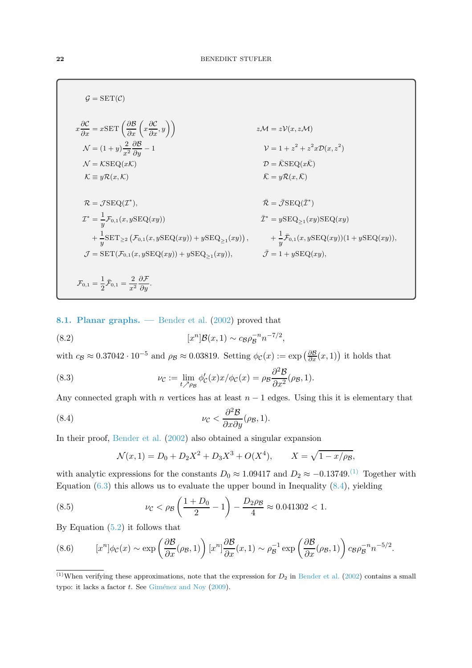$$
G = SET(C)
$$
  
\n
$$
x\frac{\partial C}{\partial x} = xSET\left(\frac{\partial B}{\partial x}\left(x\frac{\partial C}{\partial x}, y\right)\right)
$$
  
\n
$$
N = (1 + y)\frac{2}{x^2}\frac{\partial B}{\partial y} - 1
$$
  
\n
$$
N = KSEQ(xK)
$$
  
\n
$$
K = yR(x, K)
$$
  
\n
$$
T = \frac{JSEQ(T^*)}{y}.
$$
  
\n
$$
T^* = \frac{1}{y}\mathcal{F}_{0,1}(x, ySEQ(xy))
$$
  
\n
$$
T = SET(\mathcal{F}_{0,1}(x, ySEQ(xy)))
$$
  
\n
$$
T^* = \frac{1}{y}E_{0,1}(x, ySEQ(xy)) + ySEQ_{\ge 1}(xy),
$$
  
\n
$$
T^* = \frac{1}{y}E_{0,1}(x, ySEQ(xy)) + ySEQ_{\ge 1}(xy),
$$
  
\n
$$
T^* = \frac{1}{y}E_{0,1}(x, ySEQ(xy)) + ySEQ_{\ge 1}(xy),
$$
  
\n
$$
T^* = \frac{1}{y}E_{0,1}(x, ySEQ(xy)) + ySEQ_{\ge 1}(xy),
$$
  
\n
$$
T = 1 + ySEQ(xy),
$$
  
\n
$$
T^* = \frac{1}{2}\mathcal{F}_{0,1} = \frac{2}{x^2}\frac{\partial \mathcal{F}}{\partial y}.
$$

<span id="page-21-0"></span>8.1. Planar graphs. — Bender et al. [\(2002\)](#page-57-1) proved that

(8.2) 
$$
[x^{n}]\mathcal{B}(x, 1) \sim c_{\mathcal{B}}\rho_{\mathcal{B}}^{-n}n^{-7/2},
$$

with  $c_B \approx 0.37042 \cdot 10^{-5}$  and  $\rho_B \approx 0.03819$ . Setting  $\phi_C(x) := \exp\left(\frac{\partial \mathcal{B}}{\partial x}(x, 1)\right)$  it holds that

(8.3) 
$$
\nu_{\mathcal{C}} := \lim_{t \nearrow \rho_{\mathcal{B}}} \phi_{\mathcal{C}}'(x) x / \phi_{\mathcal{C}}(x) = \rho_{\mathcal{B}} \frac{\partial^2 \mathcal{B}}{\partial x^2}(\rho_{\mathcal{B}}, 1).
$$

Any connected graph with n vertices has at least  $n - 1$  edges. Using this it is elementary that

<span id="page-21-2"></span>(8.4) 
$$
\nu_C < \frac{\partial^2 \mathcal{B}}{\partial x \partial y}(\rho_{\mathcal{B}}, 1).
$$

In their proof, [Bender et al.](#page-57-1) [\(2002](#page-57-1)) also obtained a singular expansion

$$
\mathcal{N}(x,1) = D_0 + D_2 X^2 + D_3 X^3 + O(X^4), \qquad X = \sqrt{1 - x/\rho_B},
$$

with analytic expressions for the constants  $D_0 \approx 1.09417$  and  $D_2 \approx -0.13749$ .<sup>[\(1\)](#page-21-1)</sup> Together with Equation  $(6.3)$  this allows us to evaluate the upper bound in Inequality  $(8.4)$ , yielding

<span id="page-21-3"></span>(8.5) 
$$
\nu_C < \rho_B \left( \frac{1+D_0}{2} - 1 \right) - \frac{D_2 \rho_B}{4} \approx 0.041302 < 1.
$$

By Equation [\(5.2\)](#page-12-1) it follows that

<span id="page-21-4"></span>(8.6) 
$$
[x^n]\phi_{\mathcal{C}}(x) \sim \exp\left(\frac{\partial \mathcal{B}}{\partial x}(\rho_{\mathcal{B}}, 1)\right)[x^n]\frac{\partial \mathcal{B}}{\partial x}(x, 1) \sim \rho_{\mathcal{B}}^{-1}\exp\left(\frac{\partial \mathcal{B}}{\partial x}(\rho_{\mathcal{B}}, 1)\right)c_{\mathcal{B}}\rho_{\mathcal{B}}^{-n}n^{-5/2}.
$$

<span id="page-21-1"></span> $\overline{^{(1)}}$ When verifying these approximations, note that the expression for  $D_2$  in [Bender et al.](#page-57-1) [\(2002](#page-57-1)) contains a small typo: it lacks a factor  $t$ . See Giménez and Noy [\(2009\)](#page-59-0).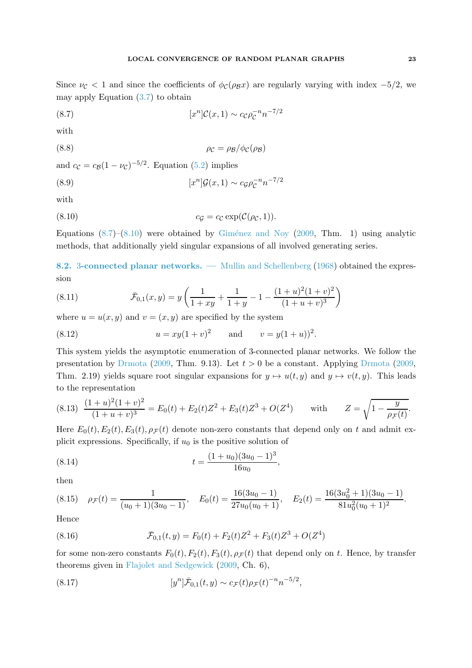<span id="page-22-2"></span>(8.7) 
$$
[x^{n}]C(x, 1) \sim c_{C}\rho_{C}^{-n}n^{-7/2}
$$

with

<span id="page-22-0"></span>
$$
\rho_{\mathcal{C}} = \rho_{\mathcal{B}}/\phi_{\mathcal{C}}(\rho_{\mathcal{B}})
$$

and  $c_{\mathcal{C}} = c_{\mathcal{B}}(1 - \nu_{\mathcal{C}})^{-5/2}$ . Equation [\(5.2\)](#page-12-1) implies

(8.9) 
$$
[x^{n}]\mathcal{G}(x, 1) \sim c_{\mathcal{G}}\rho_{\mathcal{C}}^{-n}n^{-7/2}
$$

with

<span id="page-22-1"></span>
$$
(8.10) \t\t cG = cC \exp(C(\rhoC, 1)).
$$

Equations  $(8.7)$ – $(8.10)$  were obtained by Giménez and Noy [\(2009,](#page-59-0) Thm. 1) using analytic methods, that additionally yield singular expansions of all involved generating series.

8.2. 3-connected planar networks. — Mullin and Schellenberg [\(1968\)](#page-60-13) obtained the expression

(8.11) 
$$
\bar{\mathcal{F}}_{0,1}(x,y) = y \left( \frac{1}{1+xy} + \frac{1}{1+y} - 1 - \frac{(1+u)^2(1+v)^2}{(1+u+v)^3} \right)
$$

where  $u = u(x, y)$  and  $v = (x, y)$  are specified by the system

(8.12) 
$$
u = xy(1+v)^2
$$
 and  $v = y(1+u)^2$ .

This system yields the asymptotic enumeration of 3-connected planar networks. We follow the presentation by [Drmota](#page-58-12) [\(2009](#page-58-12), Thm. 9.13). Let  $t > 0$  be a constant. Applying Drmota (2009, Thm. 2.19) yields square root singular expansions for  $y \mapsto u(t, y)$  and  $y \mapsto v(t, y)$ . This leads to the representation

<span id="page-22-3"></span>
$$
(8.13) \ \frac{(1+u)^2(1+v)^2}{(1+u+v)^3} = E_0(t) + E_2(t)Z^2 + E_3(t)Z^3 + O(Z^4) \quad \text{with} \quad Z = \sqrt{1 - \frac{y}{\rho_{\mathcal{F}}(t)}}.
$$

Here  $E_0(t)$ ,  $E_2(t)$ ,  $E_3(t)$ ,  $\rho$  $\tau$ (t) denote non-zero constants that depend only on t and admit explicit expressions. Specifically, if  $u_0$  is the positive solution of

<span id="page-22-4"></span>(8.14) 
$$
t = \frac{(1+u_0)(3u_0-1)^3}{16u_0},
$$

then

<span id="page-22-5"></span>
$$
(8.15) \quad \rho_{\mathcal{F}}(t) = \frac{1}{(u_0 + 1)(3u_0 - 1)}, \quad E_0(t) = \frac{16(3u_0 - 1)}{27u_0(u_0 + 1)}, \quad E_2(t) = \frac{16(3u_0^2 + 1)(3u_0 - 1)}{81u_0^2(u_0 + 1)^2}.
$$

Hence

<span id="page-22-6"></span>(8.16) 
$$
\bar{\mathcal{F}}_{0,1}(t,y) = F_0(t) + F_2(t)Z^2 + F_3(t)Z^3 + O(Z^4)
$$

for some non-zero constants  $F_0(t)$ ,  $F_2(t)$ ,  $F_3(t)$ ,  $\rho$   $\neq$  that depend only on t. Hence, by transfer theorems given in [Flajolet and Sedgewick](#page-58-13) [\(2009,](#page-58-13) Ch. 6),

(8.17) 
$$
[y^n]\bar{\mathcal{F}}_{0,1}(t,y) \sim c_{\mathcal{F}}(t)\rho_{\mathcal{F}}(t)^{-n}n^{-5/2},
$$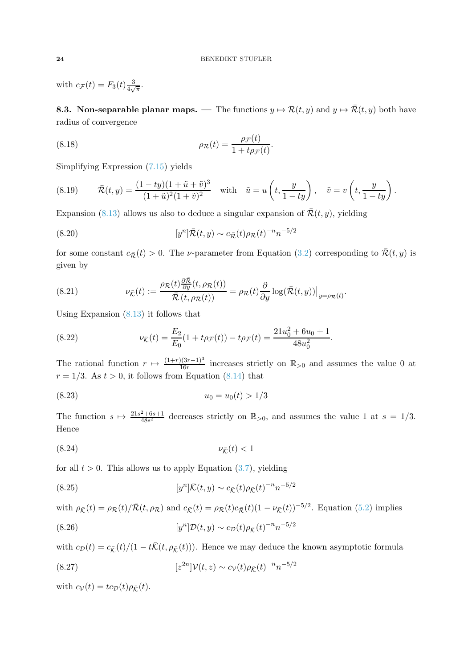with  $c_{\mathcal{F}}(t) = F_3(t) \frac{3}{4\sqrt{3}}$  $\frac{3}{4\sqrt{\pi}}.$ 

**8.3. Non-separable planar maps.** — The functions  $y \mapsto \mathcal{R}(t, y)$  and  $y \mapsto \overline{\mathcal{R}}(t, y)$  both have radius of convergence

<span id="page-23-1"></span>(8.18) 
$$
\rho_{\mathcal{R}}(t) = \frac{\rho_{\mathcal{F}}(t)}{1 + t \rho_{\mathcal{F}}(t)}.
$$

Simplifying Expression [\(7.15\)](#page-20-3) yields

<span id="page-23-3"></span>(8.19) 
$$
\overline{\mathcal{R}}(t,y) = \frac{(1-ty)(1+\tilde{u}+\tilde{v})^3}{(1+\tilde{u})^2(1+\tilde{v})^2} \text{ with } \tilde{u} = u\left(t, \frac{y}{1-ty}\right), \tilde{v} = v\left(t, \frac{y}{1-ty}\right).
$$

Expansion [\(8.13\)](#page-22-3) allows us also to deduce a singular expansion of  $\bar{\mathcal{R}}(t, y)$ , yielding

<span id="page-23-8"></span>(8.20) 
$$
[y^{n}]\bar{\mathcal{R}}(t,y) \sim c_{\bar{\mathcal{R}}}(t)\rho_{\mathcal{R}}(t)^{-n}n^{-5/2}
$$

for some constant  $c_{\bar{\mathcal{R}}}(t) > 0$ . The *v*-parameter from Equation [\(3.2\)](#page-7-0) corresponding to  $\bar{\mathcal{R}}(t, y)$  is given by

<span id="page-23-2"></span>(8.21) 
$$
\nu_{\bar{\mathcal{K}}}(t) := \frac{\rho_{\mathcal{R}}(t) \frac{\partial \bar{\mathcal{R}}}{\partial y}(t, \rho_{\mathcal{R}}(t))}{\bar{\mathcal{R}}(t, \rho_{\mathcal{R}}(t))} = \rho_{\mathcal{R}}(t) \frac{\partial}{\partial y} \log(\bar{\mathcal{R}}(t, y))\big|_{y = \rho_{\mathcal{R}}(t)}.
$$

Using Expansion [\(8.13\)](#page-22-3) it follows that

<span id="page-23-4"></span>(8.22) 
$$
\nu_{\bar{K}}(t) = \frac{E_2}{E_0}(1 + t\rho_{\mathcal{F}}(t)) - t\rho_{\mathcal{F}}(t) = \frac{21u_0^2 + 6u_0 + 1}{48u_0^2}.
$$

The rational function  $r \mapsto \frac{(1+r)(3r-1)^3}{16r}$  increases strictly on  $\mathbb{R}_{>0}$  and assumes the value 0 at  $r = 1/3$ . As  $t > 0$ , it follows from Equation [\(8.14\)](#page-22-4) that

<span id="page-23-5"></span>
$$
(8.23) \t\t\t u_0 = u_0(t) > 1/3
$$

The function  $s \mapsto \frac{21s^2 + 6s + 1}{48s^2}$  $\frac{2+6s+1}{48s^2}$  decreases strictly on  $\mathbb{R}_{>0}$ , and assumes the value 1 at  $s = 1/3$ . Hence

<span id="page-23-7"></span>
$$
(8.24) \t\t \nu_{\bar{\mathcal{K}}}(t) < 1
$$

for all  $t > 0$ . This allows us to apply Equation  $(3.7)$ , yielding

<span id="page-23-6"></span>(8.25) 
$$
[y^n]\bar{K}(t,y) \sim c_{\bar{K}}(t)\rho_{\bar{K}}(t)^{-n}n^{-5/2}
$$

with  $\rho_{\bar{\mathcal{K}}}(t) = \rho_{\mathcal{R}}(t)/\bar{\mathcal{R}}(t, \rho_{\mathcal{R}})$  and  $c_{\bar{\mathcal{K}}}(t) = \rho_{\mathcal{R}}(t)c_{\bar{\mathcal{R}}}(t)(1 - \nu_{\bar{\mathcal{K}}}(t))^{-5/2}$ . Equation [\(5.2\)](#page-12-1) implies  $[y^{n}]\mathcal{D}(t, y) \sim c_{\mathcal{D}}(t)\rho_{\bar{\mathcal{K}}}(t)^{-n}n^{-5/2}$ (8.26)

with  $c_{\mathcal{D}}(t) = c_{\bar{\mathcal{K}}}(t)/(1 - t\bar{\mathcal{K}}(t, \rho_{\bar{\mathcal{K}}}(t)))$ . Hence we may deduce the known asymptotic formula

<span id="page-23-0"></span>(8.27) 
$$
[z^{2n}]\mathcal{V}(t,z) \sim c_{\mathcal{V}}(t)\rho_{\bar{\mathcal{K}}}(t)^{-n}n^{-5/2}
$$

with  $c_{\mathcal{V}}(t) = t c_{\mathcal{D}}(t) \rho_{\bar{K}}(t)$ .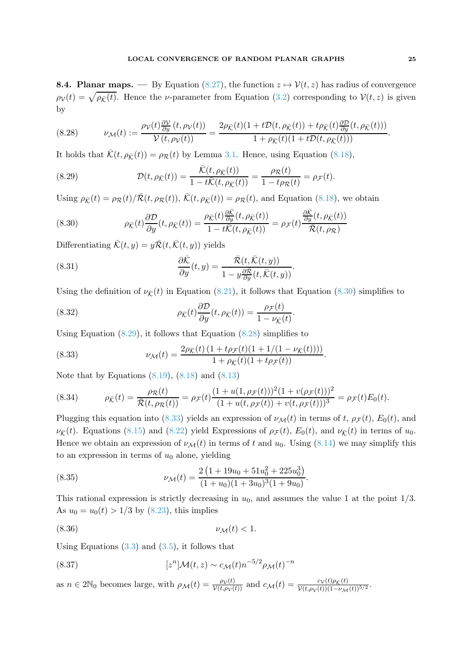**8.4. Planar maps.** — By Equation [\(8.27\)](#page-23-0), the function  $z \mapsto \mathcal{V}(t, z)$  has radius of convergence  $\rho_{\mathcal{V}}(t) = \sqrt{\rho_{\bar{\mathcal{K}}}(t)}$ . Hence the *v*-parameter from Equation [\(3.2\)](#page-7-0) corresponding to  $\mathcal{V}(t, z)$  is given by

<span id="page-24-2"></span>(8.28) 
$$
\nu_{\mathcal{M}}(t) := \frac{\rho_{\mathcal{V}}(t)\frac{\partial \mathcal{V}}{\partial y}(t,\rho_{\mathcal{V}}(t))}{\mathcal{V}(t,\rho_{\mathcal{V}}(t))} = \frac{2\rho_{\bar{\mathcal{K}}}(t)(1+t\mathcal{D}(t,\rho_{\bar{\mathcal{K}}}(t)) + t\rho_{\bar{\mathcal{K}}}(t)\frac{\partial \mathcal{D}}{\partial y}(t,\rho_{\bar{\mathcal{K}}}(t)))}{1+\rho_{\bar{\mathcal{K}}}(t)(1+t\mathcal{D}(t,\rho_{\bar{\mathcal{K}}}(t)))}.
$$

It holds that  $\bar{\mathcal{K}}(t, \rho_{\bar{\mathcal{K}}}(t)) = \rho_{\mathcal{R}}(t)$  by Lemma [3.1.](#page-7-1) Hence, using Equation [\(8.18\)](#page-23-1),

<span id="page-24-1"></span>(8.29) 
$$
\mathcal{D}(t,\rho_{\bar{\mathcal{K}}}(t))=\frac{\bar{\mathcal{K}}(t,\rho_{\bar{\mathcal{K}}}(t))}{1-t\bar{\mathcal{K}}(t,\rho_{\bar{\mathcal{K}}}(t))}=\frac{\rho_{\mathcal{R}}(t)}{1-t\rho_{\mathcal{R}}(t)}=\rho_{\mathcal{F}}(t).
$$

Using  $\rho_{\bar{\mathcal{K}}}(t) = \rho_{\mathcal{R}}(t)/\bar{\mathcal{R}}(t, \rho_{\mathcal{R}}(t)), \bar{\mathcal{K}}(t, \rho_{\bar{\mathcal{K}}}(t)) = \rho_{\mathcal{R}}(t)$ , and Equation [\(8.18\)](#page-23-1), we obtain

<span id="page-24-0"></span>(8.30) 
$$
\rho_{\bar{K}}(t)\frac{\partial \mathcal{D}}{\partial y}(t,\rho_{\bar{K}}(t)) = \frac{\rho_{\bar{K}}(t)\frac{\partial \bar{K}}{\partial y}(t,\rho_{\bar{K}}(t))}{1 - t\bar{K}(t,\rho_{\bar{K}}(t))} = \rho_{\mathcal{F}}(t)\frac{\frac{\partial \bar{K}}{\partial y}(t,\rho_{\bar{K}}(t))}{\bar{\mathcal{R}}(t,\rho_{\bar{K}})}
$$

Differentiating  $\bar{\mathcal{K}}(t, y) = y\bar{\mathcal{R}}(t, \bar{\mathcal{K}}(t, y))$  yields

(8.31) 
$$
\frac{\partial \bar{\mathcal{K}}}{\partial y}(t,y) = \frac{\bar{\mathcal{R}}(t,\bar{\mathcal{K}}(t,y))}{1 - y \frac{\partial \bar{\mathcal{R}}}{\partial y}(t,\bar{\mathcal{K}}(t,y))}.
$$

Using the definition of  $\nu_{\bar{K}}(t)$  in Equation [\(8.21\)](#page-23-2), it follows that Equation [\(8.30\)](#page-24-0) simplifies to

(8.32) 
$$
\rho_{\bar{\mathcal{K}}}(t)\frac{\partial \mathcal{D}}{\partial y}(t,\rho_{\bar{\mathcal{K}}}(t))=\frac{\rho_{\mathcal{F}}(t)}{1-\nu_{\bar{\mathcal{K}}}(t)}.
$$

Using Equation [\(8.29\)](#page-24-1), it follows that Equation [\(8.28\)](#page-24-2) simplifies to

<span id="page-24-3"></span>(8.33) 
$$
\nu_{\mathcal{M}}(t) = \frac{2\rho_{\bar{\mathcal{K}}}(t)\left(1 + t\rho_{\mathcal{F}}(t)(1 + 1/(1 - \nu_{\bar{\mathcal{K}}}(t)))\right)}{1 + \rho_{\bar{\mathcal{K}}}(t)(1 + t\rho_{\mathcal{F}}(t))}.
$$

Note that by Equations  $(8.19)$ ,  $(8.18)$  and  $(8.13)$ 

(8.34) 
$$
\rho_{\bar{\mathcal{K}}}(t) = \frac{\rho_{\mathcal{R}}(t)}{\bar{\mathcal{R}}(t, \rho_{\mathcal{R}}(t))} = \rho_{\mathcal{F}}(t) \frac{(1 + u(1, \rho_{\mathcal{F}}(t)))^2 (1 + v(\rho_{\mathcal{F}}(t)))^2}{(1 + u(t, \rho_{\mathcal{F}}(t)) + v(t, \rho_{\mathcal{F}}(t)))^3} = \rho_{\mathcal{F}}(t) E_0(t).
$$

Plugging this equation into [\(8.33\)](#page-24-3) yields an expression of  $\nu_M(t)$  in terms of t,  $\rho_{\mathcal{F}}(t)$ ,  $E_0(t)$ , and  $\nu_{\bar{K}}(t)$ . Equations [\(8.15\)](#page-22-5) and [\(8.22\)](#page-23-4) yield Expressions of  $\rho_{\bar{F}}(t)$ ,  $E_0(t)$ , and  $\nu_{\bar{K}}(t)$  in terms of  $u_0$ . Hence we obtain an expression of  $\nu_{\mathcal{M}}(t)$  in terms of t and  $u_0$ . Using [\(8.14\)](#page-22-4) we may simplify this to an expression in terms of  $u_0$  alone, yielding

(8.35) 
$$
\nu_{\mathcal{M}}(t) = \frac{2\left(1 + 19u_0 + 51u_0^2 + 225u_0^3\right)}{(1 + u_0)(1 + 3u_0)^3(1 + 9u_0)}.
$$

This rational expression is strictly decreasing in  $u_0$ , and assumes the value 1 at the point  $1/3$ . As  $u_0 = u_0(t) > 1/3$  by [\(8.23\)](#page-23-5), this implies

<span id="page-24-4"></span>
$$
(8.36) \t\t\t \nu_{\mathcal{M}}(t) < 1.
$$

Using Equations  $(3.3)$  and  $(3.5)$ , it follows that

(8.37) 
$$
[zn] \mathcal{M}(t,z) \sim c_{\mathcal{M}}(t) n^{-5/2} \rho_{\mathcal{M}}(t)^{-n}
$$

as  $n \in 2\mathbb{N}_0$  becomes large, with  $\rho_{\mathcal{M}}(t) = \frac{\rho_{\mathcal{V}}(t)}{\mathcal{V}(t,\rho_{\mathcal{V}}(t))}$  and  $c_{\mathcal{M}}(t) = \frac{c_{\mathcal{V}}(t)\rho_{\mathcal{K}}(t)}{\mathcal{V}(t,\rho_{\mathcal{V}}(t))(1-\nu_{\mathcal{M}}(t))^{5/2}}$ .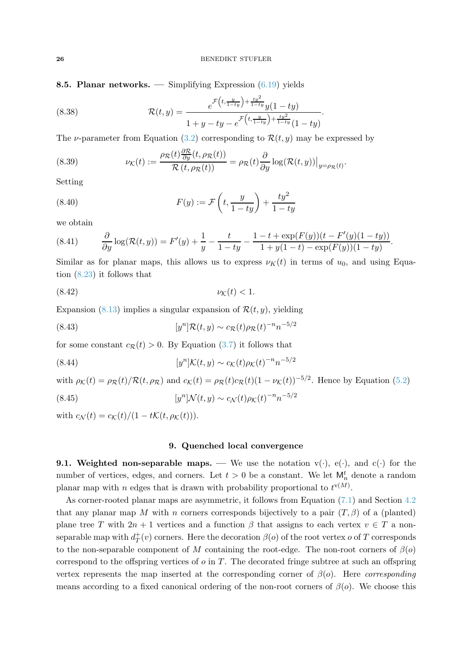8.5. Planar networks. — Simplifying Expression [\(6.19\)](#page-18-3) yields

(8.38) 
$$
\mathcal{R}(t,y) = \frac{e^{\mathcal{F}\left(t,\frac{y}{1-ty}\right) + \frac{ty^2}{1-ty}} y(1-ty)}{1+y-ty-e^{\mathcal{F}\left(t,\frac{y}{1-ty}\right) + \frac{ty^2}{1-ty}} (1-ty)}.
$$

The *v*-parameter from Equation [\(3.2\)](#page-7-0) corresponding to  $\mathcal{R}(t, y)$  may be expressed by

(8.39) 
$$
\nu_{\mathcal{K}}(t) := \frac{\rho_{\mathcal{R}}(t) \frac{\partial \mathcal{R}}{\partial y}(t, \rho_{\mathcal{R}}(t))}{\mathcal{R}(t, \rho_{\mathcal{R}}(t))} = \rho_{\mathcal{R}}(t) \frac{\partial}{\partial y} \log(\mathcal{R}(t, y))\big|_{y = \rho_{\mathcal{R}}(t)}.
$$

Setting

(8.40) 
$$
F(y) := \mathcal{F}\left(t, \frac{y}{1 - ty}\right) + \frac{ty^2}{1 - ty}
$$

we obtain

(8.41) 
$$
\frac{\partial}{\partial y}\log(\mathcal{R}(t,y)) = F'(y) + \frac{1}{y} - \frac{t}{1-ty} - \frac{1-t + \exp(F(y))(t - F'(y)(1-ty))}{1 + y(1-t) - \exp(F(y))(1-ty)}.
$$

Similar as for planar maps, this allows us to express  $\nu_K(t)$  in terms of  $u_0$ , and using Equation [\(8.23\)](#page-23-5) it follows that

<span id="page-25-0"></span>
$$
(8.42) \t\t \nu_{\mathcal{K}}(t) < 1.
$$

Expansion [\(8.13\)](#page-22-3) implies a singular expansion of  $\mathcal{R}(t, y)$ , yielding

<span id="page-25-1"></span>(8.43) 
$$
[y^{n}]\mathcal{R}(t,y) \sim c_{\mathcal{R}}(t)\rho_{\mathcal{R}}(t)^{-n}n^{-5/2}
$$

for some constant  $c_{\mathcal{R}}(t) > 0$ . By Equation [\(3.7\)](#page-8-3) it follows that

(8.44) 
$$
[y^{n}]K(t,y) \sim c_{\mathcal{K}}(t)\rho_{\mathcal{K}}(t)^{-n}n^{-5/2}
$$

with  $\rho_K(t) = \rho_R(t)/R(t, \rho_R)$  and  $c_K(t) = \rho_R(t)c_R(t)(1 - \nu_K(t))^{-5/2}$ . Hence by Equation [\(5.2\)](#page-12-1)

(8.45) 
$$
[y^n] \mathcal{N}(t, y) \sim c_{\mathcal{N}}(t) \rho_{\mathcal{K}}(t)^{-n} n^{-5/2}
$$

with  $c_N(t) = c_K(t)/(1 - t\mathcal{K}(t, \rho_K(t))).$ 

# 9. Quenched local convergence

**9.1. Weighted non-separable maps.** — We use the notation  $v(\cdot)$ ,  $e(\cdot)$ , and  $c(\cdot)$  for the number of vertices, edges, and corners. Let  $t > 0$  be a constant. We let  $\mathsf{M}_n^t$  denote a random planar map with n edges that is drawn with probability proportional to  $t^{v(M)}$ .

As corner-rooted planar maps are asymmetric, it follows from Equation [\(7.1\)](#page-19-6) and Section [4.2](#page-11-2) that any planar map M with n corners corresponds bijectively to a pair  $(T, \beta)$  of a (planted) plane tree T with  $2n + 1$  vertices and a function  $\beta$  that assigns to each vertex  $v \in T$  a nonseparable map with  $d^+$  $T^+(v)$  corners. Here the decoration  $\beta(o)$  of the root vertex  $o$  of  $T$  corresponds to the non-separable component of M containing the root-edge. The non-root corners of  $\beta$ (o) correspond to the offspring vertices of  $o$  in  $T$ . The decorated fringe subtree at such an offspring vertex represents the map inserted at the corresponding corner of  $\beta$ (o). Here *corresponding* means according to a fixed canonical ordering of the non-root corners of  $\beta(o)$ . We choose this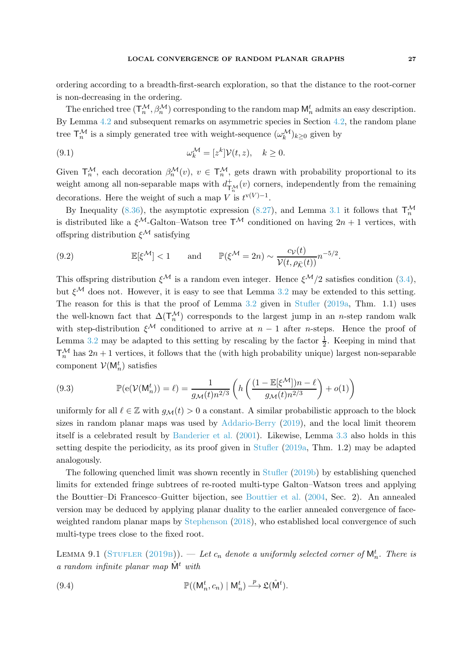ordering according to a breadth-first-search exploration, so that the distance to the root-corner is non-decreasing in the ordering.

The enriched tree  $(\mathsf{T}_n^{\mathcal{M}}, \beta_n^{\mathcal{M}})$  corresponding to the random map  $\mathsf{M}_n^t$  admits an easy description. By Lemma [4.2](#page-11-1) and subsequent remarks on asymmetric species in Section [4.2,](#page-11-2) the random plane tree  $\mathsf{T}^{\mathcal{M}}_n$  is a simply generated tree with weight-sequence  $(\omega_k^{\mathcal{M}})_{k\geq 0}$  given by

(9.1) 
$$
\omega_k^{\mathcal{M}} = [z^k] \mathcal{V}(t, z), \quad k \ge 0.
$$

Given  $\mathsf{T}_n^{\mathcal{M}}$ , each decoration  $\beta_n^{\mathcal{M}}(v)$ ,  $v \in \mathsf{T}_n^{\mathcal{M}}$ , gets drawn with probability proportional to its weight among all non-separable maps with  $d_{\mathsf{T}_{n}^{M}}^{+}(v)$  corners, independently from the remaining decorations. Here the weight of such a map V is  $t^{v(V)-1}$ .

By Inequality [\(8.36\)](#page-24-4), the asymptotic expression [\(8.27\)](#page-23-0), and Lemma [3.1](#page-7-1) it follows that  $\mathsf{T}_n^{\mathcal{M}}$ is distributed like a  $\xi^{\mathcal{M}}$ -Galton–Watson tree  $T^{\mathcal{M}}$  conditioned on having  $2n + 1$  vertices, with offspring distribution  $\xi^{\mathcal{M}}$  satisfying

(9.2) 
$$
\mathbb{E}[\xi^{\mathcal{M}}] < 1 \quad \text{and} \quad \mathbb{P}(\xi^{\mathcal{M}} = 2n) \sim \frac{c_{\mathcal{V}}(t)}{\mathcal{V}(t, \rho_{\bar{\mathcal{K}}}(t))} n^{-5/2}.
$$

This offspring distribution  $\xi^{\mathcal{M}}$  is a random even integer. Hence  $\xi^{\mathcal{M}}/2$  satisfies condition [\(3.4\)](#page-8-1), but  $\xi^{\mathcal{M}}$  does not. However, it is easy to see that Lemma [3.2](#page-8-2) may be extended to this setting. The reason for this is that the proof of Lemma [3.2](#page-8-2) given in [Stufler](#page-61-3) [\(2019a](#page-61-3), Thm. 1.1) uses the well-known fact that  $\Delta(\mathsf{T}_n^{\mathcal{M}})$  corresponds to the largest jump in an n-step random walk with step-distribution  $\xi^{\mathcal{M}}$  conditioned to arrive at  $n-1$  after *n*-steps. Hence the proof of Lemma [3.2](#page-8-2) may be adapted to this setting by rescaling by the factor  $\frac{1}{2}$ . Keeping in mind that  $\mathsf{T}_n^{\mathcal{M}}$  has  $2n + 1$  vertices, it follows that the (with high probability unique) largest non-separable component  $V(M_n^t)$  satisfies

<span id="page-26-1"></span>(9.3) 
$$
\mathbb{P}(e(\mathcal{V}(M_n^t)) = \ell) = \frac{1}{g_{\mathcal{M}}(t)n^{2/3}} \left( h\left(\frac{(1 - \mathbb{E}[\xi^{\mathcal{M}}])n - \ell}{g_{\mathcal{M}}(t)n^{2/3}}\right) + o(1) \right)
$$

uniformly for all  $\ell \in \mathbb{Z}$  with  $g_{\mathcal{M}}(t) > 0$  a constant. A similar probabilistic approach to the block sizes in random planar maps was used by [Addario-Berry](#page-57-9) [\(2019](#page-57-9)), and the local limit theorem itself is a celebrated result by [Banderier et al.](#page-57-10) [\(2001](#page-57-10)). Likewise, Lemma [3.3](#page-9-0) also holds in this setting despite the periodicity, as its proof given in [Stufler](#page-61-3) [\(2019a](#page-61-3), Thm. 1.2) may be adapted analogously.

The following quenched limit was shown recently in [Stufler](#page-61-1) [\(2019b](#page-61-1)) by establishing quenched limits for extended fringe subtrees of re-rooted multi-type Galton–Watson trees and applying the Bouttier–Di Francesco–Guitter bijection, see [Bouttier et al.](#page-57-11) [\(2004,](#page-57-11) Sec. 2). An annealed version may be deduced by applying planar duality to the earlier annealed convergence of faceweighted random planar maps by [Stephenson](#page-61-0) [\(2018](#page-61-0)), who established local convergence of such multi-type trees close to the fixed root.

<span id="page-26-0"></span>LEMMA 9.1 (STUFLER (2019B)).  $-$  Let  $c_n$  denote a uniformly selected corner of  $\mathsf{M}_n^t$ . There is a random infinite planar map  $\hat{M}^t$  with

(9.4) 
$$
\mathbb{P}((\mathsf{M}_n^t, c_n) | \mathsf{M}_n^t) \stackrel{p}{\longrightarrow} \mathfrak{L}(\hat{\mathsf{M}}^t).
$$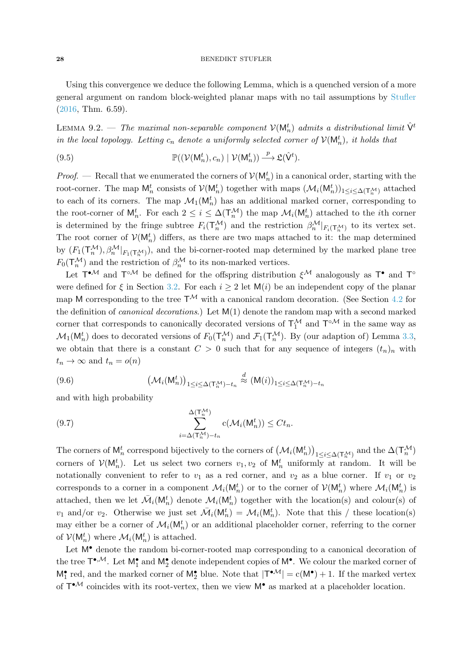Using this convergence we deduce the following Lemma, which is a quenched version of a more general argument on random block-weighted planar maps with no tail assumptions by [Stufler](#page-61-2) [\(2016,](#page-61-2) Thm. 6.59).

<span id="page-27-0"></span>LEMMA 9.2. — The maximal non-separable component  $\mathcal{V}(\mathsf{M}^t_n)$  admits a distributional limit  $\hat{\mathsf{V}}^t$ in the local topology. Letting  $c_n$  denote a uniformly selected corner of  $\mathcal{V}(\mathsf{M}^t_n)$ , it holds that

(9.5) 
$$
\mathbb{P}((\mathcal{V}(\mathsf{M}^t_n),c_n)\mid \mathcal{V}(\mathsf{M}^t_n)) \xrightarrow{p} \mathfrak{L}(\hat{\mathsf{V}}^t).
$$

*Proof.* — Recall that we enumerated the corners of  $V(M_n^t)$  in a canonical order, starting with the root-corner. The map  $M_n^t$  consists of  $\mathcal{V}(M_n^t)$  together with maps  $(\mathcal{M}_i(M_n^t))_{1 \le i \le \Delta(\mathsf{T}_n^{\mathcal{M}})}$  attached to each of its corners. The map  $\mathcal{M}_1(\mathsf{M}_n^t)$  has an additional marked corner, corresponding to the root-corner of  $M_n^t$ . For each  $2 \leq i \leq \Delta(\mathsf{T}_n^{\mathcal{M}})$  the map  $\mathcal{M}_i(\mathsf{M}_n^t)$  attached to the *i*th corner is determined by the fringe subtree  $F_i(\mathsf{T}_n^{\mathcal{M}})$  and the restriction  $\beta_n^{\mathcal{M}}|_{F_i(\mathsf{T}_n^{\mathcal{M}})}$  to its vertex set. The root corner of  $\mathcal{V}(\mathsf{M}_n^t)$  differs, as there are two maps attached to it: the map determined by  $(F_1(\mathsf{T}_n^{\mathcal{M}}), \beta_n^{\mathcal{M}}|_{F_1(\mathsf{T}_n^{\mathcal{M}})})$ , and the bi-corner-rooted map determined by the marked plane tree  $F_0(\mathsf{T}_n^{\mathcal{M}})$  and the restriction of  $\beta_n^{\mathcal{M}}$  to its non-marked vertices.

Let  $T^{\bullet M}$  and  $T^{\circ M}$  be defined for the offspring distribution  $\xi^M$  analogously as  $T^{\bullet}$  and  $T^{\circ}$ were defined for  $\xi$  in Section [3.2.](#page-8-5) For each  $i \geq 2$  let  $M(i)$  be an independent copy of the planar map M corresponding to the tree  $T^{\mathcal{M}}$  with a canonical random decoration. (See Section [4.2](#page-11-2) for the definition of *canonical decorations*.) Let  $M(1)$  denote the random map with a second marked corner that corresponds to canonically decorated versions of  $T_1^{\mathcal{M}}$  and  $T^{\circ\mathcal{M}}$  in the same way as  $\mathcal{M}_1(\mathsf{M}_n^t)$  does to decorated versions of  $F_0(\mathsf{T}_n^{\mathcal{M}})$  and  $\mathcal{F}_1(\mathsf{T}_n^{\mathcal{M}})$ . By (our adaption of) Lemma [3.3,](#page-9-0) we obtain that there is a constant  $C > 0$  such that for any sequence of integers  $(t_n)_n$  with  $t_n \to \infty$  and  $t_n = o(n)$ 

(9.6) 
$$
\left(\mathcal{M}_i(\mathsf{M}_n^t)\right)_{1\leq i\leq \Delta(\mathsf{T}_n^{\mathcal{M}})-t_n} \stackrel{d}{\approx} (\mathsf{M}(i))_{1\leq i\leq \Delta(\mathsf{T}_n^{\mathcal{M}})-t_n}
$$

and with high probability

(9.7) 
$$
\sum_{i=\Delta(T_n^{\mathcal{M}})-t_n}^{\Delta(T_n^{\mathcal{M}})} c(\mathcal{M}_i(\mathsf{M}_n^t)) \leq Ct_n.
$$

The corners of  $M_n^t$  correspond bijectively to the corners of  $(M_i(M_n^t))_{1 \le i \le \Delta(\mathsf{T}_n^{\mathcal{M}})}$  and the  $\Delta(\mathsf{T}_n^{\mathcal{M}})$ corners of  $V(M_n^t)$ . Let us select two corners  $v_1, v_2$  of  $M_n^t$  uniformly at random. It will be notationally convenient to refer to  $v_1$  as a red corner, and  $v_2$  as a blue corner. If  $v_1$  or  $v_2$ corresponds to a corner in a component  $\mathcal{M}_i(\mathsf{M}_n^t)$  or to the corner of  $\mathcal{V}(\mathsf{M}_n^t)$  where  $\mathcal{M}_i(\mathsf{M}_n^t)$  is attached, then we let  $\mathcal{M}_i(\mathsf{M}_n^t)$  denote  $\mathcal{M}_i(\mathsf{M}_n^t)$  together with the location(s) and colour(s) of  $v_1$  and/or  $v_2$ . Otherwise we just set  $\bar{\mathcal{M}}_i(\mathsf{M}_n^t) = \mathcal{M}_i(\mathsf{M}_n^t)$ . Note that this / these location(s) may either be a corner of  $\mathcal{M}_i(\mathsf{M}_n^t)$  or an additional placeholder corner, referring to the corner of  $\mathcal{V}(\mathsf{M}_n^t)$  where  $\mathcal{M}_i(\mathsf{M}_n^t)$  is attached.

Let  $M^{\bullet}$  denote the random bi-corner-rooted map corresponding to a canonical decoration of the tree  $\mathsf{T}^{\bullet,\mathcal{M}}$ . Let  $\mathsf{M}_1^{\bullet}$  and  $\mathsf{M}_2^{\bullet}$  denote independent copies of  $\mathsf{M}^{\bullet}$ . We colour the marked corner of  $M_1^{\bullet}$  red, and the marked corner of  $M_2^{\bullet}$  blue. Note that  $|T^{\bullet M}| = c(M^{\bullet}) + 1$ . If the marked vertex of  $T^{\bullet M}$  coincides with its root-vertex, then we view  $M^{\bullet}$  as marked at a placeholder location.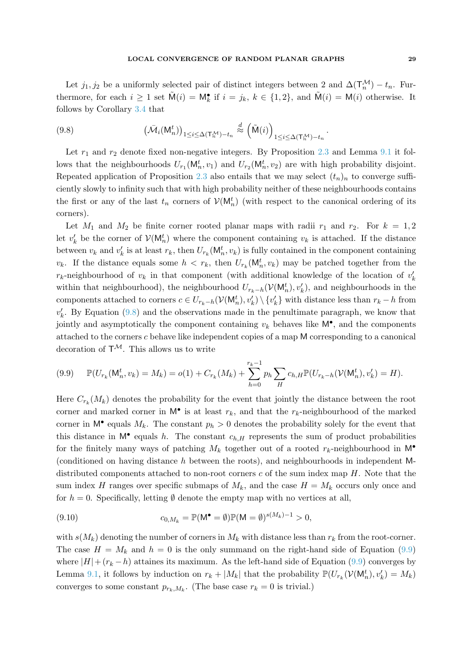Let  $j_1, j_2$  be a uniformly selected pair of distinct integers between 2 and  $\Delta(\mathsf{T}_n^{\mathcal{M}}) - t_n$ . Furthermore, for each  $i \geq 1$  set  $\tilde{M}(i) = M_k^{\bullet}$  if  $i = j_k, k \in \{1, 2\}$ , and  $\tilde{M}(i) = M(i)$  otherwise. It follows by Corollary [3.4](#page-9-1) that

<span id="page-28-0"></span>(9.8) 
$$
\left(\bar{\mathcal{M}}_i(\mathsf{M}_n^t)\right)_{1\leq i\leq \Delta(\mathsf{T}_n^{\mathcal{M}})-t_n} \stackrel{d}{\approx} \left(\tilde{\mathsf{M}}(i)\right)_{1\leq i\leq \Delta(\mathsf{T}_n^{\mathcal{M}})-t_n}.
$$

Let  $r_1$  and  $r_2$  denote fixed non-negative integers. By Proposition [2.3](#page-7-2) and Lemma [9.1](#page-26-0) it follows that the neighbourhoods  $U_{r_1}(\mathsf{M}_n^t, v_1)$  and  $U_{r_2}(\mathsf{M}_n^t, v_2)$  are with high probability disjoint. Repeated application of Proposition [2.3](#page-7-2) also entails that we may select  $(t_n)_n$  to converge sufficiently slowly to infinity such that with high probability neither of these neighbourhoods contains the first or any of the last  $t_n$  corners of  $\mathcal{V}(\mathsf{M}_n^t)$  (with respect to the canonical ordering of its corners).

Let  $M_1$  and  $M_2$  be finite corner rooted planar maps with radii  $r_1$  and  $r_2$ . For  $k = 1, 2$ let  $v'_k$  be the corner of  $\mathcal{V}(\mathsf{M}_n^t)$  where the component containing  $v_k$  is attached. If the distance between  $v_k$  and  $v'_k$  is at least  $r_k$ , then  $U_{r_k}(\mathsf{M}_n^t, v_k)$  is fully contained in the component containing  $v_k$ . If the distance equals some  $h < r_k$ , then  $U_{r_k}(\mathsf{M}_n^t, v_k)$  may be patched together from the  $r_k$ -neighbourhood of  $v_k$  in that component (with additional knowledge of the location of  $v'_k$ within that neighbourhood), the neighbourhood  $U_{r_k-h}(\mathcal{V}(\mathsf{M}^t_n), v'_k)$ , and neighbourhoods in the components attached to corners  $c \in U_{r_k-h}(\mathcal{V}(\mathsf{M}^t_n), v'_k) \setminus \{v'_k\}$  with distance less than  $r_k - h$  from  $v'_{k}$ . By Equation [\(9.8\)](#page-28-0) and the observations made in the penultimate paragraph, we know that jointly and asymptotically the component containing  $v_k$  behaves like  $\mathsf{M}^\bullet$ , and the components attached to the corners c behave like independent copies of a map M corresponding to a canonical decoration of  $T^{\mathcal{M}}$ . This allows us to write

<span id="page-28-1"></span>
$$
(9.9) \quad \mathbb{P}(U_{r_k}(\mathsf{M}_n^t, v_k) = M_k) = o(1) + C_{r_k}(M_k) + \sum_{h=0}^{r_k - 1} p_h \sum_H c_{h,H} \mathbb{P}(U_{r_k - h}(\mathcal{V}(\mathsf{M}_n^t), v_k') = H).
$$

Here  $C_{r_k}(M_k)$  denotes the probability for the event that jointly the distance between the root corner and marked corner in  $M^{\bullet}$  is at least  $r_k$ , and that the  $r_k$ -neighbourhood of the marked corner in  $\mathsf{M}^{\bullet}$  equals  $M_k$ . The constant  $p_h > 0$  denotes the probability solely for the event that this distance in  $M^{\bullet}$  equals h. The constant  $c_{h,H}$  represents the sum of product probabilities for the finitely many ways of patching  $M_k$  together out of a rooted  $r_k$ -neighbourhood in  $M^{\bullet}$ (conditioned on having distance h between the roots), and neighbourhoods in independent Mdistributed components attached to non-root corners c of the sum index map  $H$ . Note that the sum index H ranges over specific submaps of  $M_k$ , and the case  $H = M_k$  occurs only once and for  $h = 0$ . Specifically, letting  $\emptyset$  denote the empty map with no vertices at all,

(9.10) 
$$
c_{0,M_k} = \mathbb{P}(\mathsf{M}^{\bullet} = \emptyset)\mathbb{P}(\mathsf{M} = \emptyset)^{s(M_k)-1} > 0,
$$

with  $s(M_k)$  denoting the number of corners in  $M_k$  with distance less than  $r_k$  from the root-corner. The case  $H = M_k$  and  $h = 0$  is the only summand on the right-hand side of Equation [\(9.9\)](#page-28-1) where  $|H| + (r_k - h)$  attaines its maximum. As the left-hand side of Equation [\(9.9\)](#page-28-1) converges by Lemma [9.1,](#page-26-0) it follows by induction on  $r_k + |M_k|$  that the probability  $\mathbb{P}(U_{r_k}(V(\mathsf{M}^t_n), v'_k) = M_k)$ converges to some constant  $p_{r_k,M_k}$ . (The base case  $r_k = 0$  is trivial.)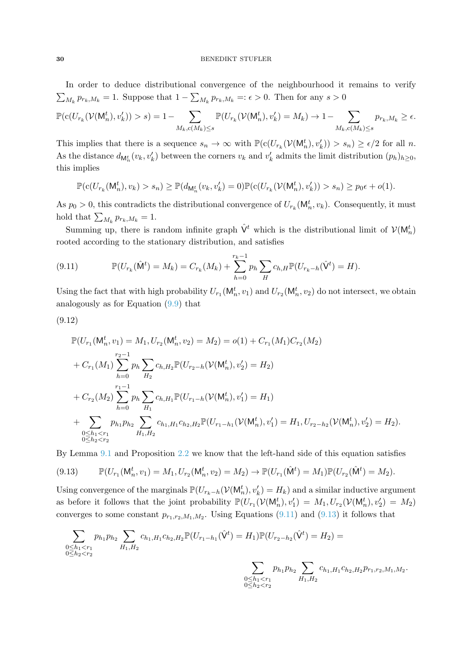### 30 BENEDIKT STUFLER

In order to deduce distributional convergence of the neighbourhood it remains to verify  $\sum_{M_k} p_{r_k,M_k} = 1$ . Suppose that  $1 - \sum_{M_k} p_{r_k,M_k} =: \epsilon > 0$ . Then for any  $s > 0$ 

$$
\mathbb{P}(\mathbf{c}(U_{r_k}(\mathcal{V}(\mathsf{M}^t_n), v'_k)) > s) = 1 - \sum_{M_k, \mathbf{c}(M_k) \le s} \mathbb{P}(U_{r_k}(\mathcal{V}(\mathsf{M}^t_n), v'_k) = M_k) \to 1 - \sum_{M_k, \mathbf{c}(M_k) \le s} p_{r_k, M_k} \ge \epsilon.
$$

This implies that there is a sequence  $s_n \to \infty$  with  $\mathbb{P}(\mathrm{c}(U_{r_k}(\mathcal{V}(\mathsf{M}_n^t), v'_k)) > s_n) \ge \epsilon/2$  for all n. As the distance  $d_{\mathsf{M}_n^t}(v_k, v'_k)$  between the corners  $v_k$  and  $v'_k$  admits the limit distribution  $(p_h)_{h\geq 0}$ , this implies

$$
\mathbb{P}(c(U_{r_k}(\mathsf{M}_n^t), v_k) > s_n) \geq \mathbb{P}(d_{\mathsf{M}_n^t}(v_k, v_k') = 0)\mathbb{P}(c(U_{r_k}(\mathcal{V}(\mathsf{M}_n^t), v_k')) > s_n) \geq p_0\epsilon + o(1).
$$

As  $p_0 > 0$ , this contradicts the distributional convergence of  $U_{r_k}(\mathsf{M}_n^t, v_k)$ . Consequently, it must hold that  $\sum_{M_k} p_{r_k,M_k} = 1$ .

Summing up, there is random infinite graph  $\hat{V}^t$  which is the distributional limit of  $\mathcal{V}(M_n^t)$ rooted according to the stationary distribution, and satisfies

<span id="page-29-0"></span>(9.11) 
$$
\mathbb{P}(U_{r_k}(\hat{\mathsf{M}}^t) = M_k) = C_{r_k}(M_k) + \sum_{h=0}^{r_k-1} p_h \sum_{H} c_{h,H} \mathbb{P}(U_{r_k-h}(\hat{\mathsf{V}}^t) = H).
$$

Using the fact that with high probability  $U_{r_1}(\mathsf{M}_n^t, v_1)$  and  $U_{r_2}(\mathsf{M}_n^t, v_2)$  do not intersect, we obtain analogously as for Equation [\(9.9\)](#page-28-1) that

$$
(9.12)
$$

$$
\mathbb{P}(U_{r_1}(\mathsf{M}_n^t, v_1) = M_1, U_{r_2}(\mathsf{M}_n^t, v_2) = M_2) = o(1) + C_{r_1}(M_1)C_{r_2}(M_2)
$$
\n
$$
+ C_{r_1}(M_1) \sum_{h=0}^{r_2-1} p_h \sum_{H_2} c_{h, H_2} \mathbb{P}(U_{r_2-h}(\mathcal{V}(\mathsf{M}_n^t), v_2') = H_2)
$$
\n
$$
+ C_{r_2}(M_2) \sum_{h=0}^{r_1-1} p_h \sum_{H_1} c_{h, H_1} \mathbb{P}(U_{r_1-h}(\mathcal{V}(\mathsf{M}_n^t), v_1') = H_1)
$$
\n
$$
+ \sum_{\substack{0 \le h_1 < r_1 \\ 0 \le h_2 < r_2}} p_{h_1} p_{h_2} \sum_{H_1, H_2} c_{h_1, H_1} c_{h_2, H_2} \mathbb{P}(U_{r_1-h_1}(\mathcal{V}(\mathsf{M}_n^t), v_1') = H_1, U_{r_2-h_2}(\mathcal{V}(\mathsf{M}_n^t), v_2') = H_2).
$$

By Lemma [9.1](#page-26-0) and Proposition [2.2](#page-6-0) we know that the left-hand side of this equation satisfies

<span id="page-29-1"></span>
$$
(9.13) \qquad \mathbb{P}(U_{r_1}(\mathsf{M}_n^t, v_1) = M_1, U_{r_2}(\mathsf{M}_n^t, v_2) = M_2) \to \mathbb{P}(U_{r_1}(\hat{\mathsf{M}}^t) = M_1)\mathbb{P}(U_{r_2}(\hat{\mathsf{M}}^t) = M_2).
$$

Using convergence of the marginals  $\mathbb{P}(U_{r_k-h}(V(\mathsf{M}^t_n), v'_k) = H_k)$  and a similar inductive argument as before it follows that the joint probability  $\mathbb{P}(U_{r_1}(V(\mathsf{M}_n^t), v'_1) = M_1, U_{r_2}(V(\mathsf{M}_n^t), v'_2) = M_2)$ converges to some constant  $p_{r_1,r_2,M_1,M_2}$ . Using Equations [\(9.11\)](#page-29-0) and [\(9.13\)](#page-29-1) it follows that

$$
\sum_{\substack{0 \le h_1 < r_1 \\ 0 \le h_2 < r_2}} p_{h_1} p_{h_2} \sum_{H_1, H_2} c_{h_1, H_1} c_{h_2, H_2} \mathbb{P}(U_{r_1 - h_1}(\hat{\mathbf{V}}^t) = H_1) \mathbb{P}(U_{r_2 - h_2}(\hat{\mathbf{V}}^t) = H_2) = \sum_{\substack{0 \le h_1 < r_1 \\ 0 \le h_1 < r_1}} p_{h_1} p_{h_2} \sum_{H_1, H_2} c_{h_1, H_1} c_{h_2, H_2} p_{r_1, r_2, M_1, M_2}.
$$

 $0 \leq h_2 < r_2$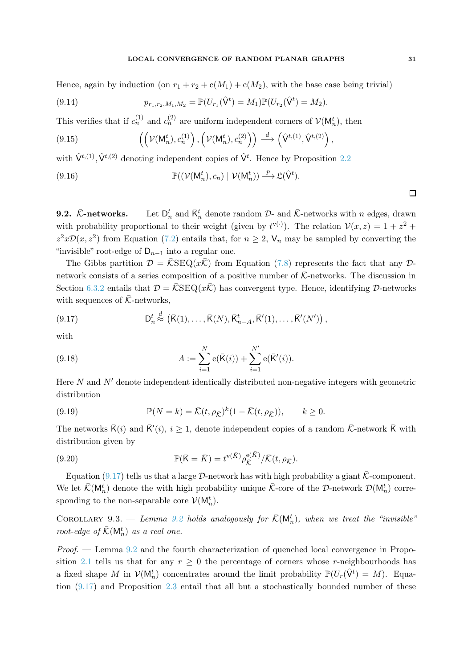Hence, again by induction (on  $r_1 + r_2 + c(M_1) + c(M_2)$ , with the base case being trivial)

(9.14) 
$$
p_{r_1,r_2,M_1,M_2} = \mathbb{P}(U_{r_1}(\hat{\mathsf{V}}^t) = M_1)\mathbb{P}(U_{r_2}(\hat{\mathsf{V}}^t) = M_2).
$$

This verifies that if  $c_n^{(1)}$  and  $c_n^{(2)}$  are uniform independent corners of  $\mathcal{V}(\mathsf{M}_n^t)$ , then

(9.15) 
$$
\left( \left( \mathcal{V}(\mathsf{M}_n^t), c_n^{(1)} \right), \left( \mathcal{V}(\mathsf{M}_n^t), c_n^{(2)} \right) \right) \stackrel{d}{\longrightarrow} \left( \hat{\mathsf{V}}^{t,(1)}, \hat{\mathsf{V}}^{t,(2)} \right),
$$

with  $\hat{V}^{t,(1)}$ ,  $\hat{V}^{t,(2)}$  denoting independent copies of  $\hat{V}^{t}$ . Hence by Proposition [2.2](#page-6-0)

(9.16) 
$$
\mathbb{P}((\mathcal{V}(\mathsf{M}^t_n),c_n)\mid \mathcal{V}(\mathsf{M}^t_n))\xrightarrow{p} \mathfrak{L}(\hat{\mathsf{V}}^t).
$$

**9.2.**  $\bar{K}$ -networks. — Let  $D_n^t$  and  $\bar{K}_n^t$  denote random  $D$ - and  $\bar{K}$ -networks with n edges, drawn with probability proportional to their weight (given by  $t^{\mathbf{v}(\cdot)}$ ). The relation  $\mathcal{V}(x, z) = 1 + z^2 + z^2$  $z^2x\mathcal{D}(x,z^2)$  from Equation [\(7.2\)](#page-19-7) entails that, for  $n \geq 2$ ,  $\mathsf{V}_n$  may be sampled by converting the "invisible" root-edge of  $D_{n-1}$  into a regular one.

The Gibbs partition  $\mathcal{D} = \overline{\mathcal{K}}\text{SEQ}(x\overline{\mathcal{K}})$  from Equation [\(7.8\)](#page-19-3) represents the fact that any  $\mathcal{D}$ network consists of a series composition of a positive number of  $\bar{\mathcal{K}}$ -networks. The discussion in Section [6.3.2](#page-17-0) entails that  $\mathcal{D} = \overline{\mathcal{K}}\text{SEQ}(x\overline{\mathcal{K}})$  has convergent type. Hence, identifying  $\mathcal{D}\text{-networks}$ with sequences of  $\bar{\mathcal{K}}$ -networks,

<span id="page-30-0"></span>(9.17) 
$$
\mathsf{D}_n^t \stackrel{d}{\approx} \left( \bar{\mathsf{K}}(1), \ldots, \bar{\mathsf{K}}(N), \bar{\mathsf{K}}_{n-A}^t, \bar{\mathsf{K}}'(1), \ldots, \bar{\mathsf{K}}'(N') \right),
$$

with

(9.18) 
$$
A := \sum_{i=1}^{N} e(\bar{K}(i)) + \sum_{i=1}^{N'} e(\bar{K}'(i)).
$$

Here  $N$  and  $N'$  denote independent identically distributed non-negative integers with geometric distribution

(9.19) 
$$
\mathbb{P}(N=k) = \overline{\mathcal{K}}(t,\rho_{\overline{\mathcal{K}}})^k(1-\overline{\mathcal{K}}(t,\rho_{\overline{\mathcal{K}}})), \qquad k \geq 0.
$$

The networks  $\bar{\mathsf{K}}(i)$  and  $\bar{\mathsf{K}}'(i), i \geq 1$ , denote independent copies of a random  $\bar{\mathcal{K}}$ -network  $\bar{\mathsf{K}}$  with distribution given by

<span id="page-30-2"></span>(9.20) 
$$
\mathbb{P}(\bar{\mathsf{K}} = \bar{K}) = t^{\mathsf{v}(\bar{K})} \rho_{\bar{\mathsf{K}}}^{\mathsf{e}(\bar{K})} / \bar{\mathsf{K}}(t, \rho_{\bar{\mathsf{K}}}).
$$

Equation [\(9.17\)](#page-30-0) tells us that a large  $\mathcal{D}$ -network has with high probability a giant  $\bar{\mathcal{K}}$ -component. We let  $\bar{\mathcal{K}}(\mathsf{M}_n^t)$  denote the with high probability unique  $\bar{\mathcal{K}}$ -core of the D-network  $\mathcal{D}(\mathsf{M}_n^t)$  corresponding to the non-separable core  $\mathcal{V}(\mathsf{M}_{n}^{t})$ .

<span id="page-30-1"></span>COROLLARY 9.3. — Lemma [9.2](#page-27-0) holds analogously for  $\bar{\mathcal{K}}(\mathsf{M}_n^t)$ , when we treat the "invisible" root-edge of  $\bar{\mathcal{K}}(\mathsf{M}_n^t)$  as a real one.

Proof. — Lemma [9.2](#page-27-0) and the fourth characterization of quenched local convergence in Propo-sition [2.1](#page-5-0) tells us that for any  $r \geq 0$  the percentage of corners whose r-neighbourhoods has a fixed shape M in  $V(\mathsf{M}_n^t)$  concentrates around the limit probability  $\mathbb{P}(U_r(\hat{\mathsf{V}}^t) = M)$ . Equation [\(9.17\)](#page-30-0) and Proposition [2.3](#page-7-2) entail that all but a stochastically bounded number of these

 $\Box$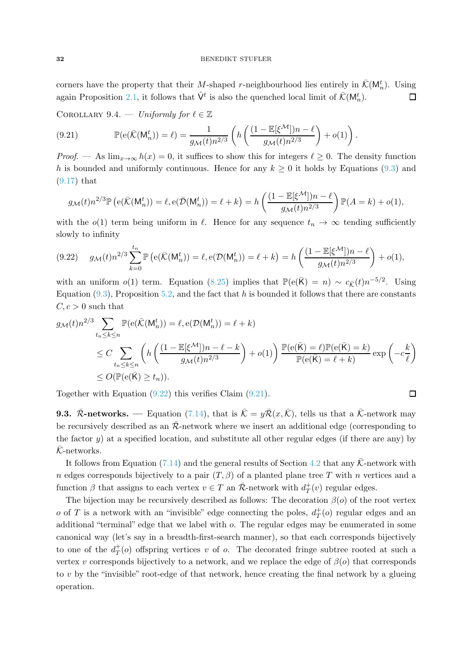corners have the property that their M-shaped r-neighbourhood lies entirely in  $\bar{\mathcal{K}}(\mathsf{M}_n^t)$ . Using again Proposition [2.1,](#page-5-0) it follows that  $\hat{\mathsf{V}}^t$  is also the quenched local limit of  $\bar{\mathcal{K}}(\mathsf{M}_n^t)$ .  $\Box$ 

<span id="page-31-2"></span>COROLLARY 9.4. — Uniformly for  $\ell \in \mathbb{Z}$ 

<span id="page-31-1"></span>(9.21) 
$$
\mathbb{P}(\mathsf{e}(\bar{\mathcal{K}}(\mathsf{M}_n^t)) = \ell) = \frac{1}{g_{\mathcal{M}}(t)n^{2/3}} \left( h\left(\frac{(1 - \mathbb{E}[\xi^{\mathcal{M}}])n - \ell}{g_{\mathcal{M}}(t)n^{2/3}}\right) + o(1) \right).
$$

*Proof.* — As  $\lim_{x\to\infty} h(x) = 0$ , it suffices to show this for integers  $\ell \geq 0$ . The density function h is bounded and uniformly continuous. Hence for any  $k \geq 0$  it holds by Equations [\(9.3\)](#page-26-1) and [\(9.17\)](#page-30-0) that

$$
g_{\mathcal{M}}(t)n^{2/3}\mathbb{P}\left(e(\bar{\mathcal{K}}(\mathsf{M}_n^t))=\ell, e(\bar{\mathcal{D}}(\mathsf{M}_n^t))=\ell+k\right)=h\left(\frac{(1-\mathbb{E}[\xi^{\mathcal{M}}])n-\ell}{g_{\mathcal{M}}(t)n^{2/3}}\right)\mathbb{P}(A=k)+o(1),
$$

with the  $o(1)$  term being uniform in  $\ell$ . Hence for any sequence  $t_n \to \infty$  tending sufficiently slowly to infinity

<span id="page-31-0"></span>
$$
(9.22) \quad g_{\mathcal{M}}(t)n^{2/3}\sum_{k=0}^{t_n} \mathbb{P}\left(e(\bar{\mathcal{K}}(\mathsf{M}_n^t)) = \ell, e(\mathcal{D}(\mathsf{M}_n^t)) = \ell + k\right) = h\left(\frac{(1 - \mathbb{E}[\xi^{\mathcal{M}}])n - \ell}{g_{\mathcal{M}}(t)n^{2/3}}\right) + o(1),
$$

with an uniform  $o(1)$  term. Equation [\(8.25\)](#page-23-6) implies that  $\mathbb{P}(\mathsf{e}(\bar{\mathsf{K}}) = n) \sim c_{\bar{\mathcal{K}}}(t)n^{-5/2}$ . Using Equation  $(9.3)$ , Proposition [5.2,](#page-13-5) and the fact that h is bounded it follows that there are constants  $C, c > 0$  such that

$$
g_{\mathcal{M}}(t)n^{2/3} \sum_{t_n \leq k \leq n} \mathbb{P}(\mathbf{e}(\bar{\mathcal{K}}(\mathsf{M}_n^t)) = \ell, \mathbf{e}(\mathcal{D}(\mathsf{M}_n^t)) = \ell + k)
$$
  
\n
$$
\leq C \sum_{t_n \leq k \leq n} \left( h \left( \frac{(1 - \mathbb{E}[\xi^{\mathcal{M}}])n - \ell - k}{g_{\mathcal{M}}(t)n^{2/3}} \right) + o(1) \right) \frac{\mathbb{P}(\mathbf{e}(\bar{\mathsf{K}}) = \ell) \mathbb{P}(\mathbf{e}(\bar{\mathsf{K}}) = k)}{\mathbb{P}(\mathbf{e}(\bar{\mathsf{K}}) = \ell + k)} \exp\left(-c\frac{k}{\ell}\right)
$$
  
\n
$$
\leq O(\mathbb{P}(\mathbf{e}(\bar{\mathsf{K}}) \geq t_n)).
$$

Together with Equation [\(9.22\)](#page-31-0) this verifies Claim [\(9.21\)](#page-31-1).

**9.3.**  $\bar{\mathcal{R}}$ -networks. — Equation [\(7.14\)](#page-20-1), that is  $\bar{\mathcal{K}} = y\bar{\mathcal{R}}(x,\bar{\mathcal{K}})$ , tells us that a  $\bar{\mathcal{K}}$ -network may be recursively described as an  $\bar{\mathcal{R}}$ -network where we insert an additional edge (corresponding to the factor y) at a specified location, and substitute all other regular edges (if there are any) by  $\bar{\mathcal{K}}$ -networks.

It follows from Equation [\(7.14\)](#page-20-1) and the general results of Section [4.2](#page-11-2) that any  $\bar{\mathcal{K}}$ -network with n edges corresponds bijectively to a pair  $(T, \beta)$  of a planted plane tree T with n vertices and a function  $\beta$  that assigns to each vertex  $v \in T$  an  $\overline{\mathcal{R}}$ -network with  $d^+_{T}(v)$  regular edges.

The bijection may be recursively described as follows: The decoration  $\beta$ (o) of the root vertex o of T is a network with an "invisible" edge connecting the poles,  $d_T^+$  $T^+(o)$  regular edges and an additional "terminal" edge that we label with o. The regular edges may be enumerated in some canonical way (let's say in a breadth-first-search manner), so that each corresponds bijectively to one of the  $d_T^+$  $T(t)$  offspring vertices v of o. The decorated fringe subtree rooted at such a vertex v corresponds bijectively to a network, and we replace the edge of  $\beta$ (o) that corresponds to  $v$  by the "invisible" root-edge of that network, hence creating the final network by a glueing operation.

$$
\Box
$$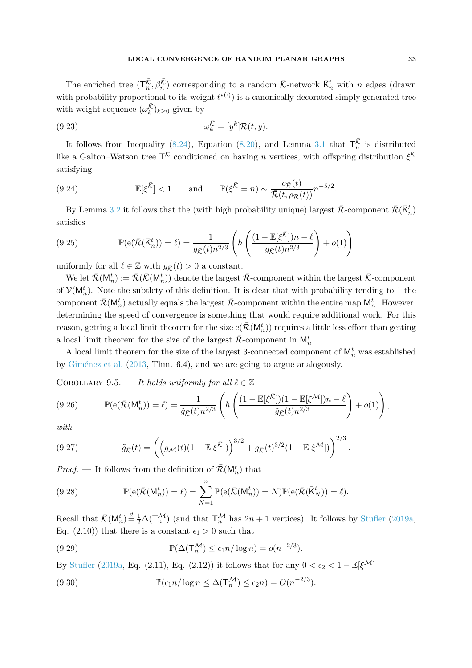The enriched tree  $(\mathsf{T}_n^{\overline{\mathcal{K}}}, \beta_n^{\overline{\mathcal{K}}})$  corresponding to a random  $\overline{\mathcal{K}}$ -network  $\overline{\mathsf{K}}_n^t$  with n edges (drawn with probability proportional to its weight  $t^{v(\cdot)}$  is a canonically decorated simply generated tree with weight-sequence  $(\omega_k^{\overline{\mathcal{K}}})_{k \geq 0}$  given by

(9.23) 
$$
\omega_k^{\overline{\mathcal{K}}} = [y^k] \overline{\mathcal{R}}(t, y).
$$

It follows from Inequality [\(8.24\)](#page-23-7), Equation [\(8.20\)](#page-23-8), and Lemma [3.1](#page-7-1) that  $\mathsf{T}_{n}^{\overline{\mathcal{K}}}$  is distributed like a Galton–Watson tree  $T^{\bar{\mathcal{K}}}$  conditioned on having *n* vertices, with offspring distribution  $\xi^{\bar{\mathcal{K}}}$ satisfying

(9.24) 
$$
\mathbb{E}[\xi^{\bar{\mathcal{K}}}] < 1 \quad \text{and} \quad \mathbb{P}(\xi^{\bar{\mathcal{K}}} = n) \sim \frac{c_{\bar{\mathcal{R}}}(t)}{\bar{\mathcal{R}}(t, \rho_{\mathcal{R}}(t))} n^{-5/2}.
$$

By Lemma [3.2](#page-8-2) it follows that the (with high probability unique) largest  $\bar{\mathcal{R}}$ -component  $\bar{\mathcal{R}}(\bar{\mathsf{K}}_n^t)$ satisfies

<span id="page-32-0"></span>(9.25) 
$$
\mathbb{P}(\mathbf{e}(\bar{\mathcal{R}}(\bar{\mathcal{R}}_n^t)) = \ell) = \frac{1}{g_{\bar{\mathcal{K}}}(t)n^{2/3}} \left( h \left( \frac{(1 - \mathbb{E}[\xi^{\bar{\mathcal{K}}}])n - \ell}{g_{\bar{\mathcal{K}}}(t)n^{2/3}} \right) + o(1) \right)
$$

uniformly for all  $\ell \in \mathbb{Z}$  with  $g_{\bar{K}}(t) > 0$  a constant.

We let  $\bar{\mathcal{R}}(\mathsf{M}^t_n) := \bar{\mathcal{R}}(\bar{\mathcal{K}}(\mathsf{M}^t_n))$  denote the largest  $\bar{\mathcal{R}}$ -component within the largest  $\bar{\mathcal{K}}$ -component of  $\mathcal{V}(\mathsf{M}_n^t)$ . Note the subtlety of this definition. It is clear that with probability tending to 1 the component  $\bar{\mathcal{R}}(\mathsf{M}_n^t)$  actually equals the largest  $\bar{\mathcal{R}}$ -component within the entire map  $\mathsf{M}_n^t$ . However, determining the speed of convergence is something that would require additional work. For this reason, getting a local limit theorem for the size  $e(\bar{\mathcal{R}}(M_n^t))$  requires a little less effort than getting a local limit theorem for the size of the largest  $\bar{\mathcal{R}}$ -component in  $\mathsf{M}_n^t$ .

<span id="page-32-2"></span>A local limit theorem for the size of the largest 3-connected component of  $\mathsf{M}_n^t$  was established by Giménez et al.  $(2013, Thm. 6.4)$  $(2013, Thm. 6.4)$ , and we are going to argue analogously.

COROLLARY 9.5. — It holds uniformly for all  $\ell \in \mathbb{Z}$ 

<span id="page-32-1"></span>
$$
(9.26) \qquad \mathbb{P}(\mathbf{e}(\bar{\mathcal{R}}(\mathsf{M}_n^t)) = \ell) = \frac{1}{\tilde{g}_{\bar{\mathcal{K}}}(t)n^{2/3}} \left( h\left(\frac{(1 - \mathbb{E}[\xi^{\bar{\mathcal{K}}}])(1 - \mathbb{E}[\xi^{\mathcal{M}}])n - \ell}{\tilde{g}_{\bar{\mathcal{K}}}(t)n^{2/3}}\right) + o(1) \right),
$$

with

(9.27) 
$$
\tilde{g}_{\bar{\mathcal{K}}}(t) = \left( \left( g_{\mathcal{M}}(t) (1 - \mathbb{E}[\xi^{\bar{\mathcal{K}}}]) \right)^{3/2} + g_{\bar{\mathcal{K}}}(t)^{3/2} (1 - \mathbb{E}[\xi^{\mathcal{M}}]) \right)^{2/3}.
$$

*Proof.* — It follows from the definition of  $\bar{\mathcal{R}}(\mathsf{M}_n^t)$  that

(9.28) 
$$
\mathbb{P}(\mathsf{e}(\bar{\mathcal{R}}(\mathsf{M}_n^t)) = \ell) = \sum_{N=1}^n \mathbb{P}(\mathsf{e}(\bar{\mathcal{K}}(\mathsf{M}_n^t)) = N) \mathbb{P}(\mathsf{e}(\bar{\mathcal{R}}(\bar{\mathcal{R}}_N^t)) = \ell).
$$

Recall that  $\bar{\mathcal{K}}(\mathsf{M}_n^t) \stackrel{d}{=} \frac{1}{2}\Delta(\mathsf{T}_n^{\mathcal{M}})$  (and that  $\mathsf{T}_n^{\mathcal{M}}$  has  $2n+1$  vertices). It follows by [Stufler](#page-61-3) [\(2019a](#page-61-3), Eq. (2.10)) that there is a constant  $\epsilon_1 > 0$  such that

(9.29) 
$$
\mathbb{P}(\Delta(\mathsf{T}_{n}^{\mathcal{M}}) \leq \epsilon_1 n / \log n) = o(n^{-2/3}).
$$

By [Stufler](#page-61-3) [\(2019a](#page-61-3), Eq. (2.11), Eq. (2.12)) it follows that for any  $0 < \epsilon_2 < 1 - \mathbb{E}[\xi^{\mathcal{M}}]$ 

(9.30) 
$$
\mathbb{P}(\epsilon_1 n/\log n \leq \Delta(\mathsf{T}_n^{\mathcal{M}}) \leq \epsilon_2 n) = O(n^{-2/3}).
$$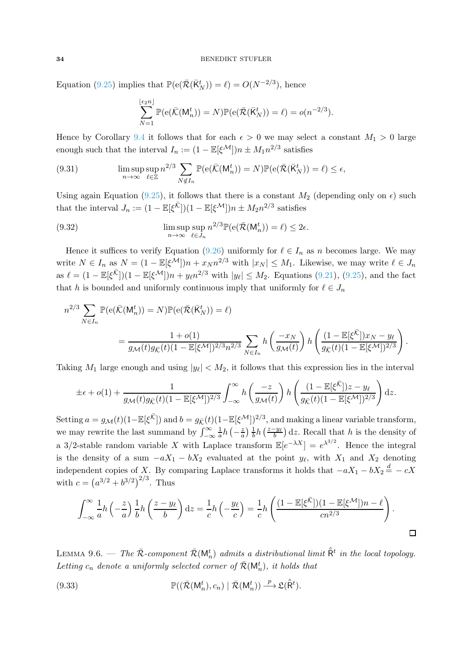#### 34 BENEDIKT STUFLER

Equation [\(9.25\)](#page-32-0) implies that  $\mathbb{P}(\mathsf{e}(\bar{\mathcal{R}}(\bar{\mathsf{K}}_{N}^{t})) = \ell) = O(N^{-2/3})$ , hence

$$
\sum_{N=1}^{\lfloor \epsilon_2 n \rfloor} \mathbb{P}(\mathsf{e}(\bar{\mathcal{K}}(\mathsf{M}^t_n)) = N) \mathbb{P}(\mathsf{e}(\bar{\mathcal{R}}(\bar{\mathsf{K}}^t_N)) = \ell) = o(n^{-2/3}).
$$

Hence by Corollary [9.4](#page-31-2) it follows that for each  $\epsilon > 0$  we may select a constant  $M_1 > 0$  large enough such that the interval  $I_n := (1 - \mathbb{E}[\xi^{\mathcal{M}}])n \pm M_1 n^{2/3}$  satisfies

(9.31) 
$$
\limsup_{n \to \infty} \sup_{\ell \in \mathbb{Z}} n^{2/3} \sum_{N \notin I_n} \mathbb{P}(\mathbf{e}(\bar{\mathcal{K}}(\mathsf{M}_n^t)) = N) \mathbb{P}(\mathbf{e}(\bar{\mathcal{R}}(\bar{\mathsf{K}}_N^t)) = \ell) \le \epsilon,
$$

Using again Equation [\(9.25\)](#page-32-0), it follows that there is a constant  $M_2$  (depending only on  $\epsilon$ ) such that the interval  $J_n := (1 - \mathbb{E}[\xi^{\bar{\mathcal{K}}}])(1 - \mathbb{E}[\xi^{\mathcal{M}}])n \pm M_2 n^{2/3}$  satisfies

(9.32) 
$$
\limsup_{n \to \infty} \sup_{\ell \in J_n} n^{2/3} \mathbb{P}(\mathbf{e}(\bar{\mathcal{R}}(\mathsf{M}_n^t)) = \ell) \leq 2\epsilon.
$$

Hence it suffices to verify Equation [\(9.26\)](#page-32-1) uniformly for  $\ell \in I_n$  as n becomes large. We may write  $N \in I_n$  as  $N = (1 - \mathbb{E}[\xi^{\mathcal{M}}])n + x_N n^{2/3}$  with  $|x_N| \leq M_1$ . Likewise, we may write  $\ell \in J_n$ as  $\ell = (1 - \mathbb{E}[\xi^{\bar{\mathcal{K}}}])(1 - \mathbb{E}[\xi^{\mathcal{M}}])n + y_{\ell}n^{2/3}$  with  $|y_{\ell}| \leq M_2$ . Equations [\(9.21\)](#page-31-1), [\(9.25\)](#page-32-0), and the fact that h is bounded and uniformly continuous imply that uniformly for  $\ell \in J_n$ 

$$
n^{2/3} \sum_{N \in I_n} \mathbb{P}(\mathbf{e}(\bar{\mathcal{K}}(\mathsf{M}_n^t)) = N) \mathbb{P}(\mathbf{e}(\bar{\mathcal{R}}(\bar{\mathcal{K}}_N^t)) = \ell)
$$
  
= 
$$
\frac{1 + o(1)}{g_{\mathcal{M}}(t)g_{\bar{\mathcal{K}}}(t)(1 - \mathbb{E}[\xi^{\mathcal{M}}])^{2/3}n^{2/3}} \sum_{N \in I_n} h\left(\frac{-x_N}{g_{\mathcal{M}}(t)}\right) h\left(\frac{(1 - \mathbb{E}[\xi^{\bar{\mathcal{K}}}])x_N - y_\ell}{g_{\bar{\mathcal{K}}}(t)(1 - \mathbb{E}[\xi^{\mathcal{M}}])^{2/3}}\right).
$$

Taking  $M_1$  large enough and using  $|y_\ell| < M_2$ , it follows that this expression lies in the interval

$$
\pm \epsilon + o(1) + \frac{1}{g_{\mathcal{M}}(t)g_{\bar{\mathcal{K}}}(t)(1 - \mathbb{E}[\xi^{\mathcal{M}}])^{2/3}} \int_{-\infty}^{\infty} h\left(\frac{-z}{g_{\mathcal{M}}(t)}\right) h\left(\frac{(1 - \mathbb{E}[\xi^{\bar{\mathcal{K}}}])z - y_{\ell}}{g_{\bar{\mathcal{K}}}(t)(1 - \mathbb{E}[\xi^{\mathcal{M}}])^{2/3}}\right) dz.
$$

Setting  $a = g_{\mathcal{M}}(t)(1 - \mathbb{E}[\xi^{\bar{\mathcal{K}}}])$  and  $b = g_{\bar{\mathcal{K}}}(t)(1 - \mathbb{E}[\xi^{\mathcal{M}}])^{2/3}$ , and making a linear variable transform, we may rewrite the last summand by  $\int_{-\infty}^{\infty} \frac{1}{a}$ a 3/2-stable random variable X with Laplace transform  $\mathbb{E}[e^{-\lambda X}] = e^{\lambda^{3/2}}$ . Hence the integral  $rac{1}{a}h\left(-\frac{z}{a}\right)$  $rac{z}{a}$ )  $rac{1}{b}$  $\frac{1}{b}h\left(\frac{z-y_{\ell}}{b}\right)dz$ . Recall that h is the density of is the density of a sum  $-aX_1 - bX_2$  evaluated at the point  $y_\ell$ , with  $X_1$  and  $X_2$  denoting independent copies of X. By comparing Laplace transforms it holds that  $-aX_1 - bX_2 = -cX$ with  $c = (a^{3/2} + b^{3/2})^{2/3}$ . Thus

$$
\int_{-\infty}^{\infty} \frac{1}{a} h\left(-\frac{z}{a}\right) \frac{1}{b} h\left(\frac{z-y_{\ell}}{b}\right) dz = \frac{1}{c} h\left(-\frac{y_{\ell}}{c}\right) = \frac{1}{c} h\left(\frac{(1-\mathbb{E}[\xi^{\bar{\mathcal{K}}}])(1-\mathbb{E}[\xi^{\mathcal{M}}])n-\ell}{cn^{2/3}}\right).
$$

<span id="page-33-0"></span>LEMMA 9.6. — The  $\bar{\mathcal{R}}$ -component  $\bar{\mathcal{R}}(\mathsf{M}^t_n)$  admits a distributional limit  $\hat{\bar{\mathsf{R}}}^t$  in the local topology. Letting  $c_n$  denote a uniformly selected corner of  $\bar{\mathcal{R}}(\mathsf{M}^t_n)$ , it holds that

(9.33) 
$$
\mathbb{P}((\bar{\mathcal{R}}(\mathsf{M}^t_n),c_n)\mid \bar{\mathcal{R}}(\mathsf{M}^t_n)) \xrightarrow{p} \mathfrak{L}(\hat{\mathsf{R}}^t).
$$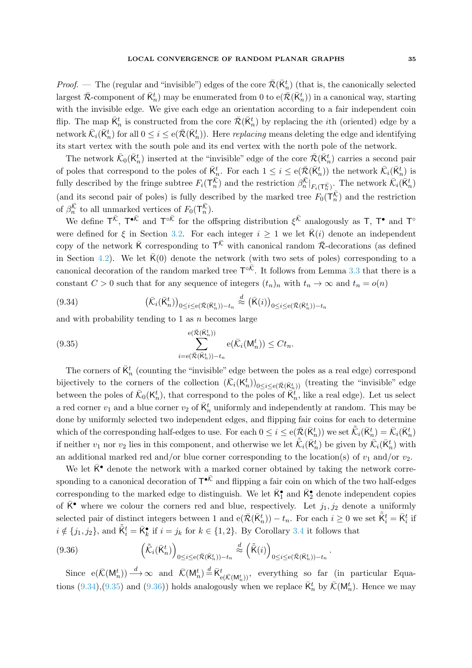*Proof.* — The (regular and "invisible") edges of the core  $\bar{\mathcal{R}}(\bar{\mathsf{K}}_n^t)$  (that is, the canonically selected largest  $\bar{\mathcal{R}}$ -component of  $\bar{\mathsf{K}}_n^t$ ) may be enumerated from 0 to  $e(\bar{\mathcal{R}}(\bar{\mathsf{K}}_n^t))$  in a canonical way, starting with the invisible edge. We give each edge an orientation according to a fair independent coin flip. The map  $\bar{K}_n^t$  is constructed from the core  $\bar{\mathcal{R}}(\bar{K}_n^t)$  by replacing the *i*th (oriented) edge by a network  $\bar{\mathcal{K}}_i(\bar{\mathsf{K}}_n^t)$  for all  $0 \leq i \leq e(\bar{\mathcal{R}}(\bar{\mathsf{K}}_n^t))$ . Here *replacing* means deleting the edge and identifying its start vertex with the south pole and its end vertex with the north pole of the network.

The network  $\bar{\mathcal{K}}_0(\bar{K}_n^t)$  inserted at the "invisible" edge of the core  $\bar{\mathcal{R}}(\bar{K}_n^t)$  carries a second pair of poles that correspond to the poles of  $\bar{K}^t_n$ . For each  $1 \leq i \leq e(\bar{\mathcal{R}}(\bar{K}^t_n))$  the network  $\bar{\mathcal{K}}_i(\bar{K}^t_n)$  is fully described by the fringe subtree  $F_i(\mathsf{T}_n^{\overline{\mathcal{K}}})$  and the restriction  $\beta_n^{\overline{\mathcal{K}}} |_{F_i(\mathsf{T}_n^{\overline{\mathcal{K}}})}$ . The network  $\overline{\mathcal{K}}_i(\overline{\mathsf{K}}_n^t)$ (and its second pair of poles) is fully described by the marked tree  $F_0(\mathsf{T}_n^{\overline{K}})$  and the restriction of  $\beta_n^{\overline{\mathcal{K}}}$  to all unmarked vertices of  $F_0(\mathsf{T}_n^{\overline{\mathcal{K}}})$ .

We define  $T^{\bar{\mathcal{K}}}$ ,  $T^{\bullet \bar{\mathcal{K}}}$  and  $T^{\circ \bar{\mathcal{K}}}$  for the offspring distribution  $\xi^{\bar{\mathcal{K}}}$  analogously as T, T<sup>o</sup> and T<sup>o</sup> were defined for  $\xi$  in Section [3.2.](#page-8-5) For each integer  $i \geq 1$  we let  $\overline{K}(i)$  denote an independent copy of the network  $\bar{K}$  corresponding to  $T^{\bar{K}}$  with canonical random  $\bar{\mathcal{R}}$ -decorations (as defined in Section [4.2\)](#page-11-2). We let  $\bar{K}(0)$  denote the network (with two sets of poles) corresponding to a canonical decoration of the random marked tree  $T^{\circ\bar{K}}$ . It follows from Lemma [3.3](#page-9-0) that there is a constant  $C > 0$  such that for any sequence of integers  $(t_n)_n$  with  $t_n \to \infty$  and  $t_n = o(n)$ 

<span id="page-34-0"></span>(9.34) 
$$
\left(\bar{\mathcal{K}}_i(\bar{\mathcal{K}}_n^t)\right)_{0 \leq i \leq e(\bar{\mathcal{R}}(\bar{\mathcal{K}}_n^t))-t_n} \stackrel{d}{\approx} \left(\bar{\mathcal{K}}(i)\right)_{0 \leq i \leq e(\bar{\mathcal{R}}(\bar{\mathcal{K}}_n^t))-t_n}
$$

and with probability tending to 1 as  $n$  becomes large

<span id="page-34-1"></span>(9.35) 
$$
\sum_{i=e(\overline{\mathcal{R}}(\overline{K}_{n}^{t}))-t_{n}}^{e(\overline{\mathcal{R}}(\overline{K}_{n}^{t}))} e(\overline{\mathcal{K}}_{i}(M_{n}^{t})) \leq Ct_{n}.
$$

The corners of  $\bar{K}^t_n$  (counting the "invisible" edge between the poles as a real edge) correspond bijectively to the corners of the collection  $(\bar{\mathcal{K}}_i(\mathsf{K}_n^t))_{0 \le i \le e(\bar{\mathcal{R}}(\bar{\mathsf{K}}_{\underline{n}}^t))}$  (treating the "invisible" edge between the poles of  $\bar{\mathcal{K}}_0(\mathsf{K}_n^t)$ , that correspond to the poles of  $\bar{\mathsf{K}}_n^t$ , like a real edge). Let us select a red corner  $v_1$  and a blue corner  $v_2$  of  $\bar{\mathsf{K}}_n^t$  uniformly and independently at random. This may be done by uniformly selected two independent edges, and flipping fair coins for each to determine which of the corresponding half-edges to use. For each  $0 \leq i \leq e(\bar{\mathcal{R}}(\bar{\mathsf{K}}_n^t))$  we set  $\tilde{\mathcal{K}}_i(\bar{\mathsf{K}}_n^t) = \bar{\mathcal{K}}_i(\bar{\mathsf{K}}_n^t)$ if neither  $v_1$  nor  $v_2$  lies in this component, and otherwise we let  $\tilde{\mathcal{K}}_i(\bar{\mathsf{K}}_n^t)$  be given by  $\bar{\mathcal{K}}_i(\bar{\mathsf{K}}_n^t)$  with an additional marked red and/or blue corner corresponding to the location(s) of  $v_1$  and/or  $v_2$ .

We let  $\overline{K}^{\bullet}$  denote the network with a marked corner obtained by taking the network corresponding to a canonical decoration of  $T^{\bullet \bar{\mathcal{K}}}$  and flipping a fair coin on which of the two half-edges corresponding to the marked edge to distinguish. We let  $\bar{\mathsf{K}}_1^{\bullet}$  and  $\bar{\mathsf{K}}_2^{\bullet}$  denote independent copies of  $\overline{\mathsf{K}}^{\bullet}$  where we colour the corners red and blue, respectively. Let  $j_1, j_2$  denote a uniformly selected pair of distinct integers between 1 and  $e(\bar{\mathcal{R}}(\bar{K}_n^t)) - t_n$ . For each  $i \geq 0$  we set  $\tilde{\bar{K}}_i^t = \bar{K}_i^t$  if  $i \notin \{j_1, j_2\}$ , and  $\tilde{K}_i^t = \bar{K}_k^{\bullet}$  if  $i = j_k$  for  $k \in \{1, 2\}$ . By Corollary [3.4](#page-9-1) it follows that

<span id="page-34-2"></span>(9.36) 
$$
\left(\tilde{\mathcal{K}}_i(\bar{\mathsf{K}}_n^t)\right)_{0 \leq i \leq e(\bar{\mathcal{K}}(\bar{\mathsf{K}}_n^t))-t_n} \stackrel{d}{\approx} \left(\tilde{\mathsf{K}}(i)\right)_{0 \leq i \leq e(\bar{\mathcal{K}}(\bar{\mathsf{K}}_n^t))-t_n}.
$$

Since  $e(\bar{\mathcal{K}}(M_n^t)) \stackrel{d}{\longrightarrow} \infty$  and  $\bar{\mathcal{K}}(M_n^t) \stackrel{d}{=} \bar{\mathcal{K}}_{e(\bar{\mathcal{K}}(M_n^t))}^t$ , everything so far (in particular Equa-tions [\(9.34\)](#page-34-0),[\(9.35\)](#page-34-1) and [\(9.36\)](#page-34-2)) holds analogously when we replace  $\bar{K}_n^t$  by  $\bar{\mathcal{K}}(\mathsf{M}_n^t)$ . Hence we may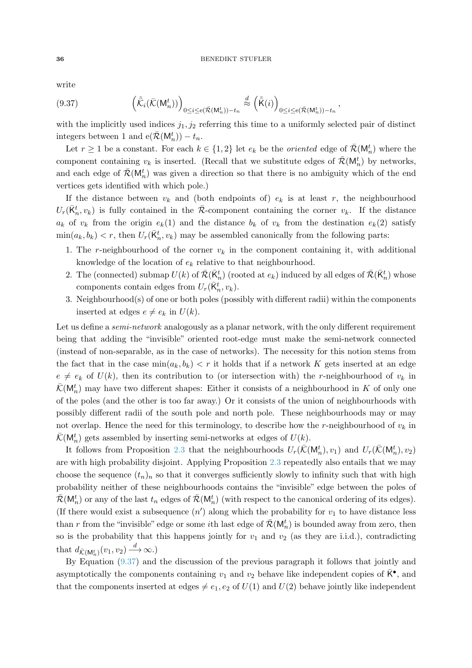write

<span id="page-35-0"></span>(9.37) 
$$
\left(\tilde{\mathcal{K}}_i(\bar{\mathcal{K}}(\mathsf{M}_n^t))\right)_{0\leq i\leq e(\bar{\mathcal{R}}(\mathsf{M}_n^t))-t_n} \stackrel{d}{\approx} \left(\tilde{\mathsf{K}}(i)\right)_{0\leq i\leq e(\bar{\mathcal{R}}(\mathsf{M}_n^t))-t_n},
$$

with the implicitly used indices  $j_1, j_2$  referring this time to a uniformly selected pair of distinct integers between 1 and  $e(\bar{\mathcal{R}}(M_n^t)) - t_n$ .

Let  $r \geq 1$  be a constant. For each  $k \in \{1,2\}$  let  $e_k$  be the *oriented* edge of  $\bar{\mathcal{R}}(\mathsf{M}_n^t)$  where the component containing  $v_k$  is inserted. (Recall that we substitute edges of  $\bar{\mathcal{R}}(\mathsf{M}_n^t)$  by networks, and each edge of  $\bar{\mathcal{R}}(\mathsf{M}_n^t)$  was given a direction so that there is no ambiguity which of the end vertices gets identified with which pole.)

If the distance between  $v_k$  and (both endpoints of)  $e_k$  is at least r, the neighbourhood  $U_r(\bar{\mathsf{K}}_n^t, v_k)$  is fully contained in the  $\bar{\mathcal{R}}$ -component containing the corner  $v_k$ . If the distance  $a_k$  of  $v_k$  from the origin  $e_k(1)$  and the distance  $b_k$  of  $v_k$  from the destination  $e_k(2)$  satisfy  $\min(a_k, b_k) < r$ , then  $U_r(\bar{K}_n^t, v_k)$  may be assembled canonically from the following parts:

- 1. The r-neighbourhood of the corner  $v_k$  in the component containing it, with additional knowledge of the location of  $e_k$  relative to that neighbourhood.
- 2. The (connected) submap  $U(k)$  of  $\bar{\mathcal{R}}(\bar{\mathsf{K}}_n^t)$  (rooted at  $e_k$ ) induced by all edges of  $\bar{\mathcal{R}}(\bar{\mathsf{K}}_n^t)$  whose components contain edges from  $U_r(\bar{\mathsf{K}}_n^t, v_k)$ .
- 3. Neighbourhood(s) of one or both poles (possibly with different radii) within the components inserted at edges  $e \neq e_k$  in  $U(k)$ .

Let us define a *semi-network* analogously as a planar network, with the only different requirement being that adding the "invisible" oriented root-edge must make the semi-network connected (instead of non-separable, as in the case of networks). The necessity for this notion stems from the fact that in the case  $\min(a_k, b_k) < r$  it holds that if a network K gets inserted at an edge  $e \neq e_k$  of  $U(k)$ , then its contribution to (or intersection with) the r-neighbourhood of  $v_k$  in  $\bar{\mathcal{K}}(\mathsf{M}_n^t)$  may have two different shapes: Either it consists of a neighbourhood in K of only one of the poles (and the other is too far away.) Or it consists of the union of neighbourhoods with possibly different radii of the south pole and north pole. These neighbourhoods may or may not overlap. Hence the need for this terminology, to describe how the r-neighbourhood of  $v_k$  in  $\bar{\mathcal{K}}(\mathsf{M}_n^t)$  gets assembled by inserting semi-networks at edges of  $U(k)$ .

It follows from Proposition [2.3](#page-7-2) that the neighbourhoods  $U_r(\bar{\mathcal{K}}(M_n^t), v_1)$  and  $U_r(\bar{\mathcal{K}}(M_n^t), v_2)$ are with high probability disjoint. Applying Proposition [2.3](#page-7-2) repeatedly also entails that we may choose the sequence  $(t_n)_n$  so that it converges sufficiently slowly to infinity such that with high probability neither of these neighbourhoods contains the "invisible" edge between the poles of  $\bar{\mathcal{R}}(\mathsf{M}_n^t)$  or any of the last  $t_n$  edges of  $\bar{\mathcal{R}}(\mathsf{M}_n^t)$  (with respect to the canonical ordering of its edges). (If there would exist a subsequence  $(n')$  along which the probability for  $v_1$  to have distance less than r from the "invisible" edge or some *i*th last edge of  $\bar{\mathcal{R}}(\mathsf{M}_n^t)$  is bounded away from zero, then so is the probability that this happens jointly for  $v_1$  and  $v_2$  (as they are i.i.d.), contradicting that  $d_{\bar{\mathcal{K}}(\mathsf{M}_n^t)}(v_1, v_2) \stackrel{d}{\longrightarrow} \infty.$ 

By Equation [\(9.37\)](#page-35-0) and the discussion of the previous paragraph it follows that jointly and asymptotically the components containing  $v_1$  and  $v_2$  behave like independent copies of  $\overline{\mathsf{K}}^{\bullet}$ , and that the components inserted at edges  $\neq e_1, e_2$  of  $U(1)$  and  $U(2)$  behave jointly like independent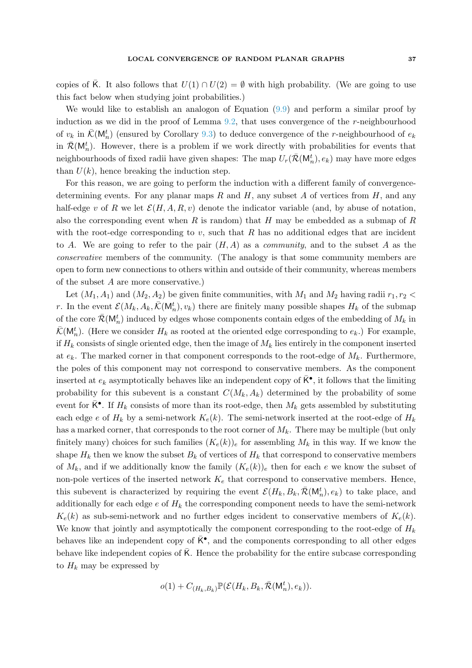copies of K. It also follows that  $U(1) \cap U(2) = \emptyset$  with high probability. (We are going to use this fact below when studying joint probabilities.)

We would like to establish an analogon of Equation [\(9.9\)](#page-28-1) and perform a similar proof by induction as we did in the proof of Lemma [9.2,](#page-27-0) that uses convergence of the  $r$ -neighbourhood of  $v_k$  in  $\bar{\mathcal{K}}(\mathsf{M}_n^t)$  (ensured by Corollary [9.3\)](#page-30-1) to deduce convergence of the *r*-neighbourhood of  $e_k$ in  $\bar{\mathcal{R}}(\mathsf{M}_n^t)$ . However, there is a problem if we work directly with probabilities for events that neighbourhoods of fixed radii have given shapes: The map  $U_r(\bar{\mathcal{R}}(\mathsf{M}^t_n),e_k)$  may have more edges than  $U(k)$ , hence breaking the induction step.

For this reason, we are going to perform the induction with a different family of convergencedetermining events. For any planar maps  $R$  and  $H$ , any subset  $A$  of vertices from  $H$ , and any half-edge v of R we let  $\mathcal{E}(H, A, R, v)$  denote the indicator variable (and, by abuse of notation, also the corresponding event when  $R$  is random) that  $H$  may be embedded as a submap of  $R$ with the root-edge corresponding to  $v$ , such that  $R$  has no additional edges that are incident to A. We are going to refer to the pair  $(H, A)$  as a *community*, and to the subset A as the conservative members of the community. (The analogy is that some community members are open to form new connections to others within and outside of their community, whereas members of the subset A are more conservative.)

Let  $(M_1, A_1)$  and  $(M_2, A_2)$  be given finite communities, with  $M_1$  and  $M_2$  having radii  $r_1, r_2$  < r. In the event  $\mathcal{E}(M_k, A_k, \bar{\mathcal{K}}(\mathsf{M}_n^t), v_k)$  there are finitely many possible shapes  $H_k$  of the submap of the core  $\bar{\mathcal{R}}(\mathsf{M}_n^t)$  induced by edges whose components contain edges of the embedding of  $M_k$  in  $\bar{\mathcal{K}}(\mathsf{M}_n^t)$ . (Here we consider  $H_k$  as rooted at the oriented edge corresponding to  $e_k$ .) For example, if  $H_k$  consists of single oriented edge, then the image of  $M_k$  lies entirely in the component inserted at  $e_k$ . The marked corner in that component corresponds to the root-edge of  $M_k$ . Furthermore, the poles of this component may not correspond to conservative members. As the component inserted at  $e_k$  asymptotically behaves like an independent copy of  $\bar{\mathsf{K}}^{\bullet}$ , it follows that the limiting probability for this subevent is a constant  $C(M_k, A_k)$  determined by the probability of some event for  $\bar{\mathsf{K}}^{\bullet}$ . If  $H_k$  consists of more than its root-edge, then  $M_k$  gets assembled by substituting each edge e of  $H_k$  by a semi-network  $K_e(k)$ . The semi-network inserted at the root-edge of  $H_k$ has a marked corner, that corresponds to the root corner of  $M_k$ . There may be multiple (but only finitely many) choices for such families  $(K_e(k))_e$  for assembling  $M_k$  in this way. If we know the shape  $H_k$  then we know the subset  $B_k$  of vertices of  $H_k$  that correspond to conservative members of  $M_k$ , and if we additionally know the family  $(K_e(k))_e$  then for each e we know the subset of non-pole vertices of the inserted network  $K_e$  that correspond to conservative members. Hence, this subevent is characterized by requiring the event  $\mathcal{E}(H_k, B_k, \bar{\mathcal{R}}(\mathsf{M}_n^t), e_k)$  to take place, and additionally for each edge  $e$  of  $H_k$  the corresponding component needs to have the semi-network  $K_e(k)$  as sub-semi-network and no further edges incident to conservative members of  $K_e(k)$ . We know that jointly and asymptotically the component corresponding to the root-edge of  $H_k$ behaves like an independent copy of  $\bar{K}^{\bullet}$ , and the components corresponding to all other edges behave like independent copies of  $\overline{K}$ . Hence the probability for the entire subcase corresponding to  $H_k$  may be expressed by

$$
o(1) + C_{(H_k, B_k)} \mathbb{P}(\mathcal{E}(H_k, B_k, \bar{\mathcal{R}}(\mathsf{M}_n^t), e_k)).
$$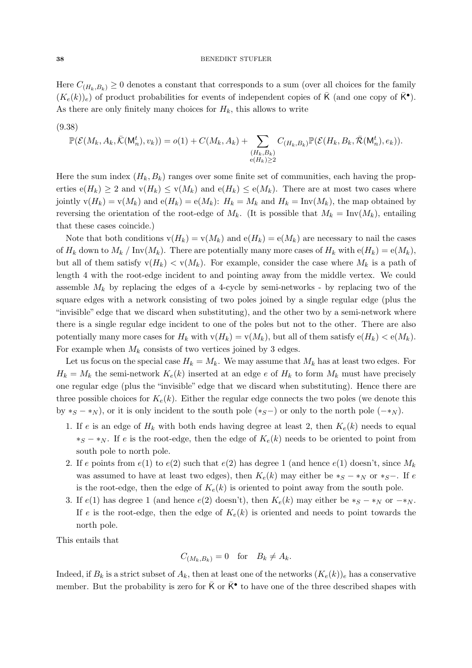Here  $C_{(H_k,B_k)} \geq 0$  denotes a constant that corresponds to a sum (over all choices for the family  $(K_e(k))_e$  of product probabilities for events of independent copies of  $\overline{K}$  (and one copy of  $\overline{K}^{\bullet}$ ). As there are only finitely many choices for  $H_k$ , this allows to write

<span id="page-37-0"></span>(9.38)

$$
\mathbb{P}(\mathcal{E}(M_k, A_k, \bar{\mathcal{K}}(\mathsf{M}_n^t), v_k)) = o(1) + C(M_k, A_k) + \sum_{\substack{(H_k, B_k) \\ e(H_k) \ge 2}} C_{(H_k, B_k)} \mathbb{P}(\mathcal{E}(H_k, B_k, \bar{\mathcal{R}}(\mathsf{M}_n^t), e_k)).
$$

Here the sum index  $(H_k, B_k)$  ranges over some finite set of communities, each having the properties  $e(H_k) \geq 2$  and  $v(H_k) \leq v(M_k)$  and  $e(H_k) \leq e(M_k)$ . There are at most two cases where jointly  $v(H_k) = v(M_k)$  and  $e(H_k) = e(M_k)$ :  $H_k = M_k$  and  $H_k = Inv(M_k)$ , the map obtained by reversing the orientation of the root-edge of  $M_k$ . (It is possible that  $M_k = Inv(M_k)$ , entailing that these cases coincide.)

Note that both conditions  $v(H_k) = v(M_k)$  and  $e(H_k) = e(M_k)$  are necessary to nail the cases of  $H_k$  down to  $M_k$  / Inv $(M_k)$ . There are potentially many more cases of  $H_k$  with  $e(H_k) = e(M_k)$ , but all of them satisfy  $v(H_k) < v(M_k)$ . For example, consider the case where  $M_k$  is a path of length 4 with the root-edge incident to and pointing away from the middle vertex. We could assemble  $M_k$  by replacing the edges of a 4-cycle by semi-networks - by replacing two of the square edges with a network consisting of two poles joined by a single regular edge (plus the "invisible" edge that we discard when substituting), and the other two by a semi-network where there is a single regular edge incident to one of the poles but not to the other. There are also potentially many more cases for  $H_k$  with  $v(H_k) = v(M_k)$ , but all of them satisfy  $e(H_k) < e(M_k)$ . For example when  $M_k$  consists of two vertices joined by 3 edges.

Let us focus on the special case  $H_k = M_k$ . We may assume that  $M_k$  has at least two edges. For  $H_k = M_k$  the semi-network  $K_e(k)$  inserted at an edge e of  $H_k$  to form  $M_k$  must have precisely one regular edge (plus the "invisible" edge that we discard when substituting). Hence there are three possible choices for  $K_e(k)$ . Either the regular edge connects the two poles (we denote this by  $*_S - *_N$ , or it is only incident to the south pole  $(*_S-)$  or only to the north pole  $(-*_N)$ .

- 1. If e is an edge of  $H_k$  with both ends having degree at least 2, then  $K_e(k)$  needs to equal  $*_S$  −  $*_N$ . If e is the root-edge, then the edge of  $K_e(k)$  needs to be oriented to point from south pole to north pole.
- 2. If e points from  $e(1)$  to  $e(2)$  such that  $e(2)$  has degree 1 (and hence  $e(1)$  doesn't, since  $M_k$ was assumed to have at least two edges), then  $K_e(k)$  may either be  $*_S - *_N$  or  $*_S -$ . If e is the root-edge, then the edge of  $K_e(k)$  is oriented to point away from the south pole.
- 3. If  $e(1)$  has degree 1 (and hence  $e(2)$  doesn't), then  $K_e(k)$  may either be  $*_S *_N$  or  $-*_N$ . If e is the root-edge, then the edge of  $K_e(k)$  is oriented and needs to point towards the north pole.

This entails that

$$
C_{(M_k,B_k)} = 0 \quad \text{for} \quad B_k \neq A_k.
$$

Indeed, if  $B_k$  is a strict subset of  $A_k$ , then at least one of the networks  $(K_e(k))_e$  has a conservative member. But the probability is zero for  $\bar{K}$  or  $\bar{K}^{\bullet}$  to have one of the three described shapes with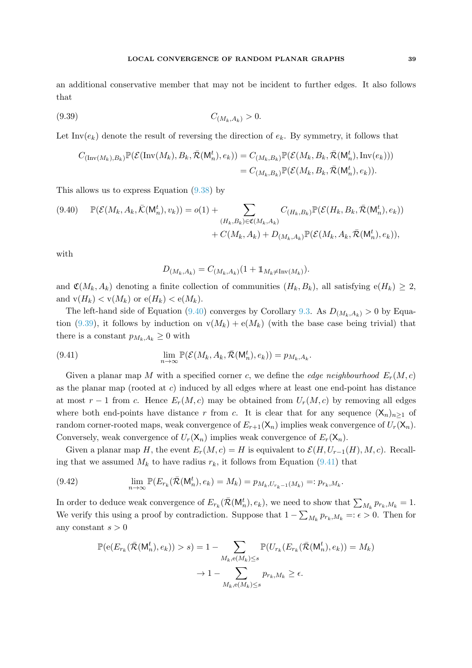### LOCAL CONVERGENCE OF RANDOM PLANAR GRAPHS 39

an additional conservative member that may not be incident to further edges. It also follows that

<span id="page-38-1"></span>
$$
(9.39) \t C_{(M_k, A_k)} > 0.
$$

Let Inv $(e_k)$  denote the result of reversing the direction of  $e_k$ . By symmetry, it follows that

$$
C_{(\text{Inv}(M_k),B_k)}\mathbb{P}(\mathcal{E}(\text{Inv}(M_k),B_k,\bar{\mathcal{R}}(\mathsf{M}_n^t),e_k)) = C_{(M_k,B_k)}\mathbb{P}(\mathcal{E}(M_k,B_k,\bar{\mathcal{R}}(\mathsf{M}_n^t),\text{Inv}(e_k)))
$$
  
=  $C_{(M_k,B_k)}\mathbb{P}(\mathcal{E}(M_k,B_k,\bar{\mathcal{R}}(\mathsf{M}_n^t),e_k)).$ 

This allows us to express Equation [\(9.38\)](#page-37-0) by

<span id="page-38-0"></span>
$$
(9.40) \quad \mathbb{P}(\mathcal{E}(M_k, A_k, \bar{\mathcal{K}}(\mathsf{M}_n^t), v_k)) = o(1) + \sum_{(H_k, B_k) \in \mathfrak{C}(M_k, A_k)} C_{(H_k, B_k)} \mathbb{P}(\mathcal{E}(H_k, B_k, \bar{\mathcal{R}}(\mathsf{M}_n^t), e_k)) + C(M_k, A_k) + D_{(M_k, A_k)} \mathbb{P}(\mathcal{E}(M_k, A_k, \bar{\mathcal{R}}(\mathsf{M}_n^t), e_k)),
$$

with

$$
D_{(M_k, A_k)} = C_{(M_k, A_k)} (1 + \mathbb{1}_{M_k \neq \text{Inv}(M_k)}).
$$

and  $\mathfrak{C}(M_k, A_k)$  denoting a finite collection of communities  $(H_k, B_k)$ , all satisfying  $e(H_k) \geq 2$ , and  $v(H_k) < v(M_k)$  or  $e(H_k) < e(M_k)$ .

The left-hand side of Equation [\(9.40\)](#page-38-0) converges by Corollary [9.3.](#page-30-1) As  $D_{(M_k,A_k)} > 0$  by Equa-tion [\(9.39\)](#page-38-1), it follows by induction on  $v(M_k) + e(M_k)$  (with the base case being trivial) that there is a constant  $p_{M_k,A_k} \geq 0$  with

<span id="page-38-2"></span>(9.41) 
$$
\lim_{n\to\infty} \mathbb{P}(\mathcal{E}(M_k, A_k, \bar{\mathcal{R}}(\mathsf{M}^t_n), e_k)) = p_{M_k, A_k}.
$$

Given a planar map M with a specified corner c, we define the *edge neighbourhood*  $E_r(M, c)$ as the planar map (rooted at  $c$ ) induced by all edges where at least one end-point has distance at most  $r-1$  from c. Hence  $E_r(M,c)$  may be obtained from  $U_r(M,c)$  by removing all edges where both end-points have distance r from c. It is clear that for any sequence  $(X_n)_{n>1}$  of random corner-rooted maps, weak convergence of  $E_{r+1}(\mathsf{X}_n)$  implies weak convergence of  $U_r(\mathsf{X}_n)$ . Conversely, weak convergence of  $U_r(\mathsf{X}_n)$  implies weak convergence of  $E_r(\mathsf{X}_n)$ .

Given a planar map H, the event  $E_r(M, c) = H$  is equivalent to  $\mathcal{E}(H, U_{r-1}(H), M, c)$ . Recalling that we assumed  $M_k$  to have radius  $r_k$ , it follows from Equation [\(9.41\)](#page-38-2) that

(9.42) 
$$
\lim_{n \to \infty} \mathbb{P}(E_{r_k}(\bar{\mathcal{R}}(\mathsf{M}_n^t), e_k) = M_k) = p_{M_k, U_{r_k-1}(M_k)} =: p_{r_k, M_k}.
$$

In order to deduce weak convergence of  $E_{r_k}(\bar{\mathcal{R}}(\mathsf{M}^t_n), e_k)$ , we need to show that  $\sum_{M_k} p_{r_k, M_k} = 1$ . We verify this using a proof by contradiction. Suppose that  $1 - \sum_{M_k} p_{r_k,M_k} =: \epsilon > 0$ . Then for any constant  $s > 0$ 

$$
\mathbb{P}(\mathbf{e}(E_{r_k}(\bar{\mathcal{R}}(\mathsf{M}^t_n),e_k)) > s) = 1 - \sum_{M_k,\mathbf{e}(M_k) \le s} \mathbb{P}(U_{r_k}(E_{r_k}(\bar{\mathcal{R}}(\mathsf{M}^t_n),e_k)) = M_k)
$$

$$
\to 1 - \sum_{M_k,\mathbf{e}(M_k) \le s} p_{r_k,M_k} \ge \epsilon.
$$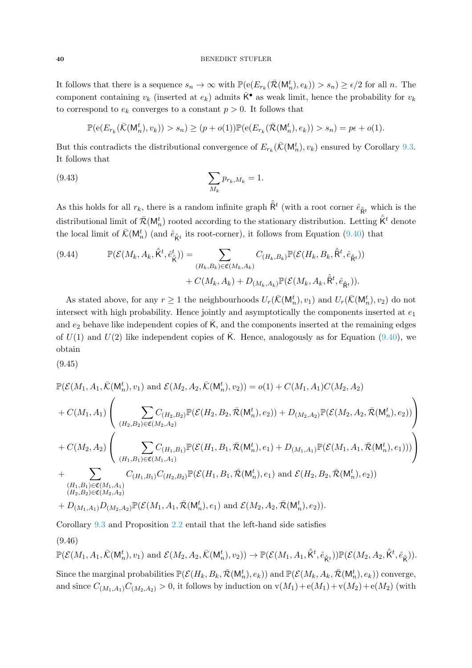### 40 BENEDIKT STUFLER

It follows that there is a sequence  $s_n \to \infty$  with  $\mathbb{P}(\mathrm{e}(E_{r_k}(\bar{\mathcal{R}}(\mathsf{M}^t_n), e_k)) > s_n) \geq \epsilon/2$  for all n. The component containing  $v_k$  (inserted at  $e_k$ ) admits  $\overline{K}^{\bullet}$  as weak limit, hence the probability for  $v_k$ to correspond to  $e_k$  converges to a constant  $p > 0$ . It follows that

$$
\mathbb{P}(\mathsf{e}(E_{r_k}(\bar{\mathcal{K}}(\mathsf{M}_n^t), v_k)) > s_n) \ge (p + o(1))\mathbb{P}(\mathsf{e}(E_{r_k}(\bar{\mathcal{R}}(\mathsf{M}_n^t), e_k)) > s_n) = p\epsilon + o(1).
$$

But this contradicts the distributional convergence of  $E_{r_k}(\bar{K}(M_n^t), v_k)$  ensured by Corollary [9.3.](#page-30-1) It follows that

(9.43) 
$$
\sum_{M_k} p_{r_k, M_k} = 1.
$$

As this holds for all  $r_k$ , there is a random infinite graph  $\hat{R}^t$  (with a root corner  $\hat{e}_{\hat{R}^t}$  which is the distributional limit of  $\bar{\mathcal{R}}(\mathsf{M}_n^t)$  rooted according to the stationary distribution. Letting  $\hat{\bar{\mathsf{K}}}^t$  denote the local limit of  $\bar{\mathcal{K}}(M_n^t)$  (and  $\hat{e}_{\hat{K}^t}$  its root-corner), it follows from Equation [\(9.40\)](#page-38-0) that

<span id="page-39-0"></span>(9.44) 
$$
\mathbb{P}(\mathcal{E}(M_k, A_k, \hat{\mathsf{K}}^t, \hat{e}_{\hat{\mathsf{K}}}^t)) = \sum_{(H_k, B_k) \in \mathfrak{C}(M_k, A_k)} C_{(H_k, B_k)} \mathbb{P}(\mathcal{E}(H_k, B_k, \hat{\mathsf{R}}^t, \hat{e}_{\hat{\mathsf{R}}^t})) + C(M_k, A_k) + D_{(M_k, A_k)} \mathbb{P}(\mathcal{E}(M_k, A_k, \hat{\mathsf{R}}^t, \hat{e}_{\hat{\mathsf{R}}^t})).
$$

As stated above, for any  $r \ge 1$  the neighbourhoods  $U_r(\bar{\mathcal{K}}(\mathsf{M}^t_n), v_1)$  and  $U_r(\bar{\mathcal{K}}(\mathsf{M}^t_n), v_2)$  do not intersect with high probability. Hence jointly and asymptotically the components inserted at  $e_1$ and  $e_2$  behave like independent copies of  $\overline{K}$ , and the components inserted at the remaining edges of  $U(1)$  and  $U(2)$  like independent copies of  $\overline{K}$ . Hence, analogously as for Equation [\(9.40\)](#page-38-0), we obtain

<span id="page-39-2"></span>(9.45)

$$
\mathbb{P}(\mathcal{E}(M_1, A_1, \bar{\mathcal{K}}(\mathsf{M}_n^t), v_1) \text{ and } \mathcal{E}(M_2, A_2, \bar{\mathcal{K}}(\mathsf{M}_n^t), v_2)) = o(1) + C(M_1, A_1)C(M_2, A_2)
$$
\n
$$
+ C(M_1, A_1) \left( \sum_{(H_2, B_2) \in \mathfrak{C}(M_2, A_2)} \mathbb{P}(\mathcal{E}(H_2, B_2, \bar{\mathcal{R}}(\mathsf{M}_n^t), e_2)) + D_{(M_2, A_2)} \mathbb{P}(\mathcal{E}(M_2, A_2, \bar{\mathcal{R}}(\mathsf{M}_n^t), e_2)) \right)
$$
\n
$$
+ C(M_2, A_2) \left( \sum_{(H_1, B_1) \in \mathfrak{C}(M_1, A_1)} C_{(H_1, B_1)} \mathbb{P}(\mathcal{E}(H_1, B_1, \bar{\mathcal{R}}(\mathsf{M}_n^t), e_1) + D_{(M_1, A_1)} \mathbb{P}(\mathcal{E}(M_1, A_1, \bar{\mathcal{R}}(\mathsf{M}_n^t), e_1))) \right)
$$
\n
$$
+ \sum_{\substack{(H_1, B_1) \in \mathfrak{C}(M_1, A_1) \\ (H_2, B_2) \in \mathfrak{C}(M_2, A_2)}} C_{(H_1, B_1)} C_{(H_2, B_2)} \mathbb{P}(\mathcal{E}(H_1, B_1, \bar{\mathcal{R}}(\mathsf{M}_n^t), e_1) \text{ and } \mathcal{E}(H_2, B_2, \bar{\mathcal{R}}(\mathsf{M}_n^t), e_2))
$$
\n
$$
+ D_{(M_1, A_1)} D_{(M_2, A_2)} \mathbb{P}(\mathcal{E}(M_1, A_1, \bar{\mathcal{R}}(\mathsf{M}_n^t), e_1) \text{ and } \mathcal{E}(M_2, A_2, \bar{\mathcal{R}}(\mathsf{M}_n^t), e_2)).
$$

Corollary [9.3](#page-30-1) and Proposition [2.2](#page-6-0) entail that the left-hand side satisfies

<span id="page-39-1"></span>(9.46)

$$
\mathbb{P}(\mathcal{E}(M_1, A_1, \bar{\mathcal{K}}(\mathsf{M}^t_n), v_1) \text{ and } \mathcal{E}(M_2, A_2, \bar{\mathcal{K}}(\mathsf{M}^t_n), v_2)) \to \mathbb{P}(\mathcal{E}(M_1, A_1, \hat{\mathsf{K}}^t, \hat{e}_{\hat{\mathsf{K}}^t})) \mathbb{P}(\mathcal{E}(M_2, A_2, \hat{\mathsf{K}}^t, \hat{e}_{\hat{\mathsf{K}}})).
$$

Since the marginal probabilities  $\mathbb{P}(\mathcal{E}(H_k, B_k, \bar{\mathcal{R}}(\mathsf{M}^t_n), e_k))$  and  $\mathbb{P}(\mathcal{E}(M_k, A_k, \bar{\mathcal{R}}(\mathsf{M}^t_n), e_k))$  converge, and since  $C_{(M_1, A_1)}C_{(M_2, A_2)} > 0$ , it follows by induction on  $v(M_1) + e(M_1) + v(M_2) + e(M_2)$  (with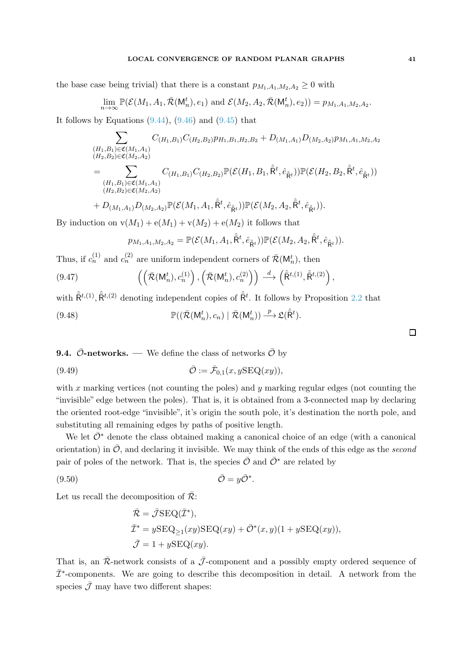the base case being trivial) that there is a constant  $p_{M_1,A_1,M_2,A_2} \geq 0$  with

$$
\lim_{n\to\infty}\mathbb{P}(\mathcal{E}(M_1,A_1,\overline{\mathcal{R}}(\mathsf{M}^t_n),e_1) \text{ and } \mathcal{E}(M_2,A_2,\overline{\mathcal{R}}(\mathsf{M}^t_n),e_2))=p_{M_1,A_1,M_2,A_2}.
$$

It follows by Equations  $(9.44)$ ,  $(9.46)$  and  $(9.45)$  that

$$
\sum_{\substack{(H_1, B_1) \in \mathfrak{C}(M_1, A_1) \\ (H_2, B_2) \in \mathfrak{C}(M_2, A_2)}} C_{(H_1, B_1)} C_{(H_2, B_2)} p_{H_1, B_1, H_2, B_2} + D_{(M_1, A_1)} D_{(M_2, A_2)} p_{M_1, A_1, M_2, A_2}
$$
\n
$$
= \sum_{\substack{(H_1, B_1) \in \mathfrak{C}(M_1, A_1) \\ (H_2, B_2) \in \mathfrak{C}(M_2, A_2)}} C_{(H_1, B_1)} C_{(H_2, B_2)} \mathbb{P}(\mathcal{E}(H_1, B_1, \hat{\mathsf{R}}^t, \hat{e}_{\hat{\mathsf{R}}^t})) \mathbb{P}(\mathcal{E}(H_2, B_2, \hat{\mathsf{R}}^t, \hat{e}_{\hat{\mathsf{R}}^t}))
$$
\n
$$
+ D_{(M_1, A_1)} D_{(M_2, A_2)} \mathbb{P}(\mathcal{E}(M_1, A_1, \hat{\mathsf{R}}^t, \hat{e}_{\hat{\mathsf{R}}^t})) \mathbb{P}(\mathcal{E}(M_2, A_2, \hat{\mathsf{R}}^t, \hat{e}_{\hat{\mathsf{R}}^t})).
$$

By induction on  $v(M_1) + e(M_1) + v(M_2) + e(M_2)$  it follows that

$$
p_{M_1,A_1,M_2,A_2}=\mathbb{P}(\mathcal{E}(M_1,A_1,\hat{\bar{\mathsf{R}}}^t,\hat{e}_{\hat{\bar{\mathsf{R}}}^t}))\mathbb{P}(\mathcal{E}(M_2,A_2,\hat{\bar{\mathsf{R}}}^t,\hat{e}_{\hat{\bar{\mathsf{R}}}^t})).
$$

Thus, if  $c_n^{(1)}$  and  $c_n^{(2)}$  are uniform independent corners of  $\bar{\mathcal{R}}(\mathsf{M}_n^t)$ , then

$$
(9.47) \qquad \left( \left( \bar{\mathcal{R}}(\mathsf{M}^t_n), c_n^{(1)} \right), \left( \bar{\mathcal{R}}(\mathsf{M}^t_n), c_n^{(2)} \right) \right) \stackrel{d}{\longrightarrow} \left( \hat{\mathsf{R}}^{t,(1)}, \hat{\mathsf{R}}^{t,(2)} \right),
$$

with  $\hat{\mathsf{R}}^{t,(1)}$ ,  $\hat{\mathsf{R}}^{t,(2)}$  denoting independent copies of  $\hat{\mathsf{R}}^{t}$ . It follows by Proposition [2.2](#page-6-0) that

(9.48) 
$$
\mathbb{P}((\bar{\mathcal{R}}(\mathsf{M}^t_n),c_n)\mid \bar{\mathcal{R}}(\mathsf{M}^t_n)) \xrightarrow{p} \mathfrak{L}(\hat{\mathsf{R}}^t).
$$

**9.4.**  $\bar{\mathcal{O}}$ -networks. — We define the class of networks  $\bar{\mathcal{O}}$  by

(9.49) 
$$
\overline{\mathcal{O}} := \overline{\mathcal{F}}_{0,1}(x, y\text{SEQ}(xy)),
$$

with x marking vertices (not counting the poles) and y marking regular edges (not counting the "invisible" edge between the poles). That is, it is obtained from a 3-connected map by declaring the oriented root-edge "invisible", it's origin the south pole, it's destination the north pole, and substituting all remaining edges by paths of positive length.

We let  $\bar{\mathcal{O}}^*$  denote the class obtained making a canonical choice of an edge (with a canonical orientation) in  $\overline{O}$ , and declaring it invisible. We may think of the ends of this edge as the second pair of poles of the network. That is, the species  $\overline{O}$  and  $\overline{O}^*$  are related by

$$
\bar{\mathcal{O}} = y\bar{\mathcal{O}}^*.
$$

Let us recall the decomposition of  $\overline{R}$ :

$$
\begin{aligned} \bar{\mathcal{R}} &= \bar{\mathcal{J}} \text{SEQ}(\bar{\mathcal{I}}^*), \\ \bar{\mathcal{I}}^* &= y \text{SEQ}_{\geq 1}(xy) \text{SEQ}(xy) + \bar{\mathcal{O}}^*(x, y)(1 + y \text{SEQ}(xy)), \\ \bar{\mathcal{J}} &= 1 + y \text{SEQ}(xy). \end{aligned}
$$

That is, an  $\overline{\mathcal{R}}$ -network consists of a  $\overline{\mathcal{J}}$ -component and a possibly empty ordered sequence of  $\bar{\mathcal{I}}^*$ -components. We are going to describe this decomposition in detail. A network from the species  $\bar{\mathcal{J}}$  may have two different shapes:

 $\Box$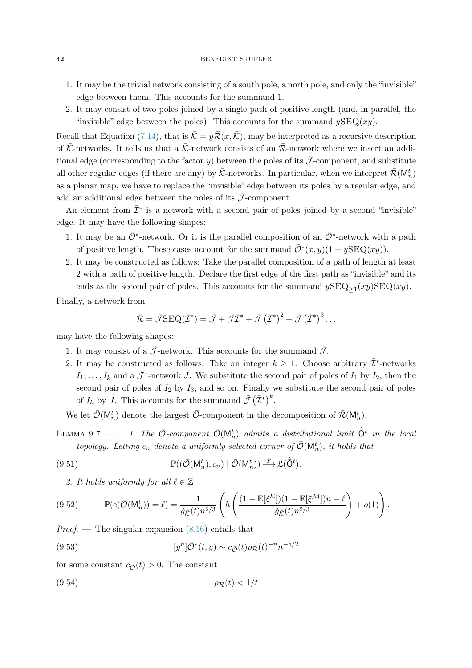- 1. It may be the trivial network consisting of a south pole, a north pole, and only the "invisible" edge between them. This accounts for the summand 1.
- 2. It may consist of two poles joined by a single path of positive length (and, in parallel, the "invisible" edge between the poles). This accounts for the summand  $ySEQ(xy)$ .

Recall that Equation [\(7.14\)](#page-20-1), that is  $\overline{\mathcal{K}} = y\overline{\mathcal{R}}(x,\overline{\mathcal{K}})$ , may be interpreted as a recursive description of  $\bar{\mathcal{K}}$ -networks. It tells us that a  $\bar{\mathcal{K}}$ -network consists of an  $\bar{\mathcal{R}}$ -network where we insert an additional edge (corresponding to the factor y) between the poles of its  $\bar{\mathcal{J}}$ -component, and substitute all other regular edges (if there are any) by  $\bar{\mathcal{K}}$ -networks. In particular, when we interpret  $\bar{\mathcal{R}}(\mathsf{M}_n^t)$ as a planar map, we have to replace the "invisible" edge between its poles by a regular edge, and add an additional edge between the poles of its  $\bar{\mathcal{J}}$ -component.

An element from  $\bar{\mathcal{I}}^*$  is a network with a second pair of poles joined by a second "invisible" edge. It may have the following shapes:

- 1. It may be an  $\bar{\mathcal{O}}^*$ -network. Or it is the parallel composition of an  $\bar{\mathcal{O}}^*$ -network with a path of positive length. These cases account for the summand  $\overline{\mathcal{O}}^*(x, y)(1 + y\text{SEQ}(xy)).$
- 2. It may be constructed as follows: Take the parallel composition of a path of length at least 2 with a path of positive length. Declare the first edge of the first path as "invisible" and its ends as the second pair of poles. This accounts for the summand  $y\text{SEQ}_{\geq 1}(xy)\text{SEQ}(xy)$ .

Finally, a network from

$$
\bar{\mathcal{R}} = \bar{\mathcal{J}}\text{SEQ}(\bar{\mathcal{I}}^*) = \bar{\mathcal{J}} + \bar{\mathcal{J}}\bar{\mathcal{I}}^* + \bar{\mathcal{J}}(\bar{\mathcal{I}}^*)^2 + \bar{\mathcal{J}}(\bar{\mathcal{I}}^*)^3 \dots
$$

may have the following shapes:

- 1. It may consist of a  $\bar{\mathcal{J}}$ -network. This accounts for the summand  $\bar{\mathcal{J}}$ .
- 2. It may be constructed as follows. Take an integer  $k \geq 1$ . Choose arbitrary  $\overline{\mathcal{I}}^*$ -networks  $I_1, \ldots, I_k$  and a  $\bar{\mathcal{J}}^*$ -network J. We substitute the second pair of poles of  $I_1$  by  $I_2$ , then the second pair of poles of  $I_2$  by  $I_3$ , and so on. Finally we substitute the second pair of poles of  $I_k$  by J. This accounts for the summand  $\bar{\mathcal{J}}(\bar{\mathcal{I}}^*)^k$ .

<span id="page-41-2"></span>We let  $\bar{\mathcal{O}}(\mathsf{M}_n^t)$  denote the largest  $\bar{\mathcal{O}}$ -component in the decomposition of  $\bar{\mathcal{R}}(\mathsf{M}_n^t)$ .

LEMMA 9.7.  $-$  1. The  $\bar{\mathcal{O}}$ -component  $\bar{\mathcal{O}}(\mathsf{M}_n^t)$  admits a distributional limit  $\hat{\bar{\mathsf{O}}}^t$  in the local topology. Letting  $c_n$  denote a uniformly selected corner of  $\overline{\mathcal{O}}(\mathsf{M}_n^t)$ , it holds that

<span id="page-41-0"></span>(9.51) 
$$
\mathbb{P}((\bar{\mathcal{O}}(\mathsf{M}^t_n),c_n)\mid \bar{\mathcal{O}}(\mathsf{M}^t_n)) \xrightarrow{p} \mathfrak{L}(\hat{\bar{\mathsf{O}}}^t).
$$

2. It holds uniformly for all  $\ell \in \mathbb{Z}$ 

<span id="page-41-1"></span>
$$
(9.52) \qquad \mathbb{P}(\mathbf{e}(\overline{\mathcal{O}}(\mathsf{M}_n^t)) = \ell) = \frac{1}{\tilde{g}_{\overline{\mathcal{K}}}(t)n^{2/3}} \left( h \left( \frac{(1 - \mathbb{E}[\xi^{\overline{\mathcal{K}}}]) (1 - \mathbb{E}[\xi^{\mathcal{M}}]) n - \ell}{\tilde{g}_{\overline{\mathcal{K}}}(t)n^{2/3}} \right) + o(1) \right).
$$

*Proof.* — The singular expansion  $(8.16)$  entails that

(9.53) 
$$
[y^n] \bar{O}^*(t, y) \sim c_{\bar{O}}(t) \rho_{\mathcal{R}}(t)^{-n} n^{-5/2}
$$

for some constant  $c_{\overline{Q}}(t) > 0$ . The constant

$$
(9.54) \t\t \rho_{\mathcal{R}}(t) < 1/t
$$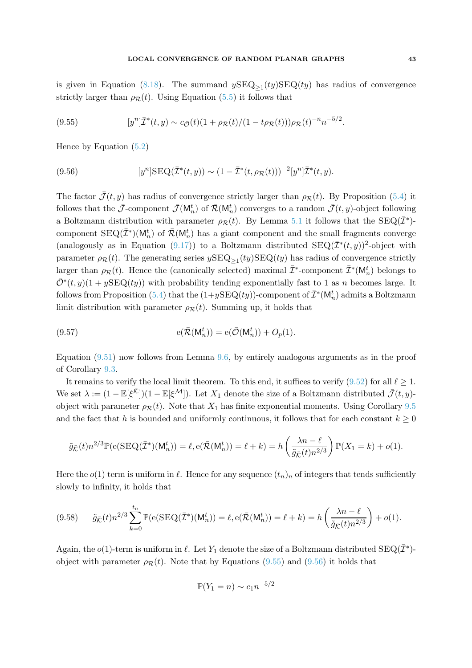is given in Equation [\(8.18\)](#page-23-1). The summand  $ySEQ_{\geq 1}(ty)SEQ(ty)$  has radius of convergence strictly larger than  $\rho_R(t)$ . Using Equation [\(5.5\)](#page-13-1) it follows that

<span id="page-42-0"></span>(9.55) 
$$
[y^n]\bar{\mathcal{I}}^*(t,y) \sim c_{\bar{\mathcal{O}}}(t)(1+\rho_{\mathcal{R}}(t)/(1-t\rho_{\mathcal{R}}(t)))\rho_{\mathcal{R}}(t)^{-n}n^{-5/2}.
$$

Hence by Equation [\(5.2\)](#page-12-1)

<span id="page-42-1"></span>(9.56) 
$$
[y^{n}] \text{SEQ}(\bar{\mathcal{I}}^{*}(t,y)) \sim (1 - \bar{\mathcal{I}}^{*}(t,\rho_{\mathcal{R}}(t)))^{-2} [y^{n}] \bar{\mathcal{I}}^{*}(t,y).
$$

The factor  $\bar{\mathcal{J}}(t, y)$  has radius of convergence strictly larger than  $\rho_{\mathcal{R}}(t)$ . By Proposition [\(5.4\)](#page-13-6) it follows that the  $\bar{\mathcal{J}}$ -component  $\bar{\mathcal{J}}(M_n^t)$  of  $\bar{\mathcal{R}}(M_n^t)$  converges to a random  $\bar{\mathcal{J}}(t, y)$ -object following a Boltzmann distribution with parameter  $\rho_R(t)$ . By Lemma [5.1](#page-12-2) it follows that the SEQ( $\bar{\mathcal{I}}^*$ )component  $\text{SEQ}(\bar{\mathcal{I}}^*)(\mathsf{M}_n^t)$  of  $\bar{\mathcal{R}}(\mathsf{M}_n^t)$  has a giant component and the small fragments converge (analogously as in Equation [\(9.17\)](#page-30-0)) to a Boltzmann distributed  $SEQ(\bar{\mathcal{I}}^*(t, y))^2$ -object with parameter  $\rho_R(t)$ . The generating series  $y\text{SEQ}_{\geq 1}(ty)\text{SEQ}(ty)$  has radius of convergence strictly larger than  $\rho_{\mathcal{R}}(t)$ . Hence the (canonically selected) maximal  $\bar{\mathcal{I}}^*$ -component  $\bar{\mathcal{I}}^*(\mathsf{M}_n^t)$  belongs to  $\overline{\mathcal{O}}^*(t, y)(1 + y\text{SEQ}(ty))$  with probability tending exponentially fast to 1 as n becomes large. It follows from Proposition [\(5.4\)](#page-13-6) that the  $(1+y\text{SEQ}(ty))$ -component of  $\bar{\mathcal{I}}^*(\mathsf{M}_n^t)$  admits a Boltzmann limit distribution with parameter  $\rho_R(t)$ . Summing up, it holds that

(9.57) 
$$
e(\overline{\mathcal{R}}(M_n^t)) = e(\overline{\mathcal{O}}(M_n^t)) + O_p(1).
$$

Equation [\(9.51\)](#page-41-0) now follows from Lemma [9.6,](#page-33-0) by entirely analogous arguments as in the proof of Corollary [9.3.](#page-30-1)

It remains to verify the local limit theorem. To this end, it suffices to verify [\(9.52\)](#page-41-1) for all  $\ell > 1$ . We set  $\lambda := (1 - \mathbb{E}[\xi^{\bar{\mathcal{K}}}])(1 - \mathbb{E}[\xi^{\mathcal{M}}])$ . Let  $X_1$  denote the size of a Boltzmann distributed  $\bar{\mathcal{J}}(t, y)$ object with parameter  $\rho_R(t)$ . Note that  $X_1$  has finite exponential moments. Using Corollary [9.5](#page-32-2) and the fact that h is bounded and uniformly continuous, it follows that for each constant  $k \geq 0$ 

$$
\tilde{g}_{\bar{\mathcal{K}}}(t)n^{2/3}\mathbb{P}(\mathbf{e}(\text{SEQ}(\bar{\mathcal{I}}^*)(\mathsf{M}_n^t)) = \ell, \mathbf{e}(\bar{\mathcal{R}}(\mathsf{M}_n^t)) = \ell + k) = h\left(\frac{\lambda n - \ell}{\tilde{g}_{\bar{\mathcal{K}}}(t)n^{2/3}}\right)\mathbb{P}(X_1 = k) + o(1).
$$

Here the  $o(1)$  term is uniform in  $\ell$ . Hence for any sequence  $(t_n)_n$  of integers that tends sufficiently slowly to infinity, it holds that

<span id="page-42-2"></span>
$$
(9.58) \qquad \tilde{g}_{\bar{\mathcal{K}}}(t)n^{2/3}\sum_{k=0}^{t_n} \mathbb{P}(\mathbf{e}(\text{SEQ}(\bar{\mathcal{I}}^*)(\mathsf{M}_n^t)) = \ell, \mathbf{e}(\bar{\mathcal{R}}(\mathsf{M}_n^t)) = \ell + k) = h\left(\frac{\lambda n - \ell}{\tilde{g}_{\bar{\mathcal{K}}}(t)n^{2/3}}\right) + o(1).
$$

Again, the  $o(1)$ -term is uniform in  $\ell$ . Let  $Y_1$  denote the size of a Boltzmann distributed  $\text{SEQ}(\bar{\mathcal{I}}^*)$ object with parameter  $\rho_R(t)$ . Note that by Equations [\(9.55\)](#page-42-0) and [\(9.56\)](#page-42-1) it holds that

$$
\mathbb{P}(Y_1 = n) \sim c_1 n^{-5/2}
$$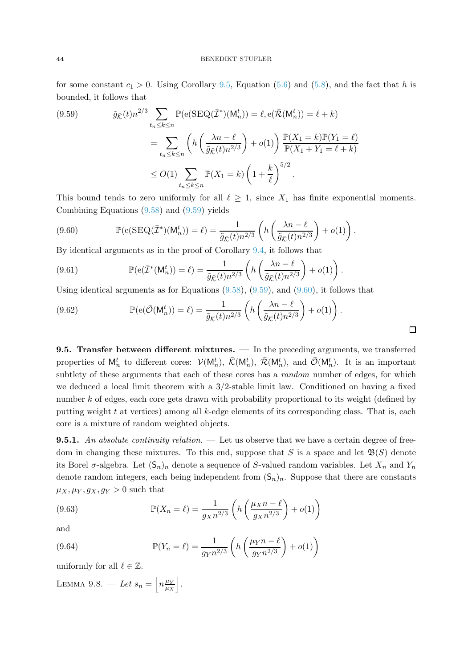### 44 BENEDIKT STUFLER

for some constant  $c_1 > 0$ . Using Corollary [9.5,](#page-32-2) Equation [\(5.6\)](#page-13-3) and [\(5.8\)](#page-14-2), and the fact that h is bounded, it follows that

<span id="page-43-0"></span>(9.59) 
$$
\tilde{g}_{\bar{K}}(t)n^{2/3} \sum_{t_n \leq k \leq n} \mathbb{P}(\mathbf{e}(\text{SEQ}(\bar{\mathcal{I}}^*)(\mathsf{M}_n^t)) = \ell, \mathbf{e}(\bar{\mathcal{R}}(\mathsf{M}_n^t)) = \ell + k)
$$

$$
= \sum_{t_n \leq k \leq n} \left( h\left(\frac{\lambda n - \ell}{\tilde{g}_{\bar{K}}(t)n^{2/3}}\right) + o(1) \right) \frac{\mathbb{P}(X_1 = k)\mathbb{P}(Y_1 = \ell)}{\mathbb{P}(X_1 + Y_1 = \ell + k)}
$$

$$
\leq O(1) \sum_{t_n \leq k \leq n} \mathbb{P}(X_1 = k) \left(1 + \frac{k}{\ell}\right)^{5/2}.
$$

This bound tends to zero uniformly for all  $\ell \geq 1$ , since  $X_1$  has finite exponential moments. Combining Equations [\(9.58\)](#page-42-2) and [\(9.59\)](#page-43-0) yields

<span id="page-43-1"></span>(9.60) 
$$
\mathbb{P}(\mathbf{e}(\text{SEQ}(\bar{\mathcal{I}}^*)(\mathsf{M}_n^t)) = \ell) = \frac{1}{\tilde{g}_{\bar{\mathcal{K}}}(t)n^{2/3}} \left( h\left(\frac{\lambda n - \ell}{\tilde{g}_{\bar{\mathcal{K}}}(t)n^{2/3}}\right) + o(1)\right).
$$

By identical arguments as in the proof of Corollary [9.4,](#page-31-2) it follows that

(9.61) 
$$
\mathbb{P}(\mathbf{e}(\bar{\mathcal{I}}^*(\mathsf{M}_n^t)) = \ell) = \frac{1}{\tilde{g}_{\bar{\mathcal{K}}}(t)n^{2/3}} \left( h\left(\frac{\lambda n - \ell}{\tilde{g}_{\bar{\mathcal{K}}}(t)n^{2/3}}\right) + o(1) \right).
$$

Using identical arguments as for Equations [\(9.58\)](#page-42-2), [\(9.59\)](#page-43-0), and [\(9.60\)](#page-43-1), it follows that

(9.62) 
$$
\mathbb{P}(\mathbf{e}(\bar{\mathcal{O}}(\mathsf{M}_n^t)) = \ell) = \frac{1}{\tilde{g}_{\bar{\mathcal{K}}}(t)n^{2/3}} \left( h\left(\frac{\lambda n - \ell}{\tilde{g}_{\bar{\mathcal{K}}}(t)n^{2/3}}\right) + o(1) \right).
$$

9.5. Transfer between different mixtures. — In the preceding arguments, we transferred properties of  $M_n^t$  to different cores:  $\mathcal{V}(M_n^t)$ ,  $\bar{\mathcal{K}}(M_n^t)$ ,  $\bar{\mathcal{R}}(M_n^t)$ , and  $\bar{\mathcal{O}}(M_n^t)$ . It is an important subtlety of these arguments that each of these cores has a *random* number of edges, for which we deduced a local limit theorem with a 3/2-stable limit law. Conditioned on having a fixed number k of edges, each core gets drawn with probability proportional to its weight (defined by putting weight  $t$  at vertices) among all  $k$ -edge elements of its corresponding class. That is, each core is a mixture of random weighted objects.

**9.5.1.** An absolute continuity relation.  $\qquad$  Let us observe that we have a certain degree of freedom in changing these mixtures. To this end, suppose that S is a space and let  $\mathfrak{B}(S)$  denote its Borel  $\sigma$ -algebra. Let  $(\mathsf{S}_n)_n$  denote a sequence of S-valued random variables. Let  $X_n$  and  $Y_n$ denote random integers, each being independent from  $(S_n)_n$ . Suppose that there are constants  $\mu_X, \mu_Y, g_X, g_Y > 0$  such that

<span id="page-43-2"></span>(9.63) 
$$
\mathbb{P}(X_n = \ell) = \frac{1}{g_X n^{2/3}} \left( h \left( \frac{\mu_X n - \ell}{g_X n^{2/3}} \right) + o(1) \right)
$$

and

<span id="page-43-3"></span>(9.64) 
$$
\mathbb{P}(Y_n = \ell) = \frac{1}{g_Y n^{2/3}} \left( h \left( \frac{\mu_Y n - \ell}{g_Y n^{2/3}} \right) + o(1) \right)
$$

<span id="page-43-4"></span>uniformly for all  $\ell \in \mathbb{Z}$ .

LEMMA 9.8. – Let  $s_n = |n^{\mu_Y}_{\mu_X}|$  $\frac{\mu_Y}{\mu_X}$ .  $\Box$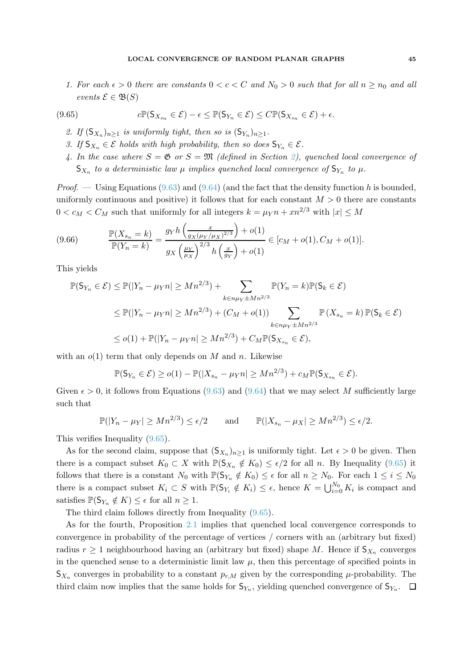1. For each  $\epsilon > 0$  there are constants  $0 < c < C$  and  $N_0 > 0$  such that for all  $n \geq n_0$  and all events  $\mathcal{E} \in \mathfrak{B}(S)$ 

<span id="page-44-0"></span>(9.65) 
$$
c\mathbb{P}(\mathsf{S}_{X_{s_n}}\in\mathcal{E})-\epsilon\leq \mathbb{P}(\mathsf{S}_{Y_n}\in\mathcal{E})\leq C\mathbb{P}(\mathsf{S}_{X_{s_n}}\in\mathcal{E})+\epsilon.
$$

- 2. If  $(S_{X_n})_{n\geq 1}$  is uniformly tight, then so is  $(S_{Y_n})_{n\geq 1}$ .
- 3. If  $S_{X_n} \in \mathcal{E}$  holds with high probability, then so does  $S_{Y_n} \in \mathcal{E}$ .
- 4. In the case where  $S = \mathfrak{G}$  or  $S = \mathfrak{M}$  (defined in Section [2\)](#page-4-0), quenched local convergence of  $S_{X_n}$  to a deterministic law  $\mu$  implies quenched local convergence of  $S_{Y_n}$  to  $\mu$ .

*Proof.* — Using Equations [\(9.63\)](#page-43-2) and [\(9.64\)](#page-43-3) (and the fact that the density function h is bounded, uniformly continuous and positive) it follows that for each constant  $M > 0$  there are constants  $0 < c_M < C_M$  such that uniformly for all integers  $k = \mu_Y n + xn^{2/3}$  with  $|x| \leq M$ 

(9.66) 
$$
\frac{\mathbb{P}(X_{s_n} = k)}{\mathbb{P}(Y_n = k)} = \frac{g_Y h\left(\frac{x}{g_X(\mu_Y/\mu_X)^{2/3}}\right) + o(1)}{g_X(\frac{\mu_Y}{\mu_X})^{2/3} h\left(\frac{x}{g_Y}\right) + o(1)} \in [c_M + o(1), C_M + o(1)].
$$

This yields

$$
\mathbb{P}(\mathsf{S}_{Y_n} \in \mathcal{E}) \le \mathbb{P}(|Y_n - \mu_Y n| \ge Mn^{2/3}) + \sum_{k \in n\mu_Y \pm Mn^{2/3}} \mathbb{P}(Y_n = k) \mathbb{P}(\mathsf{S}_k \in \mathcal{E})
$$
  
\n
$$
\le \mathbb{P}(|Y_n - \mu_Y n| \ge Mn^{2/3}) + (C_M + o(1)) \sum_{k \in n\mu_Y \pm Mn^{2/3}} \mathbb{P}(X_{s_n} = k) \mathbb{P}(\mathsf{S}_k \in \mathcal{E})
$$
  
\n
$$
\le o(1) + \mathbb{P}(|Y_n - \mu_Y n| \ge Mn^{2/3}) + C_M \mathbb{P}(\mathsf{S}_{X_{s_n}} \in \mathcal{E}),
$$

with an  $o(1)$  term that only depends on M and n. Likewise

$$
\mathbb{P}(\mathsf{S}_{Y_n} \in \mathcal{E}) \ge o(1) - \mathbb{P}(|X_{s_n} - \mu_Y n| \ge Mn^{2/3}) + c_M \mathbb{P}(\mathsf{S}_{X_{s_n}} \in \mathcal{E}).
$$

Given  $\epsilon > 0$ , it follows from Equations [\(9.63\)](#page-43-2) and [\(9.64\)](#page-43-3) that we may select M sufficiently large such that

$$
\mathbb{P}(|Y_n - \mu_Y| \ge Mn^{2/3}) \le \epsilon/2 \quad \text{and} \quad \mathbb{P}(|X_{s_n} - \mu_X| \ge Mn^{2/3}) \le \epsilon/2.
$$

This verifies Inequality [\(9.65\)](#page-44-0).

As for the second claim, suppose that  $(S_{X_n})_{n\geq 1}$  is uniformly tight. Let  $\epsilon > 0$  be given. Then there is a compact subset  $K_0 \subset X$  with  $\mathbb{P}(\mathsf{S}_{X_n} \notin K_0) \leq \epsilon/2$  for all n. By Inequality [\(9.65\)](#page-44-0) it follows that there is a constant  $N_0$  with  $\mathbb{P}(\mathsf{S}_{Y_n} \notin K_0) \leq \epsilon$  for all  $n \geq N_0$ . For each  $1 \leq i \leq N_0$ there is a compact subset  $K_i \subset S$  with  $\mathbb{P}(\mathsf{S}_{Y_i} \notin K_i) \leq \epsilon$ , hence  $K = \bigcup_{i=0}^{N_0} K_i$  is compact and satisfies  $\mathbb{P}(\mathsf{S}_{Y_n} \notin K) \leq \epsilon$  for all  $n \geq 1$ .

The third claim follows directly from Inequality [\(9.65\)](#page-44-0).

As for the fourth, Proposition [2.1](#page-5-0) implies that quenched local convergence corresponds to convergence in probability of the percentage of vertices / corners with an (arbitrary but fixed) radius  $r \geq 1$  neighbourhood having an (arbitrary but fixed) shape M. Hence if  $\mathsf{S}_{X_n}$  converges in the quenched sense to a deterministic limit law  $\mu$ , then this percentage of specified points in  $S_{X_n}$  converges in probability to a constant  $p_{r,M}$  given by the corresponding  $\mu$ -probability. The third claim now implies that the same holds for  $\mathsf{S}_{Y_n}$ , yielding quenched convergence of  $\mathsf{S}_{Y_n}$ .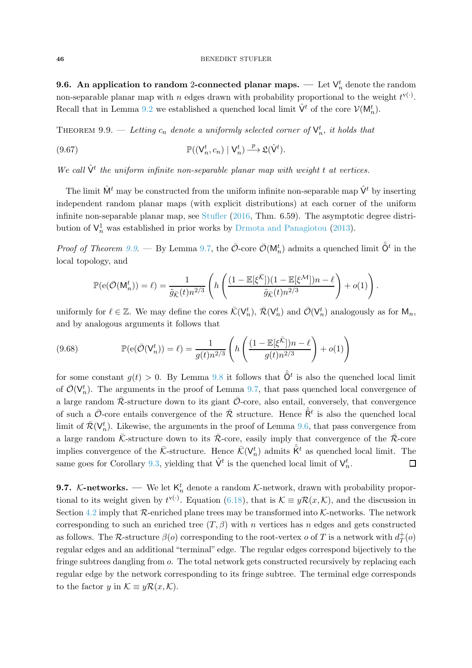**9.6.** An application to random 2-connected planar maps. — Let  $\mathsf{V}_n^t$  denote the random non-separable planar map with n edges drawn with probability proportional to the weight  $t^{v(\cdot)}$ . Recall that in Lemma [9.2](#page-27-0) we established a quenched local limit  $\hat{\mathsf{V}}^t$  of the core  $\mathcal{V}(\mathsf{M}_n^t)$ .

<span id="page-45-0"></span>THEOREM 9.9. — Letting  $c_n$  denote a uniformly selected corner of  $\mathsf{V}^t_n$ , it holds that

(9.67)  $\mathbb{P}((\mathsf{V}_n^t, c_n) | \mathsf{V}_n^t) \xrightarrow{p} \mathfrak{L}(\hat{\mathsf{V}}^t).$ 

We call  $\hat{\mathsf{V}}^t$  the uniform infinite non-separable planar map with weight t at vertices.

The limit  $\hat{M}^t$  may be constructed from the uniform infinite non-separable map  $\hat{V}^t$  by inserting independent random planar maps (with explicit distributions) at each corner of the uniform infinite non-separable planar map, see [Stufler](#page-61-2) [\(2016](#page-61-2), Thm. 6.59). The asymptotic degree distribution of  $\mathsf{V}_n^1$  was established in prior works by [Drmota and Panagiotou](#page-58-2) [\(2013](#page-58-2)).

*Proof of Theorem [9.9](#page-45-0).* — By Lemma [9.7,](#page-41-2) the  $\bar{\mathcal{O}}$ -core  $\bar{\mathcal{O}}(\mathsf{M}_n^t)$  admits a quenched limit  $\hat{\bar{\mathsf{O}}}^t$  in the local topology, and

$$
\mathbb{P}(\mathbf{e}(\bar{\mathcal{O}}(\mathsf{M}_n^t)) = \ell) = \frac{1}{\tilde{g}_{\bar{\mathcal{K}}}(t)n^{2/3}} \left( h\left( \frac{(1 - \mathbb{E}[\xi^{\bar{\mathcal{K}}}]) (1 - \mathbb{E}[\xi^{\mathcal{M}}])n - \ell}{\tilde{g}_{\bar{\mathcal{K}}}(t)n^{2/3}} \right) + o(1) \right).
$$

uniformly for  $\ell \in \mathbb{Z}$ . We may define the cores  $\bar{\mathcal{K}}(\mathsf{V}_n^t)$ ,  $\bar{\mathcal{R}}(\mathsf{V}_n^t)$  and  $\bar{\mathcal{O}}(\mathsf{V}_n^t)$  analogously as for  $\mathsf{M}_n$ , and by analogous arguments it follows that

(9.68) 
$$
\mathbb{P}(e(\bar{O}(V_n^t)) = \ell) = \frac{1}{g(t)n^{2/3}} \left( h\left(\frac{(1 - \mathbb{E}[\xi^{\bar{K}}])n - \ell}{g(t)n^{2/3}}\right) + o(1) \right)
$$

for some constant  $g(t) > 0$ . By Lemma [9.8](#page-43-4) it follows that  $\hat{\bar{O}}^t$  is also the quenched local limit of  $\bar{\mathcal{O}}(\mathsf{V}_n^t)$ . The arguments in the proof of Lemma [9.7,](#page-41-2) that pass quenched local convergence of a large random  $\bar{\mathcal{R}}$ -structure down to its giant  $\bar{\mathcal{O}}$ -core, also entail, conversely, that convergence of such a  $\bar{\mathcal{O}}$ -core entails convergence of the  $\bar{\mathcal{R}}$  structure. Hence  $\hat{\bar{\mathsf{R}}}^t$  is also the quenched local limit of  $\bar{\mathcal{R}}(\mathsf{V}_n^t)$ . Likewise, the arguments in the proof of Lemma [9.6,](#page-33-0) that pass convergence from a large random  $\bar{\mathcal{K}}$ -structure down to its  $\bar{\mathcal{R}}$ -core, easily imply that convergence of the  $\bar{\mathcal{R}}$ -core implies convergence of the  $\bar{\mathcal{K}}$ -structure. Hence  $\bar{\mathcal{K}}(\mathsf{V}_n^t)$  admits  $\hat{\mathsf{K}}^t$  as quenched local limit. The same goes for Corollary [9.3,](#page-30-1) yielding that  $\hat{\mathsf{V}}^t$  is the quenched local limit of  $\mathsf{V}_n^t$ .  $\Box$ 

**9.7.** K-networks. — We let  $K_n^t$  denote a random K-network, drawn with probability proportional to its weight given by  $t^{\mathbf{v}(\cdot)}$ . Equation [\(6.18\)](#page-18-1), that is  $\mathcal{K} \equiv y\mathcal{R}(x,\mathcal{K})$ , and the discussion in Section [4.2](#page-11-2) imply that  $\mathcal{R}$ -enriched plane trees may be transformed into  $\mathcal{K}$ -networks. The network corresponding to such an enriched tree  $(T, \beta)$  with n vertices has n edges and gets constructed as follows. The  $\mathcal R$ -structure  $\beta(o)$  corresponding to the root-vertex  $o$  of  $T$  is a network with  $d_T^+$  $\frac{+}{T}(o)$ regular edges and an additional "terminal" edge. The regular edges correspond bijectively to the fringe subtrees dangling from o. The total network gets constructed recursively by replacing each regular edge by the network corresponding to its fringe subtree. The terminal edge corresponds to the factor y in  $\mathcal{K} \equiv y\mathcal{R}(x,\mathcal{K})$ .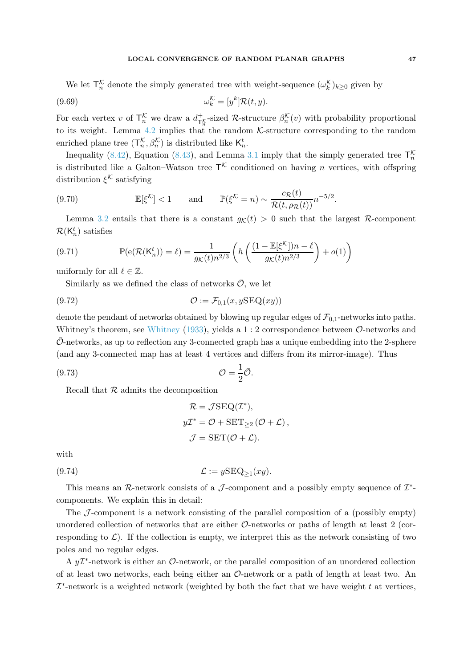### LOCAL CONVERGENCE OF RANDOM PLANAR GRAPHS 47

We let  $\mathsf{T}_{n}^{\mathcal{K}}$  denote the simply generated tree with weight-sequence  $(\omega_{k}^{\mathcal{K}})_{k\geq0}$  given by

(9.69) 
$$
\omega_k^{\mathcal{K}} = [y^k] \mathcal{R}(t, y).
$$

For each vertex v of  $\mathsf{T}_n^{\mathcal{K}}$  we draw a  $d_{\mathsf{T}_n^{\mathcal{K}}}^+$ -sized R-structure  $\beta_n^{\mathcal{K}}(v)$  with probability proportional to its weight. Lemma [4.2](#page-11-1) implies that the random  $K$ -structure corresponding to the random enriched plane tree  $(\mathsf{T}^{\mathcal{K}}_n, \beta^{\mathcal{K}}_n)$  is distributed like  $\mathsf{K}^t_n$ .

Inequality [\(8.42\)](#page-25-0), Equation [\(8.43\)](#page-25-1), and Lemma [3.1](#page-7-1) imply that the simply generated tree  $\mathsf{T}_n^{\mathcal{K}}$ is distributed like a Galton–Watson tree  $\mathsf{T}^{\mathcal{K}}$  conditioned on having n vertices, with offspring distribution  $\xi^{\mathcal{K}}$  satisfying

(9.70) 
$$
\mathbb{E}[\xi^{\mathcal{K}}] < 1 \quad \text{and} \quad \mathbb{P}(\xi^{\mathcal{K}} = n) \sim \frac{c_{\mathcal{R}}(t)}{\mathcal{R}(t, \rho_{\mathcal{R}}(t))} n^{-5/2}.
$$

Lemma [3.2](#page-8-2) entails that there is a constant  $g<sub>K</sub>(t) > 0$  such that the largest R-component  $\mathcal{R}(\mathsf{K}_n^t)$  satisfies

<span id="page-46-1"></span>(9.71) 
$$
\mathbb{P}(e(\mathcal{R}(K_n^t)) = \ell) = \frac{1}{g_{\mathcal{K}}(t)n^{2/3}} \left( h\left(\frac{(1 - \mathbb{E}[\xi^{\mathcal{K}}])n - \ell}{g_{\mathcal{K}}(t)n^{2/3}}\right) + o(1) \right)
$$

uniformly for all  $\ell \in \mathbb{Z}$ .

Similarly as we defined the class of networks  $\overline{O}$ , we let

$$
(9.72)\qquad \qquad \mathcal{O} := \mathcal{F}_{0,1}(x, y \text{SEQ}(xy))
$$

denote the pendant of networks obtained by blowing up regular edges of  $\mathcal{F}_{0,1}$ -networks into paths. [Whitney](#page-61-10)'s theorem, see Whitney [\(1933](#page-61-10)), yields a  $1:2$  correspondence between  $\mathcal{O}$ -networks and  $\mathcal{O}$ -networks, as up to reflection any 3-connected graph has a unique embedding into the 2-sphere (and any 3-connected map has at least 4 vertices and differs from its mirror-image). Thus

<span id="page-46-0"></span>O = 1 2 (9.73) <sup>O</sup>¯.

Recall that  $R$  admits the decomposition

$$
\mathcal{R} = \mathcal{J}\text{SEQ}(\mathcal{I}^*),
$$
  

$$
y\mathcal{I}^* = \mathcal{O} + \text{SET}_{\geq 2}(\mathcal{O} + \mathcal{L}),
$$
  

$$
\mathcal{J} = \text{SET}(\mathcal{O} + \mathcal{L}).
$$

with

(9.74) 
$$
\mathcal{L} := y\mathrm{SEQ}_{\geq 1}(xy).
$$

This means an R-network consists of a  $\mathcal J$ -component and a possibly empty sequence of  $\mathcal I^*$ components. We explain this in detail:

The  $\mathcal{J}$ -component is a network consisting of the parallel composition of a (possibly empty) unordered collection of networks that are either  $\mathcal{O}\text{-networks}$  or paths of length at least 2 (corresponding to  $\mathcal{L}$ ). If the collection is empty, we interpret this as the network consisting of two poles and no regular edges.

A  $y\mathcal{I}^*$ -network is either an  $\mathcal{O}$ -network, or the parallel composition of an unordered collection of at least two networks, each being either an  $\mathcal{O}\text{-network}$  or a path of length at least two. An  $\mathcal{I}^*$ -network is a weighted network (weighted by both the fact that we have weight  $t$  at vertices,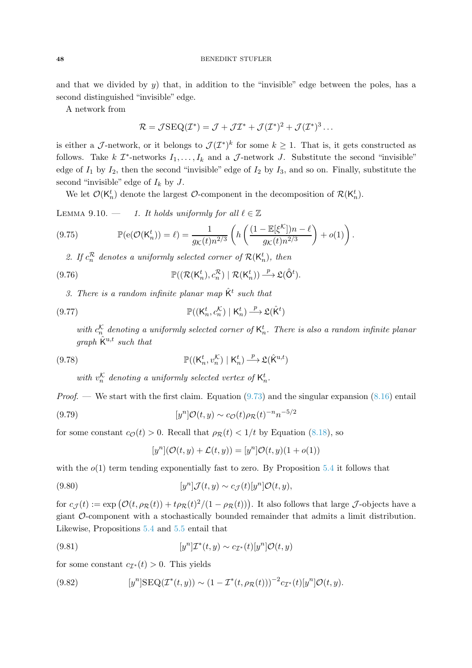### 48 BENEDIKT STUFLER

and that we divided by  $y$ ) that, in addition to the "invisible" edge between the poles, has a second distinguished "invisible" edge.

A network from

$$
\mathcal{R} = \mathcal{J}\mathrm{SEQ}(\mathcal{I}^*) = \mathcal{J} + \mathcal{J}\mathcal{I}^* + \mathcal{J}(\mathcal{I}^*)^2 + \mathcal{J}(\mathcal{I}^*)^3 \dots
$$

is either a J-network, or it belongs to  $\mathcal{J}(\mathcal{I}^*)^k$  for some  $k \geq 1$ . That is, it gets constructed as follows. Take  $k$   $\mathcal{I}^*$ -networks  $I_1, \ldots, I_k$  and a  $\mathcal{J}$ -network  $J$ . Substitute the second "invisible" edge of  $I_1$  by  $I_2$ , then the second "invisible" edge of  $I_2$  by  $I_3$ , and so on. Finally, substitute the second "invisible" edge of  $I_k$  by J.

<span id="page-47-6"></span>We let  $\mathcal{O}(\mathsf{K}_n^t)$  denote the largest  $\mathcal{O}$ -component in the decomposition of  $\mathcal{R}(\mathsf{K}_n^t)$ .

LEMMA 9.10. — 1. It holds uniformly for all  $\ell \in \mathbb{Z}$ 

<span id="page-47-2"></span>(9.75) 
$$
\mathbb{P}(\mathbf{e}(\mathcal{O}(\mathsf{K}_n^t)) = \ell) = \frac{1}{g_{\mathcal{K}}(t)n^{2/3}} \left( h\left(\frac{(1 - \mathbb{E}[\xi^{\mathcal{K}}])n - \ell}{g_{\mathcal{K}}(t)n^{2/3}}\right) + o(1) \right).
$$

2. If  $c_n^{\mathcal{R}}$  denotes a uniformly selected corner of  $\mathcal{R}(\mathsf{K}_n^t)$ , then

<span id="page-47-3"></span>(9.76) 
$$
\mathbb{P}((\mathcal{R}(\mathsf{K}_n^t), c_n^{\mathcal{R}}) \mid \mathcal{R}(\mathsf{K}_n^t)) \xrightarrow{p} \mathfrak{L}(\hat{\mathsf{O}}^t).
$$

3. There is a random infinite planar map  $\hat{\mathsf{K}}^t$  such that

<span id="page-47-4"></span>(9.77) 
$$
\mathbb{P}((\mathsf{K}_n^t, c_n^{\mathcal{K}}) \mid \mathsf{K}_n^t) \xrightarrow{p} \mathfrak{L}(\hat{\mathsf{K}}^t)
$$

with  $c_n^{\mathcal{K}}$  denoting a uniformly selected corner of  $\mathsf{K}_n^t$ . There is also a random infinite planar graph  $\hat{K}^{u,t}$  such that

<span id="page-47-5"></span>(9.78) 
$$
\mathbb{P}((\mathsf{K}_n^t, v_n^{\mathcal{K}}) \mid \mathsf{K}_n^t) \stackrel{p}{\longrightarrow} \mathfrak{L}(\hat{\mathsf{K}}^{\mathrm{u},t})
$$

with  $v_n^{\mathcal{K}}$  denoting a uniformly selected vertex of  $\mathsf{K}_n^t$ .

*Proof.* — We start with the first claim. Equation  $(9.73)$  and the singular expansion  $(8.16)$  entail

(9.79) 
$$
[y^{n}]\mathcal{O}(t,y) \sim c_{\mathcal{O}}(t)\rho_{\mathcal{R}}(t)^{-n}n^{-5/2}
$$

for some constant  $c_{\mathcal{O}}(t) > 0$ . Recall that  $\rho_{\mathcal{R}}(t) < 1/t$  by Equation [\(8.18\)](#page-23-1), so

$$
[y^n]({\mathcal O}(t,y)+{\mathcal L}(t,y))=[y^n]{\mathcal O}(t,y)(1+o(1))
$$

with the  $o(1)$  term tending exponentially fast to zero. By Proposition [5.4](#page-13-6) it follows that

<span id="page-47-0"></span>(9.80) 
$$
[y^n] \mathcal{J}(t,y) \sim c_{\mathcal{J}}(t) [y^n] \mathcal{O}(t,y),
$$

for  $c_{\mathcal{J}}(t) := \exp(\mathcal{O}(t, \rho_{\mathcal{R}}(t)) + t\rho_{\mathcal{R}}(t)^2/(1 - \rho_{\mathcal{R}}(t)))$ . It also follows that large  $\mathcal{J}$ -objects have a giant O-component with a stochastically bounded remainder that admits a limit distribution. Likewise, Propositions [5.4](#page-13-6) and [5.5](#page-14-3) entail that

(9.81) 
$$
[y^n] \mathcal{I}^*(t, y) \sim c_{\mathcal{I}^*}(t) [y^n] \mathcal{O}(t, y)
$$

for some constant  $c_{\mathcal{I}^*}(t) > 0$ . This yields

<span id="page-47-1"></span>(9.82) 
$$
[y^{n}] \text{SEQ}(\mathcal{I}^*(t,y)) \sim (1 - \mathcal{I}^*(t, \rho_{\mathcal{R}}(t)))^{-2} c_{\mathcal{I}^*}(t) [y^{n}] \mathcal{O}(t,y).
$$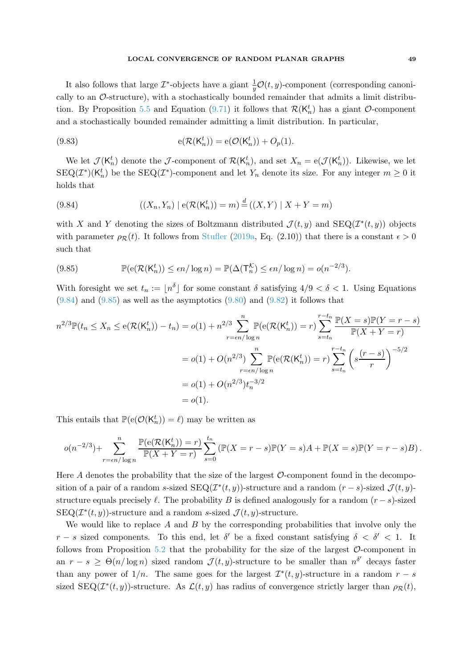It also follows that large  $\mathcal{I}^*$ -objects have a giant  $\frac{1}{y}\mathcal{O}(t, y)$ -component (corresponding canonically to an  $\mathcal{O}\text{-structure}$ , with a stochastically bounded remainder that admits a limit distribu-tion. By Proposition [5.5](#page-14-3) and Equation [\(9.71\)](#page-46-1) it follows that  $\mathcal{R}(\mathsf{K}_n^t)$  has a giant  $\mathcal{O}\text{-component}$ and a stochastically bounded remainder admitting a limit distribution. In particular,

<span id="page-48-2"></span>(9.83) 
$$
e(\mathcal{R}(K_n^t)) = e(\mathcal{O}(K_n^t)) + O_p(1).
$$

We let  $\mathcal{J}(\mathsf{K}_n^t)$  denote the  $\mathcal{J}$ -component of  $\mathcal{R}(\mathsf{K}_n^t)$ , and set  $X_n = \mathsf{e}(\mathcal{J}(\mathsf{K}_n^t))$ . Likewise, we let  $\text{SEQ}(\mathcal{I}^*)(\mathsf{K}_n^t)$  be the  $\text{SEQ}(\mathcal{I}^*)$ -component and let  $Y_n$  denote its size. For any integer  $m \geq 0$  it holds that

<span id="page-48-0"></span>(9.84) 
$$
((X_n, Y_n) | e(\mathcal{R}(K_n^t)) = m) \stackrel{d}{=} ((X, Y) | X + Y = m)
$$

with X and Y denoting the sizes of Boltzmann distributed  $\mathcal{J}(t, y)$  and  $\text{SEQ}(\mathcal{I}^*(t, y))$  objects with parameter  $\rho_R(t)$ . It follows from [Stufler](#page-61-3) [\(2019a](#page-61-3), Eq. (2.10)) that there is a constant  $\epsilon > 0$ such that

<span id="page-48-1"></span>(9.85) 
$$
\mathbb{P}(\mathsf{e}(\mathcal{R}(\mathsf{K}_n^t)) \le \epsilon n/\log n) = \mathbb{P}(\Delta(\mathsf{T}_n^{\mathcal{K}}) \le \epsilon n/\log n) = o(n^{-2/3}).
$$

With foresight we set  $t_n := \lfloor n^{\delta} \rfloor$  for some constant  $\delta$  satisfying  $4/9 < \delta < 1$ . Using Equations  $(9.84)$  and  $(9.85)$  as well as the asymptotics  $(9.80)$  and  $(9.82)$  it follows that

$$
n^{2/3} \mathbb{P}(t_n \le X_n \le e(\mathcal{R}(K_n^t)) - t_n) = o(1) + n^{2/3} \sum_{r = \epsilon n/\log n}^{n} \mathbb{P}(e(\mathcal{R}(K_n^t)) = r) \sum_{s = t_n}^{r - t_n} \frac{\mathbb{P}(X = s) \mathbb{P}(Y = r - s)}{\mathbb{P}(X + Y = r)}
$$
  
=  $o(1) + O(n^{2/3}) \sum_{r = \epsilon n/\log n}^{n} \mathbb{P}(e(\mathcal{R}(K_n^t)) = r) \sum_{s = t_n}^{r - t_n} \left(s \frac{(r - s)}{r}\right)^{-5/2}$   
=  $o(1) + O(n^{2/3}) t_n^{-3/2}$   
=  $o(1).$ 

This entails that  $\mathbb{P}(e(\mathcal{O}(K_n^t)) = \ell)$  may be written as

$$
o(n^{-2/3}) + \sum_{r = \epsilon n/\log n}^{n} \frac{\mathbb{P}(e(\mathcal{R}(K_n^t)) = r)}{\mathbb{P}(X + Y = r)} \sum_{s=0}^{t_n} (\mathbb{P}(X = r - s)\mathbb{P}(Y = s)A + \mathbb{P}(X = s)\mathbb{P}(Y = r - s)B).
$$

Here A denotes the probability that the size of the largest  $\mathcal{O}$ -component found in the decomposition of a pair of a random s-sized  $\text{SEQ}(\mathcal{I}^*(t, y))$ -structure and a random  $(r - s)$ -sized  $\mathcal{J}(t, y)$ structure equals precisely  $\ell$ . The probability B is defined analogously for a random  $(r - s)$ -sized  $\text{SEQ}(\mathcal{I}^*(t, y))$ -structure and a random s-sized  $\mathcal{J}(t, y)$ -structure.

We would like to replace A and B by the corresponding probabilities that involve only the  $r - s$  sized components. To this end, let  $\delta'$  be a fixed constant satisfying  $\delta < \delta' < 1$ . It follows from Proposition [5.2](#page-13-5) that the probability for the size of the largest  $\mathcal{O}$ -component in an  $r - s \ge \Theta(n/\log n)$  sized random  $\mathcal{J}(t, y)$ -structure to be smaller than  $n^{\delta'}$  decays faster than any power of  $1/n$ . The same goes for the largest  $\mathcal{I}^*(t, y)$ -structure in a random  $r - s$ sized  $\text{SEQ}(\mathcal{I}^*(t, y))$ -structure. As  $\mathcal{L}(t, y)$  has radius of convergence strictly larger than  $\rho_{\mathcal{R}}(t)$ ,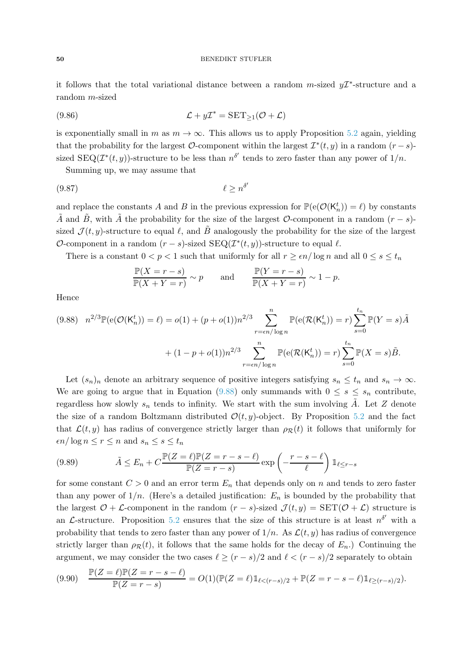### 50 BENEDIKT STUFLER

it follows that the total variational distance between a random  $m$ -sized  $y\mathcal{I}^*$ -structure and a random m-sized

<span id="page-49-2"></span>(9.86) 
$$
\mathcal{L} + y\mathcal{I}^* = \text{SET}_{\geq 1}(\mathcal{O} + \mathcal{L})
$$

is exponentially small in m as  $m \to \infty$ . This allows us to apply Proposition [5.2](#page-13-5) again, yielding that the probability for the largest  $\mathcal{O}$ -component within the largest  $\mathcal{I}^*(t, y)$  in a random  $(r - s)$ sized  $\text{SEQ}(\mathcal{I}^*(t, y))$ -structure to be less than  $n^{\delta'}$  tends to zero faster than any power of  $1/n$ .

Summing up, we may assume that

<span id="page-49-1"></span>
$$
\ell \ge n^{\delta'} \tag{9.87}
$$

and replace the constants A and B in the previous expression for  $\mathbb{P}(\mathsf{e}(\mathcal{O}(\mathsf{K}_n^t)) = \ell)$  by constants  $\tilde{A}$  and  $\tilde{B}$ , with  $\tilde{A}$  the probability for the size of the largest  $\mathcal{O}$ -component in a random  $(r - s)$ sized  $\mathcal{J}(t, y)$ -structure to equal  $\ell$ , and  $\tilde{B}$  analogously the probability for the size of the largest  $\mathcal{O}$ -component in a random  $(r - s)$ -sized  $\text{SEQ}(\mathcal{I}^*(t, y))$ -structure to equal  $\ell$ .

There is a constant  $0 < p < 1$  such that uniformly for all  $r \geq \epsilon n / \log n$  and all  $0 \leq s \leq t_n$ 

$$
\frac{\mathbb{P}(X=r-s)}{\mathbb{P}(X+Y=r)} \sim p \quad \text{and} \quad \frac{\mathbb{P}(Y=r-s)}{\mathbb{P}(X+Y=r)} \sim 1-p.
$$

Hence

<span id="page-49-0"></span>
$$
(9.88) \quad n^{2/3} \mathbb{P}(\mathbf{e}(\mathcal{O}(\mathsf{K}_n^t)) = \ell) = o(1) + (p + o(1))n^{2/3} \sum_{r = \epsilon n/\log n}^{n} \mathbb{P}(\mathbf{e}(\mathcal{R}(\mathsf{K}_n^t)) = r) \sum_{s=0}^{t_n} \mathbb{P}(Y = s) \tilde{A}
$$

$$
+ (1 - p + o(1))n^{2/3} \sum_{r = \epsilon n/\log n}^{n} \mathbb{P}(\mathbf{e}(\mathcal{R}(\mathsf{K}_n^t)) = r) \sum_{s=0}^{t_n} \mathbb{P}(X = s) \tilde{B}.
$$

Let  $(s_n)_n$  denote an arbitrary sequence of positive integers satisfying  $s_n \leq t_n$  and  $s_n \to \infty$ . We are going to argue that in Equation [\(9.88\)](#page-49-0) only summands with  $0 \leq s \leq s_n$  contribute, regardless how slowly  $s_n$  tends to infinity. We start with the sum involving A. Let Z denote the size of a random Boltzmann distributed  $\mathcal{O}(t, y)$ -object. By Proposition [5.2](#page-13-5) and the fact that  $\mathcal{L}(t, y)$  has radius of convergence strictly larger than  $\rho_{\mathcal{R}}(t)$  it follows that uniformly for  $\epsilon n/\log n \leq r \leq n$  and  $s_n \leq s \leq t_n$ 

(9.89) 
$$
\tilde{A} \leq E_n + C \frac{\mathbb{P}(Z = \ell) \mathbb{P}(Z = r - s - \ell)}{\mathbb{P}(Z = r - s)} \exp\left(-\frac{r - s - \ell}{\ell}\right) \mathbb{1}_{\ell \leq r - s}
$$

for some constant  $C > 0$  and an error term  $E_n$  that depends only on n and tends to zero faster than any power of  $1/n$ . (Here's a detailed justification:  $E_n$  is bounded by the probability that the largest  $O + \mathcal{L}$ -component in the random  $(r - s)$ -sized  $\mathcal{J}(t, y) = \text{SET}(\mathcal{O} + \mathcal{L})$  structure is an L-structure. Proposition [5.2](#page-13-5) ensures that the size of this structure is at least  $n^{\delta'}$  with a probability that tends to zero faster than any power of  $1/n$ . As  $\mathcal{L}(t, y)$  has radius of convergence strictly larger than  $\rho_R(t)$ , it follows that the same holds for the decay of  $E_n$ .) Continuing the argument, we may consider the two cases  $\ell \ge (r - s)/2$  and  $\ell < (r - s)/2$  separately to obtain

$$
(9.90) \quad \frac{\mathbb{P}(Z=\ell)\mathbb{P}(Z=r-s-\ell)}{\mathbb{P}(Z=r-s)} = O(1)(\mathbb{P}(Z=\ell)\mathbb{1}_{\ell < (r-s)/2} + \mathbb{P}(Z=r-s-\ell)\mathbb{1}_{\ell \ge (r-s)/2}).
$$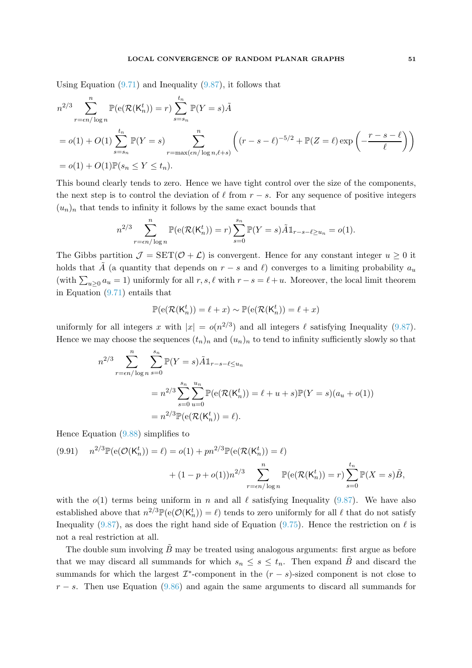Using Equation  $(9.71)$  and Inequality  $(9.87)$ , it follows that

$$
n^{2/3} \sum_{r=\epsilon n/\log n}^{n} \mathbb{P}(\mathbf{e}(\mathcal{R}(\mathsf{K}_{n}^{t})) = r) \sum_{s=s_{n}}^{t_{n}} \mathbb{P}(Y=s) \tilde{A}
$$
  
= o(1) + O(1) 
$$
\sum_{s=s_{n}}^{t_{n}} \mathbb{P}(Y=s) \sum_{r=\max(\epsilon n/\log n, \ell+s)}^{n} \left( (r-s-\ell)^{-5/2} + \mathbb{P}(Z=\ell) \exp\left(-\frac{r-s-\ell}{\ell}\right) \right)
$$
  
= o(1) + O(1) $\mathbb{P}(s_{n} \leq Y \leq t_{n}).$ 

This bound clearly tends to zero. Hence we have tight control over the size of the components, the next step is to control the deviation of  $\ell$  from  $r - s$ . For any sequence of positive integers  $(u_n)_n$  that tends to infinity it follows by the same exact bounds that

$$
n^{2/3} \sum_{r=\epsilon n/\log n}^{n} \mathbb{P}(\mathbf{e}(\mathcal{R}(\mathsf{K}_{n}^{t}))=r) \sum_{s=0}^{s_{n}} \mathbb{P}(Y=s) \tilde{A} \mathbb{1}_{r-s-\ell \geq u_{n}} = o(1).
$$

The Gibbs partition  $\mathcal{J} = \text{SET}(\mathcal{O} + \mathcal{L})$  is convergent. Hence for any constant integer  $u \geq 0$  it holds that A (a quantity that depends on  $r - s$  and  $\ell$ ) converges to a limiting probability  $a_u$ (with  $\sum_{u\geq 0} a_u = 1$ ) uniformly for all  $r, s, \ell$  with  $r - s = \ell + u$ . Moreover, the local limit theorem in Equation [\(9.71\)](#page-46-1) entails that

$$
\mathbb{P}(\mathsf{e}(\mathcal{R}(\mathsf{K}_n^t)) = \ell + x) \sim \mathbb{P}(\mathsf{e}(\mathcal{R}(\mathsf{K}_n^t)) = \ell + x)
$$

uniformly for all integers x with  $|x| = o(n^{2/3})$  and all integers  $\ell$  satisfying Inequality [\(9.87\)](#page-49-1). Hence we may choose the sequences  $(t_n)_n$  and  $(u_n)_n$  to tend to infinity sufficiently slowly so that

$$
n^{2/3} \sum_{r = \epsilon n/\log n}^{n} \sum_{s=0}^{s_n} \mathbb{P}(Y = s) \tilde{A} \mathbb{1}_{r-s-\ell \le u_n}
$$
  
=  $n^{2/3} \sum_{s=0}^{s_n} \sum_{u=0}^{u_n} \mathbb{P}(e(\mathcal{R}(K_n^t)) = \ell + u + s) \mathbb{P}(Y = s)(a_u + o(1))$   
=  $n^{2/3} \mathbb{P}(e(\mathcal{R}(K_n^t)) = \ell).$ 

Hence Equation [\(9.88\)](#page-49-0) simplifies to

<span id="page-50-0"></span>(9.91) 
$$
n^{2/3} \mathbb{P}(e(\mathcal{O}(K_n^t)) = \ell) = o(1) + pn^{2/3} \mathbb{P}(e(\mathcal{R}(K_n^t)) = \ell) + (1 - p + o(1))n^{2/3} \sum_{r = \epsilon n/\log n}^{n} \mathbb{P}(e(\mathcal{R}(K_n^t)) = r) \sum_{s=0}^{t_n} \mathbb{P}(X = s)\tilde{B},
$$

with the  $o(1)$  terms being uniform in n and all  $\ell$  satisfying Inequality [\(9.87\)](#page-49-1). We have also established above that  $n^{2/3} \mathbb{P}(e(\mathcal{O}(K_n^t)) = \ell)$  tends to zero uniformly for all  $\ell$  that do not satisfy Inequality [\(9.87\)](#page-49-1), as does the right hand side of Equation [\(9.75\)](#page-47-2). Hence the restriction on  $\ell$  is not a real restriction at all.

The double sum involving  $B$  may be treated using analogous arguments: first argue as before that we may discard all summands for which  $s_n \leq s \leq t_n$ . Then expand  $\tilde{B}$  and discard the summands for which the largest  $\mathcal{I}^*$ -component in the  $(r - s)$ -sized component is not close to  $r - s$ . Then use Equation [\(9.86\)](#page-49-2) and again the same arguments to discard all summands for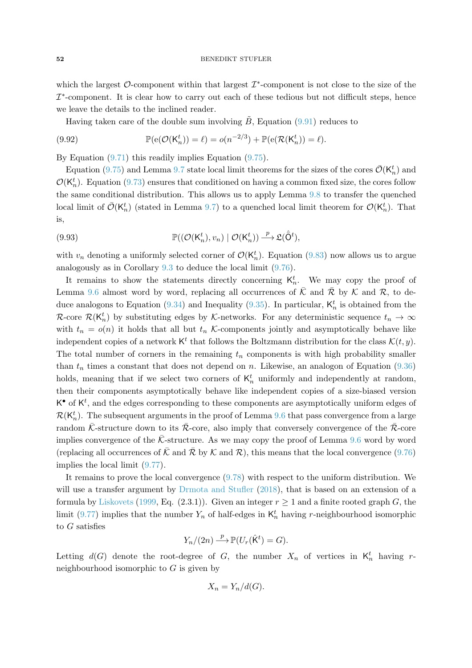which the largest  $\mathcal{O}$ -component within that largest  $\mathcal{I}^*$ -component is not close to the size of the  $\mathcal{I}^*$ -component. It is clear how to carry out each of these tedious but not difficult steps, hence we leave the details to the inclined reader.

Having taken care of the double sum involving  $B$ , Equation [\(9.91\)](#page-50-0) reduces to

(9.92) 
$$
\mathbb{P}(\mathbf{e}(\mathcal{O}(\mathsf{K}_n^t)) = \ell) = o(n^{-2/3}) + \mathbb{P}(\mathbf{e}(\mathcal{R}(\mathsf{K}_n^t)) = \ell).
$$

By Equation  $(9.71)$  this readily implies Equation  $(9.75)$ .

Equation [\(9.75\)](#page-47-2) and Lemma [9.7](#page-41-2) state local limit theorems for the sizes of the cores  $\bar{\mathcal{O}}(\mathsf{K}_n^t)$  and  $\mathcal{O}(\mathsf{K}_n^t)$ . Equation [\(9.73\)](#page-46-0) ensures that conditioned on having a common fixed size, the cores follow the same conditional distribution. This allows us to apply Lemma [9.8](#page-43-4) to transfer the quenched local limit of  $\bar{\mathcal{O}}(\mathsf{K}_n^t)$  (stated in Lemma [9.7\)](#page-41-2) to a quenched local limit theorem for  $\mathcal{O}(\mathsf{K}_n^t)$ . That is,

(9.93) 
$$
\mathbb{P}((\mathcal{O}(\mathsf{K}_n^t), v_n) | \mathcal{O}(\mathsf{K}_n^t)) \xrightarrow{p} \mathfrak{L}(\hat{\mathsf{O}}^t),
$$

with  $v_n$  denoting a uniformly selected corner of  $\mathcal{O}(\mathsf{K}_n^t)$ . Equation [\(9.83\)](#page-48-2) now allows us to argue analogously as in Corollary [9.3](#page-30-1) to deduce the local limit [\(9.76\)](#page-47-3).

It remains to show the statements directly concerning  $K_n^t$ . We may copy the proof of Lemma [9.6](#page-33-0) almost word by word, replacing all occurrences of  $\overline{K}$  and  $\overline{R}$  by K and R, to de-duce analogons to Equation [\(9.34\)](#page-34-0) and Inequality [\(9.35\)](#page-34-1). In particular,  $\mathsf{K}_n^t$  is obtained from the R-core  $\mathcal{R}(\mathsf{K}_n^t)$  by substituting edges by K-networks. For any deterministic sequence  $t_n \to \infty$ with  $t_n = o(n)$  it holds that all but  $t_n$  K-components jointly and asymptotically behave like independent copies of a network  $K^t$  that follows the Boltzmann distribution for the class  $\mathcal{K}(t, y)$ . The total number of corners in the remaining  $t_n$  components is with high probability smaller than  $t_n$  times a constant that does not depend on n. Likewise, an analogon of Equation [\(9.36\)](#page-34-2) holds, meaning that if we select two corners of  $K_n^t$  uniformly and independently at random, then their components asymptotically behave like independent copies of a size-biased version  $K^{\bullet}$  of  $K^{t}$ , and the edges corresponding to these components are asymptotically uniform edges of  $\mathcal{R}(\mathsf{K}_n^t)$ . The subsequent arguments in the proof of Lemma [9.6](#page-33-0) that pass convergence from a large random  $\bar{\mathcal{K}}$ -structure down to its  $\bar{\mathcal{R}}$ -core, also imply that conversely convergence of the  $\bar{\mathcal{R}}$ -core implies convergence of the  $\bar{K}$ -structure. As we may copy the proof of Lemma [9.6](#page-33-0) word by word (replacing all occurrences of  $\bar{\mathcal{K}}$  and  $\bar{\mathcal{R}}$  by  $\mathcal{K}$  and  $\bar{\mathcal{R}}$ ), this means that the local convergence [\(9.76\)](#page-47-3) implies the local limit [\(9.77\)](#page-47-4).

It remains to prove the local convergence [\(9.78\)](#page-47-5) with respect to the uniform distribution. We will use a transfer argument by [Drmota and Stufler](#page-58-14) [\(2018](#page-58-14)), that is based on an extension of a formula by [Liskovets](#page-60-14) [\(1999,](#page-60-14) Eq. (2.3.1)). Given an integer  $r \ge 1$  and a finite rooted graph G, the limit [\(9.77\)](#page-47-4) implies that the number  $Y_n$  of half-edges in  $\mathsf{K}_n^t$  having r-neighbourhood isomorphic to G satisfies

$$
Y_n/(2n) \xrightarrow{p} \mathbb{P}(U_r(\hat{\mathsf{K}}^t) = G).
$$

Letting  $d(G)$  denote the root-degree of G, the number  $X_n$  of vertices in  $\mathsf{K}_n^t$  having rneighbourhood isomorphic to G is given by

$$
X_n = Y_n/d(G).
$$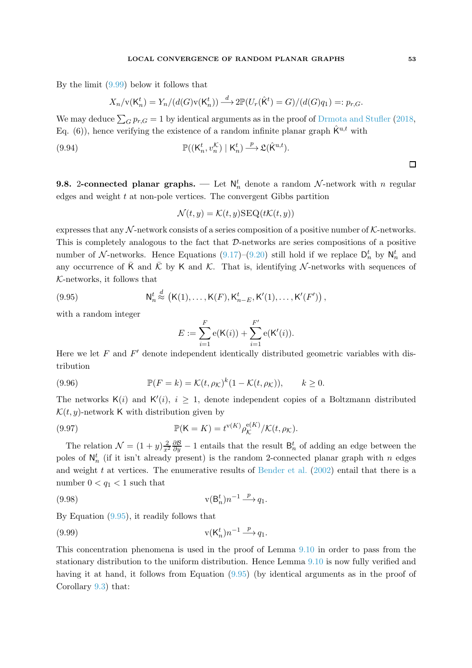By the limit [\(9.99\)](#page-52-1) below it follows that

$$
X_n/\mathbf{v}(\mathsf{K}_n^t) = Y_n/(d(G)\mathbf{v}(\mathsf{K}_n^t)) \stackrel{d}{\longrightarrow} 2\mathbb{P}(U_r(\hat{\mathsf{K}}^t) = G)/(d(G)q_1) =: p_{r,G}.
$$

We may deduce  $\sum_{G} p_{r,G} = 1$  by identical arguments as in the proof of [Drmota and Stufler](#page-58-14) [\(2018](#page-58-14), Eq. (6)), hence verifying the existence of a random infinite planar graph  $\hat{K}^{u,t}$  with

(9.94) 
$$
\mathbb{P}((\mathsf{K}_n^t, v_n^{\mathcal{K}}) \mid \mathsf{K}_n^t) \xrightarrow{\ p} \mathfrak{L}(\hat{\mathsf{K}}^{\mathrm{u},t}).
$$

 $\Box$ 

**9.8.** 2-connected planar graphs. — Let  $N_n^t$  denote a random N-network with n regular edges and weight  $t$  at non-pole vertices. The convergent Gibbs partition

$$
\mathcal{N}(t, y) = \mathcal{K}(t, y) \text{SEQ}(t\mathcal{K}(t, y))
$$

expresses that any  $\mathcal N$ -network consists of a series composition of a positive number of  $\mathcal K$ -networks. This is completely analogous to the fact that D-networks are series compositions of a positive number of N-networks. Hence Equations [\(9.17\)](#page-30-0)–[\(9.20\)](#page-30-2) still hold if we replace  $D_n^t$  by  $N_n^t$  and any occurrence of  $\overline{K}$  and  $\overline{K}$  by K and K. That is, identifying N-networks with sequences of K-networks, it follows that

<span id="page-52-2"></span>(9.95) 
$$
N_n^t \stackrel{d}{\approx} (K(1), ..., K(F), K_{n-E}^t, K'(1), ..., K'(F'))
$$

with a random integer

$$
E := \sum_{i=1}^{F} e(K(i)) + \sum_{i=1}^{F'} e(K'(i)).
$$

Here we let  $F$  and  $F'$  denote independent identically distributed geometric variables with distribution

(9.96) 
$$
\mathbb{P}(F=k) = \mathcal{K}(t,\rho_{\mathcal{K}})^k (1-\mathcal{K}(t,\rho_{\mathcal{K}})), \qquad k \geq 0.
$$

The networks  $\mathsf{K}(i)$  and  $\mathsf{K}'(i), i \geq 1$ , denote independent copies of a Boltzmann distributed  $\mathcal{K}(t, y)$ -network K with distribution given by

(9.97) 
$$
\mathbb{P}(\mathsf{K}=K)=t^{\mathsf{v}(K)}\rho_{\mathcal{K}}^{\mathsf{e}(K)}/\mathcal{K}(t,\rho_{\mathcal{K}}).
$$

The relation  $\mathcal{N} = (1 + y) \frac{2}{x^2} \frac{\partial \mathcal{B}}{\partial y} - 1$  entails that the result  $\mathsf{B}_n^t$  of adding an edge between the poles of  $\mathsf{N}_n^t$  (if it isn't already present) is the random 2-connected planar graph with n edges and weight  $t$  at vertices. The enumerative results of [Bender et al.](#page-57-1) [\(2002](#page-57-1)) entail that there is a number  $0 < q_1 < 1$  such that

(9.98) 
$$
v(B_n^t)n^{-1} \xrightarrow{p} q_1.
$$

By Equation [\(9.95\)](#page-52-2), it readily follows that

<span id="page-52-1"></span>(9.99) 
$$
v(K_n^t)n^{-1} \stackrel{p}{\longrightarrow} q_1.
$$

<span id="page-52-0"></span>This concentration phenomena is used in the proof of Lemma [9.10](#page-47-6) in order to pass from the stationary distribution to the uniform distribution. Hence Lemma [9.10](#page-47-6) is now fully verified and having it at hand, it follows from Equation  $(9.95)$  (by identical arguments as in the proof of Corollary [9.3\)](#page-30-1) that: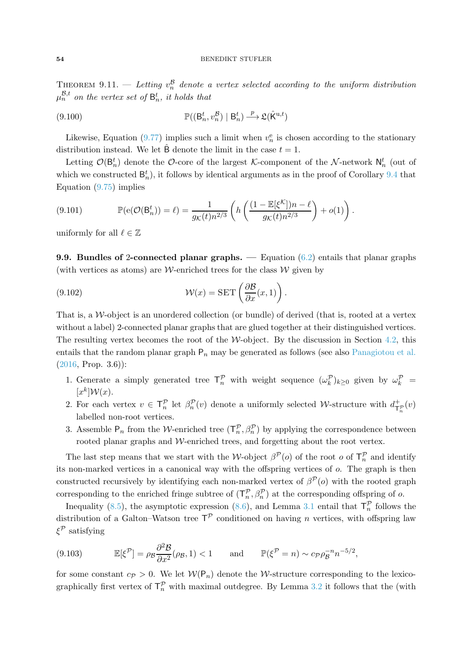THEOREM 9.11. — Letting  $v_n^{\mathcal{B}}$  denote a vertex selected according to the uniform distribution  $\mu_n^{\mathcal{B},t}$  on the vertex set of  $\mathsf{B}_n^t$ , it holds that

(9.100) 
$$
\mathbb{P}((\mathsf{B}_n^t, v_n^{\mathcal{B}}) \mid \mathsf{B}_n^t) \xrightarrow{\ p} \mathfrak{L}(\hat{\mathsf{K}}^{\mathrm{u},t})
$$

Likewise, Equation [\(9.77\)](#page-47-4) implies such a limit when  $v_n^e$  is chosen according to the stationary distribution instead. We let  $\ddot{B}$  denote the limit in the case  $t = 1$ .

Letting  $\mathcal{O}(\mathsf{B}_n^t)$  denote the  $\mathcal{O}\text{-core}$  of the largest K-component of the N-network  $\mathsf{N}_n^t$  (out of which we constructed  $B_n^t$ ), it follows by identical arguments as in the proof of Corollary [9.4](#page-31-2) that Equation [\(9.75\)](#page-47-2) implies

(9.101) 
$$
\mathbb{P}(\mathbf{e}(\mathcal{O}(\mathsf{B}_n^t)) = \ell) = \frac{1}{g_{\mathcal{K}}(t)n^{2/3}} \left( h\left(\frac{(1 - \mathbb{E}[\xi^{\mathcal{K}}])n - \ell}{g_{\mathcal{K}}(t)n^{2/3}}\right) + o(1) \right).
$$

uniformly for all  $\ell \in \mathbb{Z}$ 

**9.9. Bundles of 2-connected planar graphs.** — Equation  $(6.2)$  entails that planar graphs (with vertices as atoms) are W-enriched trees for the class  $W$  given by

<span id="page-53-0"></span>(9.102) 
$$
\mathcal{W}(x) = \text{SET}\left(\frac{\partial \mathcal{B}}{\partial x}(x, 1)\right).
$$

That is, a W-object is an unordered collection (or bundle) of derived (that is, rooted at a vertex without a label) 2-connected planar graphs that are glued together at their distinguished vertices. The resulting vertex becomes the root of the W-object. By the discussion in Section [4.2,](#page-11-2) this entails that the random planar graph  $P_n$  may be generated as follows (see also [Panagiotou et al.](#page-60-7)  $(2016, Prop. 3.6)$  $(2016, Prop. 3.6)$ :

- 1. Generate a simply generated tree  $\mathsf{T}_n^{\mathcal{P}}$  with weight sequence  $(\omega_k^{\mathcal{P}})_{k\geq 0}$  given by  $\omega_k^{\mathcal{P}}$  =  $[x^k] \mathcal{W}(x)$ .
- 2. For each vertex  $v \in \mathsf{T}_n^{\mathcal{P}}$  let  $\beta_n^{\mathcal{P}}(v)$  denote a uniformly selected W-structure with  $d_{\mathsf{T}_n^{\mathcal{P}}}(v)$ labelled non-root vertices.
- 3. Assemble  $P_n$  from the *W*-enriched tree  $(T_n^p, \beta_n^p)$  by applying the correspondence between rooted planar graphs and W-enriched trees, and forgetting about the root vertex.

The last step means that we start with the W-object  $\beta^{\mathcal{P}}(o)$  of the root o of  $\mathsf{T}_{n}^{\mathcal{P}}$  and identify its non-marked vertices in a canonical way with the offspring vertices of  $o$ . The graph is then constructed recursively by identifying each non-marked vertex of  $\beta^{\mathcal{P}}(o)$  with the rooted graph corresponding to the enriched fringe subtree of  $(T_n^{\mathcal{P}}, \beta_n^{\mathcal{P}})$  at the corresponding offspring of o.

Inequality [\(8.5\)](#page-21-3), the asymptotic expression [\(8.6\)](#page-21-4), and Lemma [3.1](#page-7-1) entail that  $\mathsf{T}_n^{\mathcal{P}}$  follows the distribution of a Galton–Watson tree  $T^{\mathcal{P}}$  conditioned on having n vertices, with offspring law  $\xi^{\mathcal{P}}$  satisfying

(9.103) 
$$
\mathbb{E}[\xi^{\mathcal{P}}] = \rho_{\mathcal{B}} \frac{\partial^2 \mathcal{B}}{\partial x^2}(\rho_{\mathcal{B}}, 1) < 1 \quad \text{and} \quad \mathbb{P}(\xi^{\mathcal{P}} = n) \sim c_{\mathcal{P}} \rho_{\mathcal{B}}^{-n} n^{-5/2},
$$

for some constant  $c_P > 0$ . We let  $W(P_n)$  denote the W-structure corresponding to the lexicographically first vertex of  $\mathsf{T}_n^{\mathcal{P}}$  with maximal outdegree. By Lemma [3.2](#page-8-2) it follows that the (with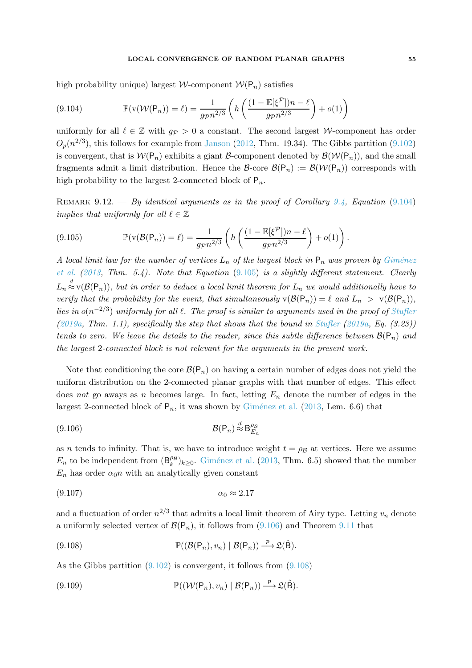# LOCAL CONVERGENCE OF RANDOM PLANAR GRAPHS 55

high probability unique) largest W-component  $W(P_n)$  satisfies

<span id="page-54-0"></span>(9.104) 
$$
\mathbb{P}(v(\mathcal{W}(\mathsf{P}_n)) = \ell) = \frac{1}{g_{\mathcal{P}} n^{2/3}} \left( h \left( \frac{(1 - \mathbb{E}[\xi^{\mathcal{P}}])n - \ell}{g_{\mathcal{P}} n^{2/3}} \right) + o(1) \right)
$$

uniformly for all  $\ell \in \mathbb{Z}$  with  $g_p > 0$  a constant. The second largest W-component has order  $O_p(n^{2/3})$ , this follows for example from [Janson](#page-59-6) [\(2012](#page-59-6), Thm. 19.34). The Gibbs partition [\(9.102\)](#page-53-0) is convergent, that is  $W(P_n)$  exhibits a giant B-component denoted by  $\mathcal{B}(W(P_n))$ , and the small fragments admit a limit distribution. Hence the  $\mathcal{B}\text{-core }\mathcal{B}(\mathcal{P}_n) := \mathcal{B}(\mathcal{W}(\mathcal{P}_n))$  corresponds with high probability to the largest 2-connected block of  $P_n$ .

REMARK 9.12. — By identical arguments as in the proof of Corollary [9.4,](#page-31-2) Equation  $(9.104)$ implies that uniformly for all  $\ell \in \mathbb{Z}$ 

<span id="page-54-1"></span>(9.105) 
$$
\mathbb{P}(v(\mathcal{B}(\mathsf{P}_n)) = \ell) = \frac{1}{g_{\mathcal{P}}n^{2/3}} \left( h\left(\frac{(1 - \mathbb{E}[\xi^{\mathcal{P}}])n - \ell}{g_{\mathcal{P}}n^{2/3}}\right) + o(1) \right).
$$

A loc[al limit law for the number of vertices](#page-59-5)  $L_n$  of the largest block in  $P_n$  was proven by Giménez et al.  $(2013, Thm. 5.4)$  $(2013, Thm. 5.4)$ . Note that Equation  $(9.105)$  is a slightly different statement. Clearly  $L_n \stackrel{d}{\approx}$  v( $\mathcal{B}(\mathsf{P}_n)$ ), but in order to deduce a local limit theorem for  $L_n$  we would additionally have to verify that the probability for the event, that simultaneously  $v(\mathcal{B}(P_n)) = \ell$  and  $L_n > v(\mathcal{B}(P_n))$ , lies in  $o(n^{-2/3})$  uniformly for all  $\ell$ . The proof is similar to arguments used in the proof of [Stufler](#page-61-3)  $(2019a, Thm. 1.1)$  $(2019a, Thm. 1.1)$ , specifically the step that shows that the bound in [Stufler](#page-61-3)  $(2019a, Eq. (3.23))$  $(2019a, Eq. (3.23))$ tends to zero. We leave the details to the reader, since this subtle difference between  $\mathcal{B}(P_n)$  and the largest 2-connected block is not relevant for the arguments in the present work.

Note that conditioning the core  $\mathcal{B}(P_n)$  on having a certain number of edges does not yield the uniform distribution on the 2-connected planar graphs with that number of edges. This effect does not go aways as n becomes large. In fact, letting  $E_n$  denote the number of edges in the largest 2-connected block of  $P_n$ , it was shown by Giménez et al. [\(2013](#page-59-5), Lem. 6.6) that

<span id="page-54-2"></span>
$$
(9.106) \t\t \mathcal{B}(P_n) \stackrel{d}{\approx} B_{E_n}^{\rho_B}
$$

as n tends to infinity. That is, we have to introduce weight  $t = \rho_B$  at vertices. Here we assume  $E_n$  to be independent from  $(B_k^{\rho_B})$  $\binom{\mu}{k}$ <sub>k</sub> $\geq$ <sup>0.</sup> Giménez et al. [\(2013](#page-59-5), Thm. 6.5) showed that the number  $E_n$  has order  $\alpha_0 n$  with an analytically given constant

$$
\alpha_0 \approx 2.17
$$

and a fluctuation of order  $n^{2/3}$  that admits a local limit theorem of Airy type. Letting  $v_n$  denote a uniformly selected vertex of  $\mathcal{B}(\mathsf{P}_n)$ , it follows from [\(9.106\)](#page-54-2) and Theorem [9.11](#page-52-0) that

<span id="page-54-3"></span>(9.108) 
$$
\mathbb{P}((\mathcal{B}(\mathsf{P}_n), v_n) | \mathcal{B}(\mathsf{P}_n)) \xrightarrow{p} \mathfrak{L}(\hat{\mathsf{B}}).
$$

As the Gibbs partition [\(9.102\)](#page-53-0) is convergent, it follows from [\(9.108\)](#page-54-3)

<span id="page-54-4"></span>(9.109) 
$$
\mathbb{P}((\mathcal{W}(\mathsf{P}_n), v_n) | \mathcal{B}(\mathsf{P}_n)) \stackrel{p}{\longrightarrow} \mathfrak{L}(\hat{\mathsf{B}}).
$$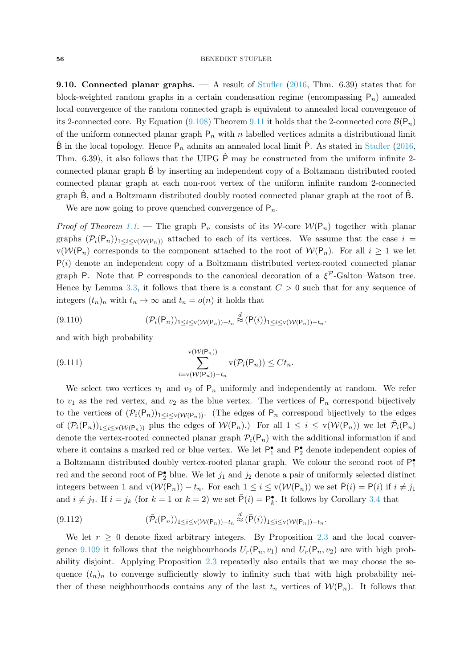### 56 BENEDIKT STUFLER

9.10. Connected planar graphs. — A result of [Stufler](#page-61-2) [\(2016,](#page-61-2) Thm. 6.39) states that for block-weighted random graphs in a certain condensation regime (encompassing  $P_n$ ) annealed local convergence of the random connected graph is equivalent to annealed local convergence of its 2-connected core. By Equation [\(9.108\)](#page-54-3) Theorem [9.11](#page-52-0) it holds that the 2-connected core  $\mathcal{B}(\mathsf{P}_n)$ of the uniform connected planar graph  $P_n$  with n labelled vertices admits a distributional limit  $\hat{\mathsf{B}}$  in the local topology. Hence  $\mathsf{P}_n$  admits an annealed local limit  $\hat{\mathsf{P}}$ . As stated in [Stufler](#page-61-2) [\(2016](#page-61-2), Thm. 6.39), it also follows that the UIPG  $\hat{P}$  may be constructed from the uniform infinite 2connected planar graph Bˆ by inserting an independent copy of a Boltzmann distributed rooted connected planar graph at each non-root vertex of the uniform infinite random 2-connected graph  $\hat{B}$ , and a Boltzmann distributed doubly rooted connected planar graph at the root of  $\hat{B}$ .

We are now going to prove quenched convergence of  $P_n$ .

*Proof of Theorem [1.1](#page-0-1).* — The graph  $P_n$  consists of its W-core  $W(P_n)$  together with planar graphs  $(\mathcal{P}_i(\mathsf{P}_n))_{1\leq i\leq \mathsf{v}(\mathcal{W}(\mathsf{P}_n))}$  attached to each of its vertices. We assume that the case  $i =$  $v(W(P_n))$  corresponds to the component attached to the root of  $W(P_n)$ . For all  $i \geq 1$  we let  $P(i)$  denote an independent copy of a Boltzmann distributed vertex-rooted connected planar graph P. Note that P corresponds to the canonical decoration of a  $\xi^{\mathcal{P}}$ -Galton–Watson tree. Hence by Lemma [3.3,](#page-9-0) it follows that there is a constant  $C > 0$  such that for any sequence of integers  $(t_n)_n$  with  $t_n \to \infty$  and  $t_n = o(n)$  it holds that

(9.110) 
$$
(\mathcal{P}_i(\mathsf{P}_n))_{1 \leq i \leq \mathsf{v}(\mathcal{W}(\mathsf{P}_n)) - t_n} \stackrel{d}{\approx} (\mathsf{P}(i))_{1 \leq i \leq \mathsf{v}(\mathcal{W}(\mathsf{P}_n)) - t_n}.
$$

and with high probability

(9.111) 
$$
\sum_{i=v(W(\mathsf{P}_n)) - t_n}^{v(W(\mathsf{P}_n))} v(\mathcal{P}_i(\mathsf{P}_n)) \leq Ct_n.
$$

We select two vertices  $v_1$  and  $v_2$  of  $P_n$  uniformly and independently at random. We refer to  $v_1$  as the red vertex, and  $v_2$  as the blue vertex. The vertices of  $P_n$  correspond bijectively to the vertices of  $(\mathcal{P}_i(\mathsf{P}_n))_{1\leq i\leq v(\mathcal{W}(\mathsf{P}_n))}$ . (The edges of  $\mathsf{P}_n$  correspond bijectively to the edges of  $(\mathcal{P}_i(\mathsf{P}_n))_{1 \leq i \leq \mathsf{v}(\mathcal{W}(\mathsf{P}_n))}$  plus the edges of  $\mathcal{W}(\mathsf{P}_n)$ . For all  $1 \leq i \leq \mathsf{v}(\mathcal{W}(\mathsf{P}_n))$  we let  $\overline{\mathcal{P}}_i(\mathsf{P}_n)$ denote the vertex-rooted connected planar graph  $\mathcal{P}_i(\mathsf{P}_n)$  with the additional information if and where it contains a marked red or blue vertex. We let  $\mathsf{P}_1^{\bullet}$  and  $\mathsf{P}_2^{\bullet}$  denote independent copies of a Boltzmann distributed doubly vertex-rooted planar graph. We colour the second root of  $\mathsf{P}_1^{\bullet}$ red and the second root of  $\mathsf{P}_2^{\bullet}$  blue. We let  $j_1$  and  $j_2$  denote a pair of uniformly selected distinct integers between 1 and  $v(W(P_n)) - t_n$ . For each  $1 \leq i \leq v(W(P_n))$  we set  $\bar{P}(i) = P(i)$  if  $i \neq j_1$ and  $i \neq j_2$ . If  $i = j_k$  (for  $k = 1$  or  $k = 2$ ) we set  $\bar{P}(i) = P_k^{\bullet}$ . It follows by Corollary [3.4](#page-9-1) that

<span id="page-55-0"></span>(9.112) 
$$
(\overline{\mathcal{P}}_i(\mathsf{P}_n))_{1 \leq i \leq \mathsf{v}(\mathcal{W}(\mathsf{P}_n)) - t_n} \stackrel{d}{\approx} (\overline{\mathsf{P}}(i))_{1 \leq i \leq \mathsf{v}(\mathcal{W}(\mathsf{P}_n)) - t_n}.
$$

We let  $r \geq 0$  denote fixed arbitrary integers. By Proposition [2.3](#page-7-2) and the local conver-gence [9.109](#page-54-4) it follows that the neighbourhoods  $U_r(\mathsf{P}_n, v_1)$  and  $U_r(\mathsf{P}_n, v_2)$  are with high probability disjoint. Applying Proposition [2.3](#page-7-2) repeatedly also entails that we may choose the sequence  $(t_n)_n$  to converge sufficiently slowly to infinity such that with high probability neither of these neighbourhoods contains any of the last  $t_n$  vertices of  $W(P_n)$ . It follows that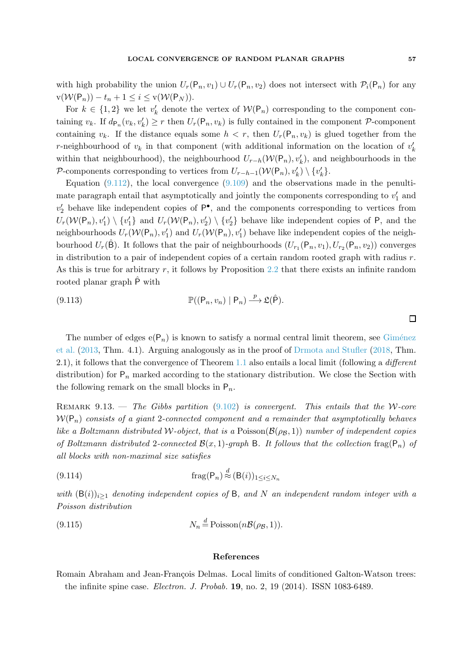with high probability the union  $U_r(\mathsf{P}_n, v_1) \cup U_r(\mathsf{P}_n, v_2)$  does not intersect with  $\mathcal{P}_i(\mathsf{P}_n)$  for any  $\mathbf{v}(\mathcal{W}(\mathsf{P}_n)) - t_n + 1 \leq i \leq \mathbf{v}(\mathcal{W}(\mathsf{P}_N)).$ 

For  $k \in \{1,2\}$  we let  $v'_{k}$  denote the vertex of  $W(P_n)$  corresponding to the component containing  $v_k$ . If  $d_{\mathsf{P}_n}(v_k, v'_k) \geq r$  then  $U_r(\mathsf{P}_n, v_k)$  is fully contained in the component  $\mathcal{P}$ -component containing  $v_k$ . If the distance equals some  $h < r$ , then  $U_r(P_n, v_k)$  is glued together from the r-neighbourhood of  $v_k$  in that component (with additional information on the location of  $v'_k$ within that neighbourhood), the neighbourhood  $U_{r-h}(\mathcal{W}(\mathsf{P}_n), v'_k)$ , and neighbourhoods in the P-components corresponding to vertices from  $U_{r-h-1}(\mathcal{W}(\mathsf{P}_n), v'_k) \setminus \{v'_k\}.$ 

Equation  $(9.112)$ , the local convergence  $(9.109)$  and the observations made in the penultimate paragraph entail that asymptotically and jointly the components corresponding to  $v'_1$  and  $v'_2$  behave like independent copies of  $P^{\bullet}$ , and the components corresponding to vertices from  $U_r(\mathcal{W}(\mathsf{P}_n), v'_1) \setminus \{v'_1\}$  and  $U_r(\mathcal{W}(\mathsf{P}_n), v'_2) \setminus \{v'_2\}$  behave like independent copies of  $\mathsf{P}$ , and the neighbourhoods  $U_r(\mathcal{W}(\mathsf{P}_n), v'_1)$  and  $U_r(\mathcal{W}(\mathsf{P}_n), v'_1)$  behave like independent copies of the neighbourhood  $U_r(\hat{\mathsf{B}})$ . It follows that the pair of neighbourhoods  $(U_{r_1}(\mathsf{P}_n,v_1), U_{r_2}(\mathsf{P}_n,v_2))$  converges in distribution to a pair of independent copies of a certain random rooted graph with radius  $r$ . As this is true for arbitrary r, it follows by Proposition [2.2](#page-6-0) that there exists an infinite random rooted planar graph  $\hat{P}$  with

(9.113) 
$$
\mathbb{P}((P_n, v_n) | P_n) \xrightarrow{p} \mathfrak{L}(\hat{P}).
$$

The number of edges  $e(P_n)$  is known to satisfy a normal central limit theorem, see Giménez et al. [\(2013,](#page-59-5) Thm. 4.1). Arguing analogously as in the proof of [Drmota and Stufler](#page-58-14) [\(2018,](#page-58-14) Thm. 2.1), it follows that the convergence of Theorem [1.1](#page-0-1) also entails a local limit (following a different distribution) for  $P_n$  marked according to the stationary distribution. We close the Section with the following remark on the small blocks in  $P_n$ .

REMARK 9.13. — The Gibbs partition  $(9.102)$  is convergent. This entails that the W-core  $W(P_n)$  consists of a giant 2-connected component and a remainder that asymptotically behaves like a Boltzmann distributed W-object, that is a Poisson( $\mathcal{B}(\rho_B, 1)$ ) number of independent copies of Boltzmann distributed 2-connected  $\mathcal{B}(x, 1)$ -graph B. It follows that the collection frag( $P_n$ ) of all blocks with non-maximal size satisfies

(9.114) 
$$
\operatorname{frag}(P_n) \stackrel{d}{\approx} (B(i))_{1 \le i \le N_n}
$$

with  $(\mathsf{B}(i))_{i\geq 1}$  denoting independent copies of B, and N an independent random integer with a Poisson distribution

(9.115) 
$$
N_n \stackrel{d}{=} \text{Poisson}(n\mathcal{B}(\rho_{\mathcal{B}}, 1)).
$$

#### References

<span id="page-56-0"></span>Romain Abraham and Jean-François Delmas. Local limits of conditioned Galton-Watson trees: the infinite spine case. Electron. J. Probab. 19, no. 2, 19 (2014). ISSN 1083-6489.

 $\Box$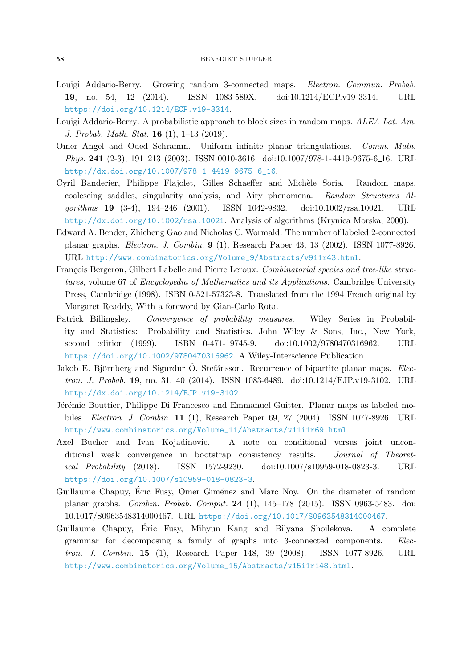- <span id="page-57-4"></span>Louigi Addario-Berry. Growing random 3-connected maps. Electron. Commun. Probab. 19, no. 54, 12 (2014). ISSN 1083-589X. doi:10.1214/ECP.v19-3314. URL <https://doi.org/10.1214/ECP.v19-3314>.
- <span id="page-57-9"></span>Louigi Addario-Berry. A probabilistic approach to block sizes in random maps. ALEA Lat. Am. J. Probab. Math. Stat. 16 (1), 1–13 (2019).
- <span id="page-57-3"></span>Omer Angel and Oded Schramm. Uniform infinite planar triangulations. Comm. Math. Phys. 241 (2-3), 191–213 (2003). ISSN 0010-3616. doi:10.1007/978-1-4419-9675-6-16. URL [http://dx.doi.org/10.1007/978-1-4419-9675-6\\_16](http://dx.doi.org/10.1007/978-1-4419-9675-6_16).
- <span id="page-57-10"></span>Cyril Banderier, Philippe Flajolet, Gilles Schaeffer and Michèle Soria. Random maps, coalescing saddles, singularity analysis, and Airy phenomena. Random Structures Algorithms 19 (3-4), 194–246 (2001). ISSN 1042-9832. doi:10.1002/rsa.10021. URL <http://dx.doi.org/10.1002/rsa.10021>. Analysis of algorithms (Krynica Morska, 2000).
- <span id="page-57-1"></span>Edward A. Bender, Zhicheng Gao and Nicholas C. Wormald. The number of labeled 2-connected planar graphs. Electron. J. Combin. 9 (1), Research Paper 43, 13 (2002). ISSN 1077-8926. URL [http://www.combinatorics.org/Volume\\_9/Abstracts/v9i1r43.html](http://www.combinatorics.org/Volume_9/Abstracts/v9i1r43.html).
- <span id="page-57-8"></span>François Bergeron, Gilbert Labelle and Pierre Leroux. Combinatorial species and tree-like structures, volume 67 of Encyclopedia of Mathematics and its Applications. Cambridge University Press, Cambridge (1998). ISBN 0-521-57323-8. Translated from the 1994 French original by Margaret Readdy, With a foreword by Gian-Carlo Rota.
- <span id="page-57-6"></span>Patrick Billingsley. Convergence of probability measures. Wiley Series in Probability and Statistics: Probability and Statistics. John Wiley & Sons, Inc., New York, second edition (1999). ISBN 0-471-19745-9. doi:10.1002/9780470316962. URL <https://doi.org/10.1002/9780470316962>. A Wiley-Interscience Publication.
- <span id="page-57-2"></span>Jakob E. Björnberg and Sigurdur Ö. Stefánsson. Recurrence of bipartite planar maps. Electron. J. Probab. 19, no. 31, 40 (2014). ISSN 1083-6489. doi:10.1214/EJP.v19-3102. URL <http://dx.doi.org/10.1214/EJP.v19-3102>.
- <span id="page-57-11"></span>Jérémie Bouttier, Philippe Di Francesco and Emmanuel Guitter. Planar maps as labeled mobiles. Electron. J. Combin. 11 (1), Research Paper 69, 27 (2004). ISSN 1077-8926. URL [http://www.combinatorics.org/Volume\\_11/Abstracts/v11i1r69.html](http://www.combinatorics.org/Volume_11/Abstracts/v11i1r69.html).
- <span id="page-57-7"></span>Axel Bücher and Ivan Kojadinovic. A note on conditional versus joint unconditional weak convergence in bootstrap consistency results. Journal of Theoretical Probability (2018). ISSN 1572-9230. doi:10.1007/s10959-018-0823-3. URL <https://doi.org/10.1007/s10959-018-0823-3>.
- <span id="page-57-0"></span>Guillaume Chapuy, Éric Fusy, Omer Giménez and Marc Noy. On the diameter of random planar graphs. Combin. Probab. Comput. 24 (1), 145–178 (2015). ISSN 0963-5483. doi: 10.1017/S0963548314000467. URL <https://doi.org/10.1017/S0963548314000467>.
- <span id="page-57-5"></span>Guillaume Chapuy, Eric Fusy, Mihyun Kang and Bilyana Shoilekova. A complete ´ grammar for decomposing a family of graphs into 3-connected components. Electron. J. Combin. 15 (1), Research Paper 148, 39 (2008). ISSN 1077-8926. URL [http://www.combinatorics.org/Volume\\_15/Abstracts/v15i1r148.html](http://www.combinatorics.org/Volume_15/Abstracts/v15i1r148.html).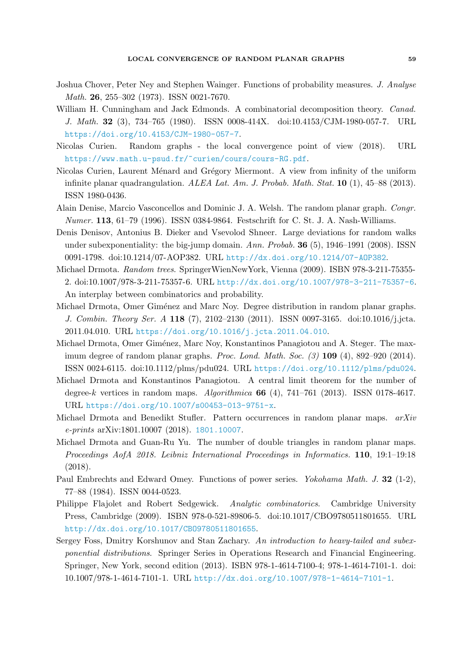- <span id="page-58-9"></span>Joshua Chover, Peter Ney and Stephen Wainger. Functions of probability measures. J. Analyse Math. 26, 255–302 (1973). ISSN 0021-7670.
- <span id="page-58-11"></span>William H. Cunningham and Jack Edmonds. A combinatorial decomposition theory. *Canad.* J. Math. 32 (3), 734–765 (1980). ISSN 0008-414X. doi:10.4153/CJM-1980-057-7. URL <https://doi.org/10.4153/CJM-1980-057-7>.
- <span id="page-58-8"></span>Nicolas Curien. Random graphs - the local convergence point of view (2018). URL <https://www.math.u-psud.fr/~curien/cours/cours-RG.pdf>.
- <span id="page-58-3"></span>Nicolas Curien, Laurent Ménard and Grégory Miermont. A view from infinity of the uniform infinite planar quadrangulation. ALEA Lat. Am. J. Probab. Math. Stat.  $10$  (1), 45–88 (2013). ISSN 1980-0436.
- <span id="page-58-4"></span>Alain Denise, Marcio Vasconcellos and Dominic J. A. Welsh. The random planar graph. Congr. Numer. 113, 61–79 (1996). ISSN 0384-9864. Festschrift for C. St. J. A. Nash-Williams.
- <span id="page-58-5"></span>Denis Denisov, Antonius B. Dieker and Vsevolod Shneer. Large deviations for random walks under subexponentiality: the big-jump domain. Ann. Probab.  $36(5)$ , 1946–1991 (2008). ISSN 0091-1798. doi:10.1214/07-AOP382. URL <http://dx.doi.org/10.1214/07-AOP382>.
- <span id="page-58-12"></span>Michael Drmota. Random trees. SpringerWienNewYork, Vienna (2009). ISBN 978-3-211-75355- 2. doi:10.1007/978-3-211-75357-6. URL <http://dx.doi.org/10.1007/978-3-211-75357-6>. An interplay between combinatorics and probability.
- <span id="page-58-1"></span>Michael Drmota, Omer Giménez and Marc Noy. Degree distribution in random planar graphs. J. Combin. Theory Ser. A 118 (7), 2102–2130 (2011). ISSN 0097-3165. doi:10.1016/j.jcta. 2011.04.010. URL <https://doi.org/10.1016/j.jcta.2011.04.010>.
- <span id="page-58-0"></span>Michael Drmota, Omer Giménez, Marc Noy, Konstantinos Panagiotou and A. Steger. The maximum degree of random planar graphs. Proc. Lond. Math. Soc. (3) 109 (4), 892–920 (2014). ISSN 0024-6115. doi:10.1112/plms/pdu024. URL <https://doi.org/10.1112/plms/pdu024>.
- <span id="page-58-2"></span>Michael Drmota and Konstantinos Panagiotou. A central limit theorem for the number of degree-k vertices in random maps. Algorithmica  $66$  (4),  $741-761$  (2013). ISSN 0178-4617. URL <https://doi.org/10.1007/s00453-013-9751-x>.
- <span id="page-58-14"></span>Michael Drmota and Benedikt Stufler. Pattern occurrences in random planar maps. arXiv e-prints arXiv:1801.10007 (2018). <1801.10007>.
- <span id="page-58-7"></span>Michael Drmota and Guan-Ru Yu. The number of double triangles in random planar maps. Proceedings AofA 2018. Leibniz International Proceedings in Informatics. 110, 19:1–19:18 (2018).
- <span id="page-58-10"></span>Paul Embrechts and Edward Omey. Functions of power series. Yokohama Math. J. 32 (1-2), 77–88 (1984). ISSN 0044-0523.
- <span id="page-58-13"></span>Philippe Flajolet and Robert Sedgewick. Analytic combinatorics. Cambridge University Press, Cambridge (2009). ISBN 978-0-521-89806-5. doi:10.1017/CBO9780511801655. URL <http://dx.doi.org/10.1017/CBO9780511801655>.
- <span id="page-58-6"></span>Sergey Foss, Dmitry Korshunov and Stan Zachary. An introduction to heavy-tailed and subexponential distributions. Springer Series in Operations Research and Financial Engineering. Springer, New York, second edition (2013). ISBN 978-1-4614-7100-4; 978-1-4614-7101-1. doi: 10.1007/978-1-4614-7101-1. URL <http://dx.doi.org/10.1007/978-1-4614-7101-1>.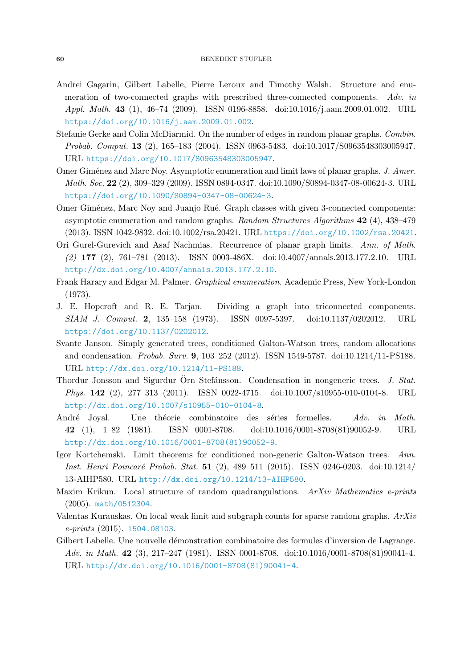- <span id="page-59-11"></span>Andrei Gagarin, Gilbert Labelle, Pierre Leroux and Timothy Walsh. Structure and enumeration of two-connected graphs with prescribed three-connected components. Adv. in Appl. Math. 43 (1), 46–74 (2009). ISSN 0196-8858. doi:10.1016/j.aam.2009.01.002. URL <https://doi.org/10.1016/j.aam.2009.01.002>.
- <span id="page-59-3"></span>Stefanie Gerke and Colin McDiarmid. On the number of edges in random planar graphs. Combin. Probab. Comput. 13 (2), 165–183 (2004). ISSN 0963-5483. doi:10.1017/S0963548303005947. URL <https://doi.org/10.1017/S0963548303005947>.
- <span id="page-59-0"></span>Omer Giménez and Marc Noy. Asymptotic enumeration and limit laws of planar graphs. J. Amer. Math. Soc. 22 (2), 309–329 (2009). ISSN 0894-0347. doi:10.1090/S0894-0347-08-00624-3. URL <https://doi.org/10.1090/S0894-0347-08-00624-3>.
- <span id="page-59-5"></span>Omer Giménez, Marc Noy and Juanjo Rué. Graph classes with given 3-connected components: asymptotic enumeration and random graphs. Random Structures Algorithms 42 (4), 438–479 (2013). ISSN 1042-9832. doi:10.1002/rsa.20421. URL <https://doi.org/10.1002/rsa.20421>.
- <span id="page-59-1"></span>Ori Gurel-Gurevich and Asaf Nachmias. Recurrence of planar graph limits. Ann. of Math. (2) 177 (2), 761–781 (2013). ISSN 0003-486X. doi:10.4007/annals.2013.177.2.10. URL <http://dx.doi.org/10.4007/annals.2013.177.2.10>.
- <span id="page-59-13"></span>Frank Harary and Edgar M. Palmer. Graphical enumeration. Academic Press, New York-London (1973).
- <span id="page-59-12"></span>J. E. Hopcroft and R. E. Tarjan. Dividing a graph into triconnected components. SIAM J. Comput. 2, 135–158 (1973). ISSN 0097-5397. doi:10.1137/0202012. URL <https://doi.org/10.1137/0202012>.
- <span id="page-59-6"></span>Svante Janson. Simply generated trees, conditioned Galton-Watson trees, random allocations and condensation. Probab. Surv. 9, 103–252 (2012). ISSN 1549-5787. doi:10.1214/11-PS188. URL <http://dx.doi.org/10.1214/11-PS188>.
- <span id="page-59-8"></span>Thordur Jonsson and Sigurdur Örn Stefánsson. Condensation in nongeneric trees. J. Stat. Phys. 142 (2), 277–313 (2011). ISSN 0022-4715. doi:10.1007/s10955-010-0104-8. URL <http://dx.doi.org/10.1007/s10955-010-0104-8>.
- <span id="page-59-9"></span>André Joyal. Une théorie combinatoire des séries formelles. Adv. in Math. 42 (1), 1–82 (1981). ISSN 0001-8708. doi:10.1016/0001-8708(81)90052-9. URL [http://dx.doi.org/10.1016/0001-8708\(81\)90052-9](http://dx.doi.org/10.1016/0001-8708(81)90052-9).
- <span id="page-59-7"></span>Igor Kortchemski. Limit theorems for conditioned non-generic Galton-Watson trees. Ann. Inst. Henri Poincar´e Probab. Stat. 51 (2), 489–511 (2015). ISSN 0246-0203. doi:10.1214/ 13-AIHP580. URL <http://dx.doi.org/10.1214/13-AIHP580>.
- <span id="page-59-2"></span>Maxim Krikun. Local structure of random quadrangulations. ArXiv Mathematics e-prints (2005). <math/0512304>.
- <span id="page-59-4"></span>Valentas Kurauskas. On local weak limit and subgraph counts for sparse random graphs. ArXiv e-prints (2015). <1504.08103>.
- <span id="page-59-10"></span>Gilbert Labelle. Une nouvelle démonstration combinatoire des formules d'inversion de Lagrange. Adv. in Math. 42 (3), 217–247 (1981). ISSN 0001-8708. doi:10.1016/0001-8708(81)90041-4. URL [http://dx.doi.org/10.1016/0001-8708\(81\)90041-4](http://dx.doi.org/10.1016/0001-8708(81)90041-4).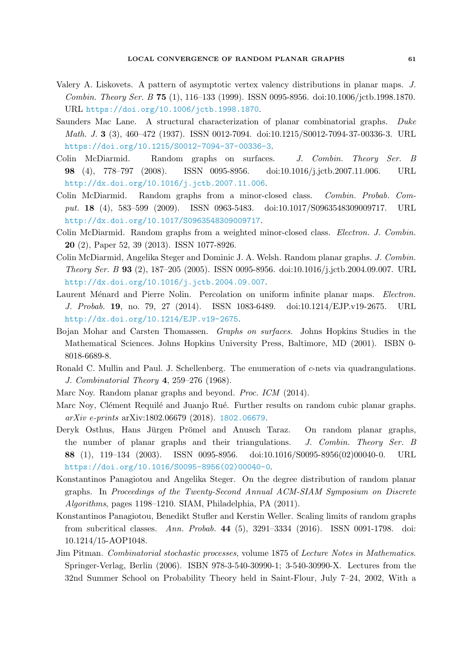- <span id="page-60-14"></span>Valery A. Liskovets. A pattern of asymptotic vertex valency distributions in planar maps. J. Combin. Theory Ser. B 75 (1), 116–133 (1999). ISSN 0095-8956. doi:10.1006/jctb.1998.1870. URL <https://doi.org/10.1006/jctb.1998.1870>.
- <span id="page-60-9"></span>Saunders Mac Lane. A structural characterization of planar combinatorial graphs. Duke Math. J. 3 (3), 460–472 (1937). ISSN 0012-7094. doi:10.1215/S0012-7094-37-00336-3. URL <https://doi.org/10.1215/S0012-7094-37-00336-3>.
- <span id="page-60-10"></span>Colin McDiarmid. Random graphs on surfaces. J. Combin. Theory Ser. B 98 (4), 778–797 (2008). ISSN 0095-8956. doi:10.1016/j.jctb.2007.11.006. URL <http://dx.doi.org/10.1016/j.jctb.2007.11.006>.
- <span id="page-60-11"></span>Colin McDiarmid. Random graphs from a minor-closed class. Combin. Probab. Comput. 18 (4), 583–599 (2009). ISSN 0963-5483. doi:10.1017/S0963548309009717. URL <http://dx.doi.org/10.1017/S0963548309009717>.
- <span id="page-60-12"></span>Colin McDiarmid. Random graphs from a weighted minor-closed class. Electron. J. Combin. 20 (2), Paper 52, 39 (2013). ISSN 1077-8926.
- <span id="page-60-5"></span>Colin McDiarmid, Angelika Steger and Dominic J. A. Welsh. Random planar graphs. J. Combin. Theory Ser. B 93 (2), 187–205 (2005). ISSN 0095-8956. doi:10.1016/j.jctb.2004.09.007. URL <http://dx.doi.org/10.1016/j.jctb.2004.09.007>.
- <span id="page-60-3"></span>Laurent Ménard and Pierre Nolin. Percolation on uniform infinite planar maps. Electron. J. Probab. 19, no. 79, 27 (2014). ISSN 1083-6489. doi:10.1214/EJP.v19-2675. URL <http://dx.doi.org/10.1214/EJP.v19-2675>.
- <span id="page-60-0"></span>Bojan Mohar and Carsten Thomassen. Graphs on surfaces. Johns Hopkins Studies in the Mathematical Sciences. Johns Hopkins University Press, Baltimore, MD (2001). ISBN 0- 8018-6689-8.
- <span id="page-60-13"></span>Ronald C. Mullin and Paul. J. Schellenberg. The enumeration of c-nets via quadrangulations. J. Combinatorial Theory 4, 259–276 (1968).
- <span id="page-60-2"></span>Marc Noy. Random planar graphs and beyond. Proc. ICM (2014).
- <span id="page-60-6"></span>Marc Noy, Clément Requilé and Juanjo Rué. Further results on random cubic planar graphs. arXiv e-prints arXiv:1802.06679 (2018). <1802.06679>.
- <span id="page-60-4"></span>Deryk Osthus, Hans Jürgen Prömel and Anusch Taraz. On random planar graphs, the number of planar graphs and their triangulations. J. Combin. Theory Ser. B 88 (1), 119–134 (2003). ISSN 0095-8956. doi:10.1016/S0095-8956(02)00040-0. URL [https://doi.org/10.1016/S0095-8956\(02\)00040-0](https://doi.org/10.1016/S0095-8956(02)00040-0).
- <span id="page-60-1"></span>Konstantinos Panagiotou and Angelika Steger. On the degree distribution of random planar graphs. In Proceedings of the Twenty-Second Annual ACM-SIAM Symposium on Discrete Algorithms, pages 1198–1210. SIAM, Philadelphia, PA (2011).
- <span id="page-60-7"></span>Konstantinos Panagiotou, Benedikt Stufler and Kerstin Weller. Scaling limits of random graphs from subcritical classes. Ann. Probab. 44 (5), 3291–3334 (2016). ISSN 0091-1798. doi: 10.1214/15-AOP1048.
- <span id="page-60-8"></span>Jim Pitman. Combinatorial stochastic processes, volume 1875 of Lecture Notes in Mathematics. Springer-Verlag, Berlin (2006). ISBN 978-3-540-30990-1; 3-540-30990-X. Lectures from the 32nd Summer School on Probability Theory held in Saint-Flour, July 7–24, 2002, With a